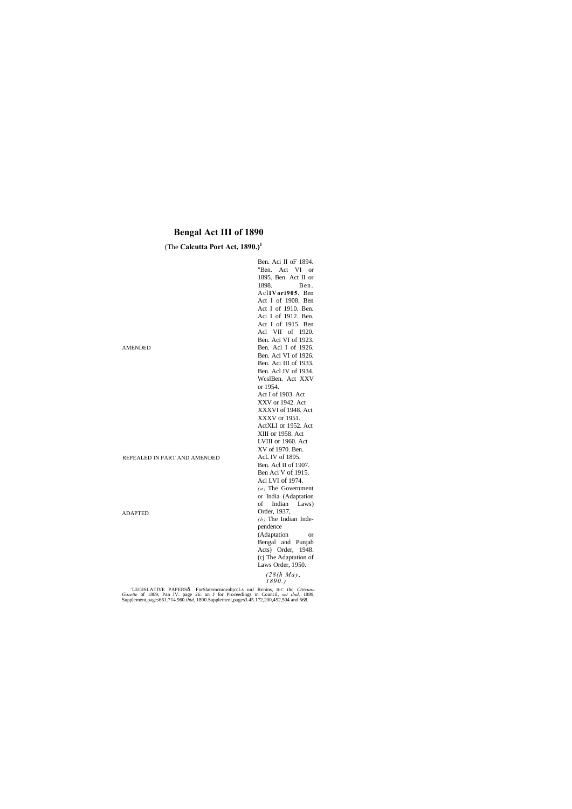# **Bengal Act III of 1890**

# (The **Calcutta Port Act, 1890.)**<sup>1</sup>

|                              | Ben. Aci II oF 1894.     |
|------------------------------|--------------------------|
|                              | "Ben. Act VI or          |
|                              | 1895. Ben. Act II or     |
|                              | 1898.<br>Ben.            |
|                              | AclIVori905. Ben         |
|                              | Act I of 1908. Ben       |
|                              | Act I of 1910. Ben.      |
|                              | Aci I of 1912. Ben.      |
|                              | Act I of 1915. Ben       |
|                              | Acl VII of 1920.         |
|                              | Ben. Aci VI of 1923.     |
| AMENDED                      | Ben. Acl I of 1926.      |
|                              | Ben. Acl VI of 1926.     |
|                              | Ben. Aci III of 1933.    |
|                              | Ben. Acl IV of 1934.     |
|                              | WcslBen. Act XXV         |
|                              | or 1954.                 |
|                              | Act I of 1903. Act       |
|                              | XXV or 1942. Act         |
|                              | XXXVI of 1948. Act       |
|                              | XXXV or 1951.            |
|                              | ActXLI or 1952. Act      |
|                              | XIII or 1958. Act        |
|                              | LVIII or 1960. Act       |
|                              | XV of 1970. Ben.         |
| REPEALED IN PART AND AMENDED | AcL IV of 1895.          |
|                              | Ben. Acl II of 1907.     |
|                              | Ben Acl V of 1915.       |
|                              | Acl LVI of 1974.         |
|                              | $(a)$ The Government     |
|                              | or India (Adaptation     |
|                              | Indian<br>οf<br>Laws)    |
| <b>ADAPTED</b>               | Order, 1937,             |
|                              | $(b)$ The Indian Inde-   |
|                              | pendence                 |
|                              | (Adaptation<br><b>or</b> |
|                              | Bengal and Punjab        |
|                              | Acts) Order, 1948.       |
|                              | (cj The Adaptation of    |
|                              | Laws Order, 1950.        |
|                              | $(20/l_1)$ $M_{21}$      |

#### *(28(h May, 1890.)*

LEGISLATIVE PAPERSô ForSlatemcniorobjccLs unJ Renins, JI-C ihc Ctttcunu Gazette of 1889, Pan IV. page 26. an J for Proceedings in Council, *set ibid.* 1889, Supplement, pages 661.714.960.*ibid.* 1890.Supplement, pages3.45.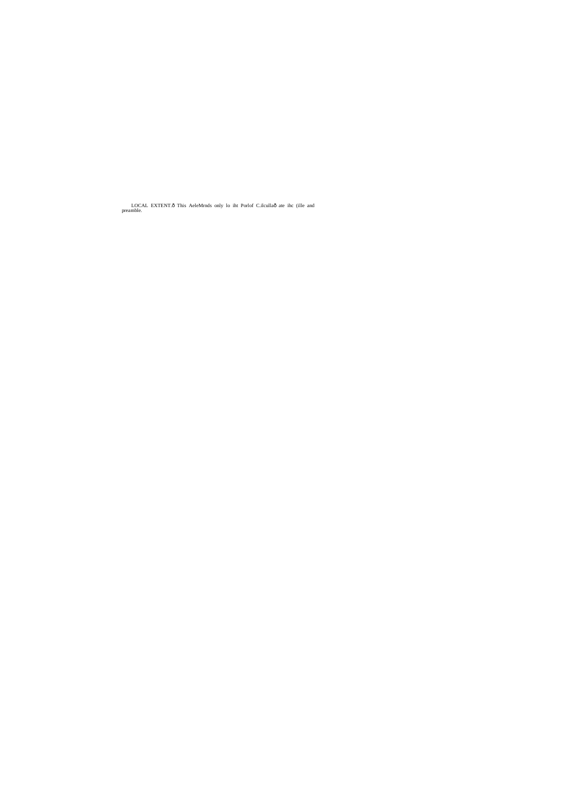LOCAL EXTENT.ô This AeleMrnds only lo iht Porlof C.ilcullaô ate ihc (ille and preamble.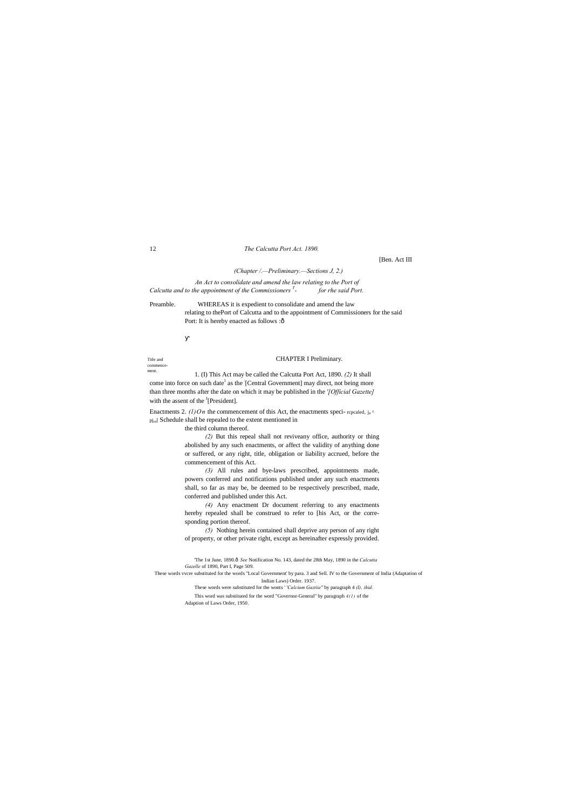Title and commence-

ment. 1. (I) This Act may be called the Calcutta Port Act, 1890. *(2)* It shall come into force on such date<sup>1</sup> as the [Central Government] may direct, not being more than three months after the date on which it may be published in the *'[Official Gazette]* with the assent of the  $<sup>J</sup>[President]$ .</sup>

Enactments 2. *(l)On* the commencement of this Act, the enactments speci- repealed,  $j_n \uparrow$ pj<sub>rS</sub>[ Schedule shall be repealed to the extent mentioned in

#### 12 *The Calcutta Port Act. 1890.*

[Ben. Act III

*(Chapter /.—Preliminary.—Sections J, 2.)*

Preamble. WHEREAS it is expedient to consolidate and amend the law relating to thePort of Calcutta and to the appointment of Commissioners for the said Port: It is hereby enacted as follows :ô

*An Act to consolidate and amend the law relating to the Port of Calcutta and to the appointment of the Commissioners T - for rhe said Port.*

# CHAPTER I Preliminary.

the third column thereof.

'The 1st June, 1890.ô See Notification No. 143, dated the 28th May, 1890 in the *Calcutta Gazelle* of 1890, Part I, Page 509.

*(2)* But this repeal shall not reviveany office, authority or thing abolished by any such enactments, or affect the validity of anything done or suffered, or any right, title, obligation or liability accrued, before the commencement of this Act.

*(3)* All rules and bye-laws prescribed, appointments made, powers conferred and notifications published under any such enactments shall, so far as may be, be deemed to be respectively prescribed, made, conferred and published under this Act.

*(4)* Any enactment Dr document referring to any enactments hereby repealed shall be construed to refer to [his Act, or the corresponding portion thereof.

*(5)* Nothing herein contained shall deprive any person of any right of property, or other private right, except as hereinafter expressly provided.

These words vvcre substituted for the words "Local Government' by para. 3 and Sell. IV to the Government of India (Adaptation of

Indian Laws) Order. 1937. These words were substituted for the wonts ' *'Calcium Gaztiie''* by paragraph 4 *(I), ihid.*

This word was substituted for the word "Governor-General'' by paragraph *4(1)* of the Adaption of Laws Order, 1950.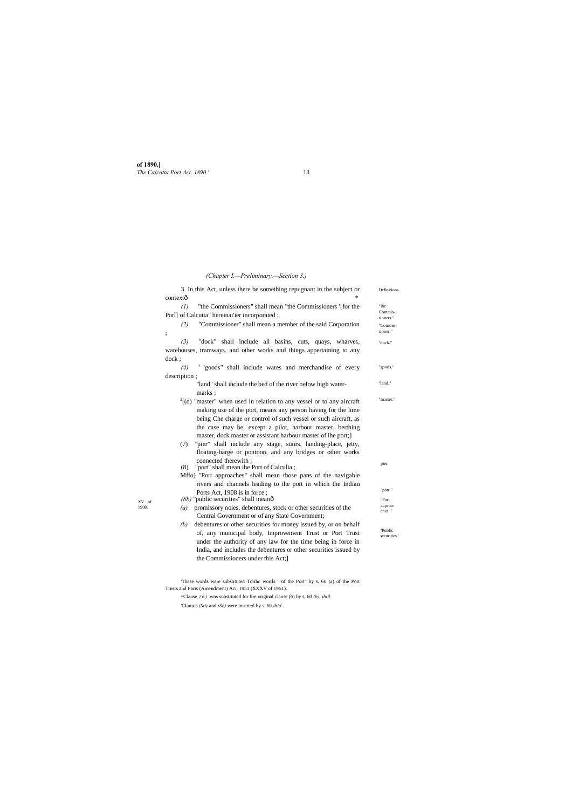**of 1890.]** *The Calcutta Port Act, 1890.'* 13

XV of 1908.

*(Chapter I.—Preliminary.—Section 3.)*

| 3. In this Act, unless there be something repugnant in the subject or                                                                                                                                                                                                                                                                       | Definitions.            |
|---------------------------------------------------------------------------------------------------------------------------------------------------------------------------------------------------------------------------------------------------------------------------------------------------------------------------------------------|-------------------------|
| contextô                                                                                                                                                                                                                                                                                                                                    |                         |
| "the Commissioners" shall mean "the Commissioners '[for the<br>$\left( l\right)$                                                                                                                                                                                                                                                            | "ihe                    |
| Porl] of Calcutta" hereinat'ier incorporated;                                                                                                                                                                                                                                                                                               | Commis-<br>sioners."    |
| "Commissioner" shall mean a member of the said Corporation<br>(2)<br>$\vdots$                                                                                                                                                                                                                                                               | "Commis-<br>sioner."    |
| "dock" shall include all basins, cuts, quays, wharves,<br>(3)                                                                                                                                                                                                                                                                               | "dock."                 |
| warehouses, tramways, and other works and things appertaining to any                                                                                                                                                                                                                                                                        |                         |
| $d$ ock $;$                                                                                                                                                                                                                                                                                                                                 |                         |
| ' 'goods" shall include wares and merchandise of every<br>(4)                                                                                                                                                                                                                                                                               | "goods."                |
| description;                                                                                                                                                                                                                                                                                                                                |                         |
| "land" shall include the bed of the river below high water-<br>marks:                                                                                                                                                                                                                                                                       | "land,"                 |
| $^{2}$ [(d) "master" when used in relation to any vessel or to any aircraft<br>making use of the port, means any person having for the lime<br>being Che charge or control of such vessel or such aircraft, as<br>the case may be, except a pilot, harbour master, berthing<br>master, dock master or assistant harbour master of ihe port; | "master."               |
| "pier" shall include any stage, stairs, landing-place, jetty,<br>(7)<br>floating-barge or pontoon, and any bridges or other works                                                                                                                                                                                                           |                         |
| connected therewith :                                                                                                                                                                                                                                                                                                                       | pier.                   |
| "port" shall mean ihe Port of Calculia;<br>(8)<br>Mffo) "Port approaches" shall mean those pans of the navigable                                                                                                                                                                                                                            |                         |
| rivers and channels leading to the port in which the Indian                                                                                                                                                                                                                                                                                 |                         |
| Ports Act, 1908 is in force;                                                                                                                                                                                                                                                                                                                | "port."                 |
| $(8b)$ "public securities" shall meanô                                                                                                                                                                                                                                                                                                      | "Port                   |
| promissory noies, debentures, stock or other securities of the<br>(a)                                                                                                                                                                                                                                                                       | approa-                 |
| Central Government or of any State Government;                                                                                                                                                                                                                                                                                              | ches."                  |
| debentures or other securities for money issued by, or on behalf<br>(b)                                                                                                                                                                                                                                                                     |                         |
| of, any municipal body, Improvement Trust or Port Trust                                                                                                                                                                                                                                                                                     | "Public<br>securities.' |
| under the authority of any law for the time being in force in                                                                                                                                                                                                                                                                               |                         |
| India, and includes the debentures or other securities issued by                                                                                                                                                                                                                                                                            |                         |
| the Commissioners under this Act;                                                                                                                                                                                                                                                                                                           |                         |

'These words were substituted Torihc wortls ' 'of the Port" by s. 60 (a) of the Port Trusts and Paris (Amendment) Aci, 1951 (XXXV of 1951).

 $^{\circ}$ Clause *(6)* wns substituted for lire original clause (6) by s, 60 *(b), ibitl.* 

'Clauses *(Sti)* and *(8b)* were inserted by s. 60 *ibid.*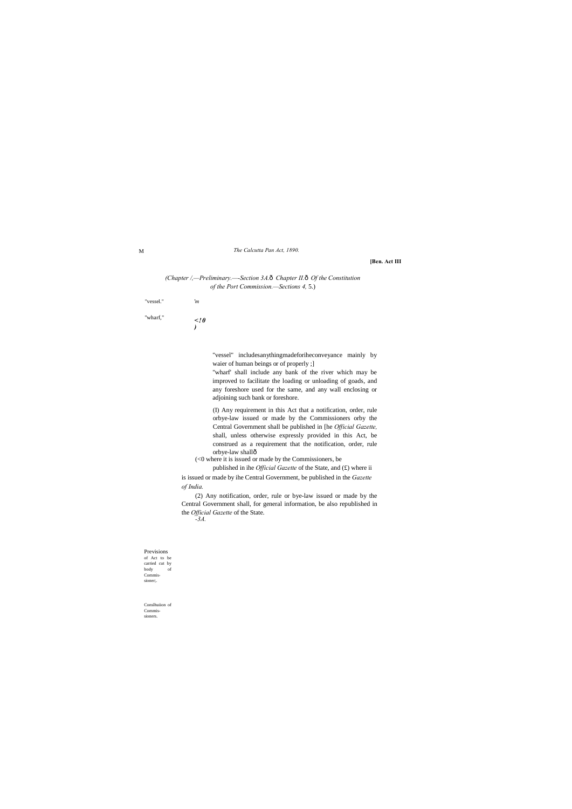M *The Calcutta Pan Act, 1890.*

"vessel." *'m* "wharf," <!**0** 

# **[Ben. Act III**

Previsions of Act to be carried cut by body of Commissioner;

*)*

Conslhuiion of Commis-

sioners.

# *(Chapter /,—Preliminary.—-Section 3A.*—*Chapter II.*—*Of the Constitution of the Port Commission.—Sections 4,* 5.)

"vessel" includesanythingmadeforiheconveyance mainly by waier of human beings or of properly ;]

"wharf' shall include any bank of the river which may be improved to facilitate the loading or unloading of goads, and any foreshore used for the same, and any wall enclosing or adjoining such bank or foreshore.

(I) Any requirement in this Act that a notification, order, rule orbye-law issued or made by the Commissioners orby the Central Government shall be published in [he *Official Gazette,* shall, unless otherwise expressly provided in this Act, be construed as a requirement that the notification, order, rule orbye-law shall—

(<0 where it is issued or made by the Commissioners, be

published in ihe *Official Gazette* of the State, and (£) where ii is issued or made by ihe Central Government, be published in the *Gazette of India.*

(2) Any notification, order, rule or bye-law issued or made by the Central Government shall, for general information, be also republished in the *Official Gazette* of the State.

*-3A.*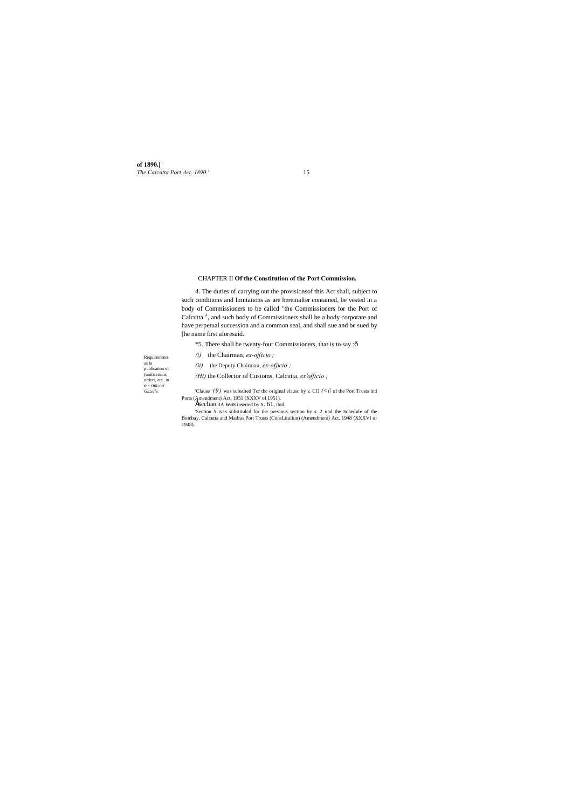**of 1890.]** *The Calcutta Port Act, 1890.'* 15

Requirements as lo publication of (unifications, orders, etc., in the *Official Gazelle.*

# CHAPTER II **Of the Constitution of the Port Commission.**

4. The duties of carrying out the provisionsof this Act shall, subject to such conditions and limitations as are hereinafter contained, be vested in a body of Commissioners to be callcd "the Commissioners for the Port of Calcutta<sup>"1</sup>, and such body of Commissioners shall be a body corporate and have perpetual succession and a common seal, and shall sue and be sued by [he name first aforesaid.

'Clause  $(9)$  was substited Tor the original elausc by s. CO  $(\leq i)$  of the Port Trusts ind Ports (Amendment) Act, 1951 (XXXV of 1951).

**EScclian 3A was inserted by s. 61, ibid.** 

\*5. There shall be twenty-four Commissioners, that is to say :—

*(i)* the Chairman, *ex-ojftcio ;*

*(ii)* the Deputy Chairman, *ex-ofjicio ;*

*(Hi)* the Collector of Customs, Calcutta, *ex'offtcio ;*

'Section 5 ivas subsiiiulcd for the previous section by s. 2 und the Schedule of the Bombay. Calcutta and Madras Port Trusts (ConsLituiiun) (Amendment) Act. 1948 (XXXVI or 1948).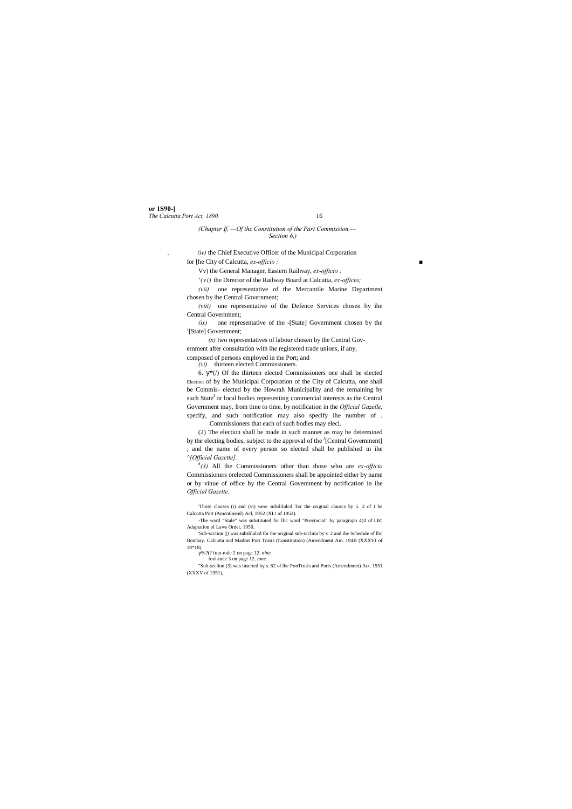**or 1S90-]** *The Calcutta Port Act, 1890.* 16

*(Chapter If, —Of the Constitution of the Part Commission.— Section 6,)*

*, (iv)* the Chief Executive Officer of the Municipal Corporation for [he City of Calcutta, *ex-officio ; ■*

Vv) the General Manager, Eastern Raihvay, *ex-offtcio ;*

*'(vi)* the Director of the Railway Board at Calcutta, *ex-officio;*

*(vii)* one representative of the Mercantile Marine Department chosen by ihe Central Government;

*(viii)* one representative of the Defence Services chosen by ihe Central Government;

*(ix)* one representative of the -[State] Government chosen by the <sup>1</sup>[State] Government;

*(x)* two representatives of labour chosen by the Central Gov-

ernment after consultation with ihe registered trade unions, if any,

composed of persons employed in the Port; and

*(xi)* thirteen elected Commissioners.

6. \*(/) Of the thirteen elected Commissioners one shall be elected Election of by ihe Municipal Corporation of the City of Calcutta, one shall be Commis- elected by the Howrah Municipality and the remaining by such State<sup>2</sup> or local bodies representing commercial interests as the Central Government may, from time to time, by notification in the *Official Gazelle,* specify, and such notification may also specify ihe number of .

'Sub-scction () was subslilulcd for the original sub-scclinn by s. 2 and ihe Schedule of llic Bombay. Calcutta and Madras Port Tnisis (Constitution) (Amendment Am. 194B (XXXVI of 19\*18).

Commissioners that each of such bodies may eleci.

(2) The election shall be made in such manner as may be determined by the electing bodies, subject to the approval of the <sup>J</sup>[Central Government] ; and the name of every person so elected shall be published in ihe *^[Official Gazette].*

*h (3)* All the Commissioners other than those who are *ex-offtcio*  Commissioners orelected Commissioners shall be appointed either by name or by vinue of office by the Central Government by notification in ihe *Official Gazette.*

'Those clauses (i) and (vi) were subslilulcd Tor the original clauscs by 5. 2 of I be Calcutta Port (Amcntlmenl) Acl, 1952 (XL! of 1952).

-The word "Stale" was substituted for llic word "Provincial" by paragraph 4(0 of LIIC Adaptation of Laws Order, 1950.

%?(? fuut-nulc 2 on page 12. *nine.*

fool-nole 3 on page 12. *tone.*

"Sub-seclion (3) was inserted by s. 62 of ihe PonTrusis and Poris (Amendment) Act. 1951 (XXXV of 1951),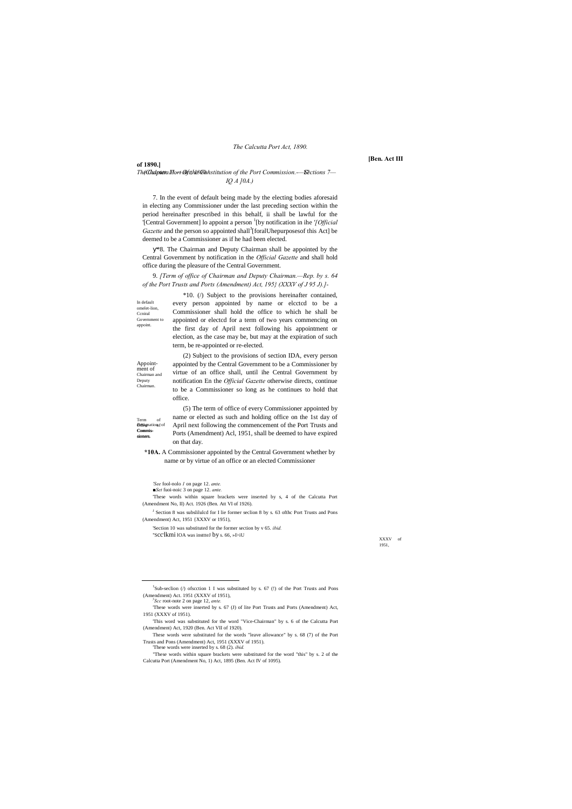#### **of 1890.]**

**Refignation** fof Commis-Commissioners. sioners. Term of

In default omelet-lion, Ccniral Government to appoint.

Appoint- ment of Chairman and Deputy Chairman.

*The Calcutta Port Act, 1890.'* 17 *(Chapter 11.—Of the Constitution of the Port Commission.-—Sections 7— IQ A ]0A.)*

> XXXV of 1951,

*The Calcutta Port Act, 1890.*

#### **[Ben. Act III**

7. In the event of default being made by the electing bodies aforesaid in electing any Commissioner under the last preceding section within the period hereinafter prescribed in this behalf, ii shall be lawful for the '[Central Government] lo appoint a person <sup>1</sup> [by notification in ihe *'[Official*  Gazette and the person so appointed shall<sup>3</sup>[foralUhepurposesof this Act] be deemed to be a Commissioner as if he had been elected.

\*8. The Chairman and Deputy Chairman shall be appointed by the Central Government by notification in the *Official Gazette* and shall hold office during the pleasure of the Central Government.

9. *[Term of office of Chairman and Deputy Chairman.—Rep. by s. 64 of the Port Trusts and Ports (Amendment) Act, 195} (XXXV of J 95 J).]-*

<sup>J</sup> Section 8 was subslilulcd for I lie former seclion 8 by s. 63 ofthc Port Trusts and Pons (Amendment) Act, 1951 {XXXV or 1951),

\*10. (/) Subject to the provisions hereinafter contained, every person appointed by name or elcctcd to be a Commissioner shall hold the office to which he shall be appointed or electcd for a term of two years commencing on the first day of April next following his appointment or election, as the case may be, but may at the expiration of such term, be re-appointed or re-elected.

(2) Subject to the provisions of section IDA, every person appointed by the Central Government to be a Commissioner by virtue of an office shall, until ihe Central Government by notification En the *Official Gazette* otherwise directs, continue to be a Commissioner so long as he continues to hold that office.

(5) The term of office of every Commissioner appointed by name or elected as such and holding office on the 1st day of April next following the commencement of the Port Trusts and Ports (Amendment) Acl, 1951, shall be deemed to have expired on that day.

**\*10A.** A Commissioner appointed by the Central Government whether by name or by virtue of an office or an elected Commissioner

*■Set* fuoi-noic 3 on page 12. *ante.*

'These words within square brackets were inserted by s, 4 of the Calcutta Port (Amendment No, II) Act. 1926 (Ben. Att VI of 1926).

'Section 10 was substituted for the former section by v 65. *ibid.* ''Scc'lkmi lOA was insttteJ by s. 66, »I>iU

1951 (XXXV of 1951).

'This word was substituted for the word "Vice-Chairman" by s. 6 of the Calcutta Port (Amendment) Act, 1920 (Ben. Act VII of 1920).

These words were substituted for the words "leave allowance" by s. 68 (7) of the Port Trusts and Pons (Amendment) Act, 1951 (XXXV of 1951).

'These words were inserted by s. 68 (2). *ibid.*

"These words within square brackets were substituted for the word "this" by s. 2 of the Calcutta Port (Amendment No, 1) Act, 1895 (Ben. Act IV of 1095).

 $\overline{\phantom{a}}$  ${}^{1}$ Sub-seclion (/) of scction 1 I was substituted by s. 67 (!) of the Port Trusts and Pons (Amendment) Act. 1951 (XXXV of 1951), *<sup>y</sup>*

*<sup>&#</sup>x27;See* fool-nolo *1* on page 12. *ante.*

*Scc* root-note 2 on page 12, *ante.*

<sup>&#</sup>x27;These words were inserted by s. 67 (J) of lite Port Trusts and Ports (Amendment) Act,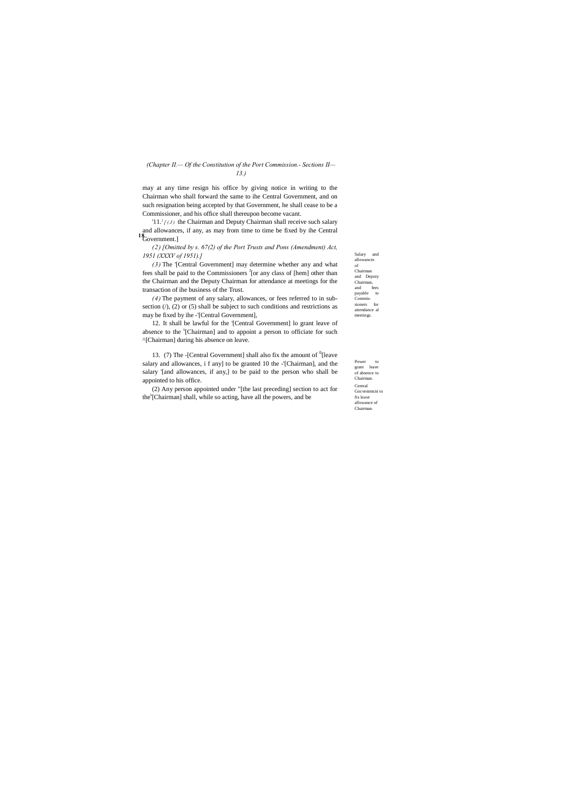Salary and allowances of Chairman and Deputy Chairman, and fees payable to Commissioners for attendance al meetings.

Power to grant leave of absence to Chairman. Central Gocvemmcni to fix leave allowance of Chairman.

# *(Chapter II.— Of the Constitution of the Port Commission.- Sections II— 13.)*

**18** Government.] '11.<sup>2</sup> $[$ (*J*) the Chairman and Deputy Chairman shall receive such salary and allowances, if any, as may from time to time be fixed by ihe Central

may at any time resign his office by giving notice in writing to the Chairman who shall forward the same to ihe Central Government, and on such resignation being accepted by that Government, he shall cease to be a Commissioner, and his office shall thereupon become vacant.

*(2) [Omitted by s. 67(2) of the Port Trusts and Pons (Amendment) Act, 1951 (XXXV of 1951).]*

(2) Any person appointed under "[the last preceding] section to act for the<sup>s</sup>[Chairman] shall, while so acting, have all the powers, and be

*(3)* The '[Central Government] may determine whether any and what fees shall be paid to the Commissioners <sup>J</sup>[or any class of [hem] other than the Chairman and the Deputy Chairman for attendance at meetings for the transaction of ihe business of the Trust.

*(4)* The payment of any salary, allowances, or fees referred to in subsection  $(1)$ ,  $(2)$  or  $(5)$  shall be subject to such conditions and restrictions as may be fixed by ihe -'[Central Government],

12. It shall be lawful for the '[Central Government] lo grant leave of absence to the <sup>s</sup>[Chairman] and to appoint a person to officiate for such ^[Chairman] during his absence on leave.

13. (7) The -[Central Government] shall also fix the amount of fi[leave salary and allowances, i f any] to be granted 10 the -'[Chairman], and the salary '[and allowances, if any,] to be paid to the person who shall be appointed to his office.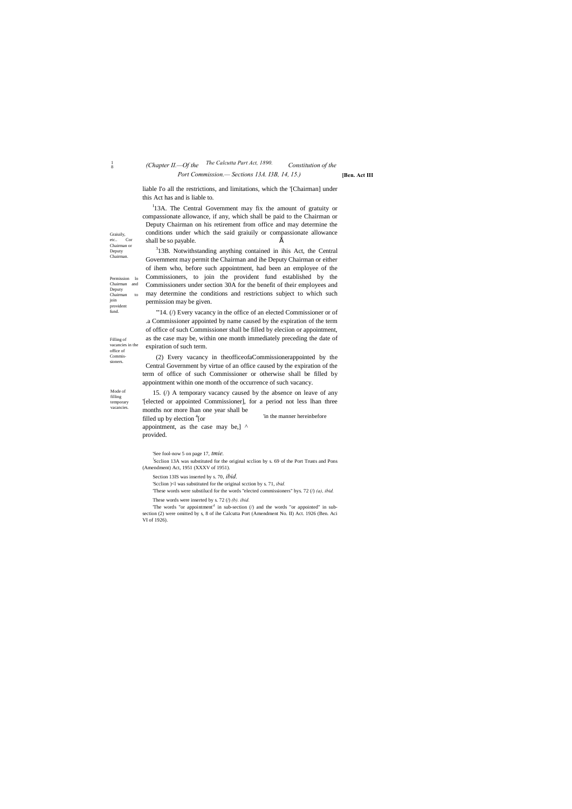Mode of filling temporary vacancies.

Graiuily, etc.. Cor Chairman or Deputy Chairman.

Permission lo Chairman and Deputy Chairman to join provident fund.

Filling of

office of Commissioners.

**[Ben. Act III**

# $\frac{1}{8}$

# <sup>8</sup> *The Calcutta Part Act, 1890. (Chapter II.—Of the Constitution of the*

# *Port Commission.— Sections 13A. I3B, 14, 15.)*

liable I'o all the restrictions, and limitations, which the '[Chairman] under this Act has and is liable to.

 $I<sup>I</sup>$ 13A. The Central Government may fix the amount of gratuity or compassionate allowance, if any, which shall be paid to the Chairman or Deputy Chairman on his retirement from office and may determine the conditions under which the said graiuily or compassionate allowance shall be so payable.  $\acute{E}$ 

<sup>3</sup>13B. Notwithstanding anything contained in ihis Act, the Central Government may permit the Chairman and ihe Deputy Chairman or either of ihem who, before such appointment, had been an employee of the Commissioners, to join the provident fund established by the

vacancies in the of office of such Commissioner shall be filled by eleciion or appointment, as the case may be, within one month immediately preceding the date of expiration of such term.

> 'in the manner hereinbefore 15. (/) A temporary vacancy caused by the absence on leave of any '[elected or appointed Commissioner], for a period not less lhan three months nor more lhan one year shall be filled up by election <sup>4</sup>[or appointment, as the case may be,] ^ provided.

Commissioners under section 30A for the benefit of their employees and may determine the conditions and restrictions subject to which such permission may be given. "14. ( $\theta$ ) Every vacancy in the office of an elected Commissioner or of .a Commissioner appointed by name caused by the expiration of the term

'The words "or appointment" in sub-section  $($ ) and the words "or appointed" in subsection (2) were omitted by s, 8 of ihe Calcutta Port (Amendment No. II) Act. 1926 (Ben. Aci VI of 1926).

(2) Every vacancy in theofficeofaCommissionerappointed by the Central Government by virtue of an office caused by the expiration of the term of office of such Commissioner or otherwise shall be filled by appointment within one month of the occurrence of such vacancy.

'See fool-now 5 on page 17, *tmie.*

! Scclion 13A was substituted for the original scclion by s. 69 of the Port Trusts and Pons (Amendment) Act, 1951 (XXXV of 1951).

Section 13IS was inserted by s. 70, *ibid.*

'Scclion )<l was substituted for the original scction by s. 71, *ibid.*

'These words were substilucd for the words "elected commissioners" bys. 72 (/) *(a), ibid.*

```
These words were inserted by s. 72 (/) (b). ibid.
```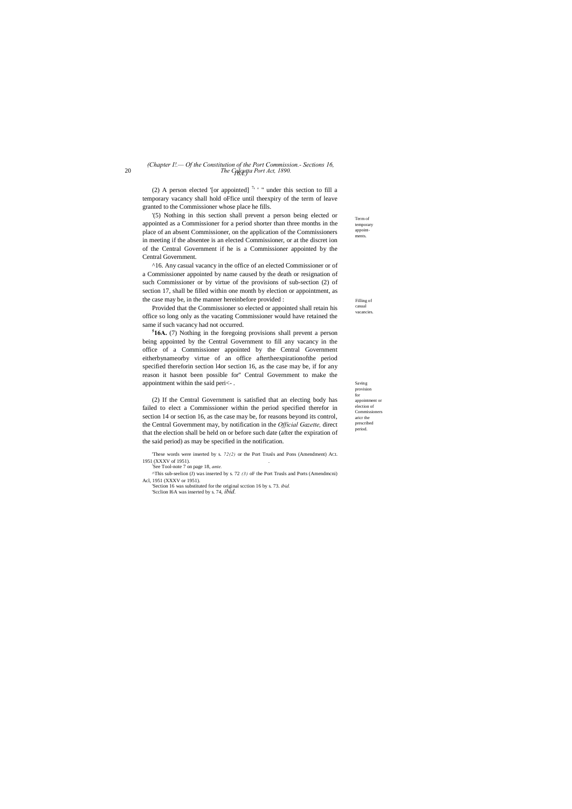Filling of casual vacancies

Term of temporary appointments.

Saving

# 20 *The Calcutta Port Act, 1890. 16A.) (Chapter I!.— Of the Constitution of the Port Commission.- Sections 16,*

provision for appointment or election of Commissioners aricr the prescribed period.

(2) A person elected '[or appointed]  $7 +$  " under this section to fill a temporary vacancy shall hold oFfice until theexpiry of the term of leave granted to the Commissioner whose place he fills.

'(5) Nothing in this section shall prevent a person being elected or appointed as a Commissioner for a period shorter than three months in the place of an absent Commissioner, on the application of the Commissioners in meeting if the absentee is an elected Commissioner, or at the discret ion of the Central Government if he is a Commissioner appointed by the Central Government.

^16. Any casual vacancy in the office of an elected Commissioner or of a Commissioner appointed by name caused by the death or resignation of such Commissioner or by virtue of the provisions of sub-section (2) of section 17, shall be filled within one month by election or appointment, as the case may be, in the manner hereinbefore provided :

Provided that the Commissioner so elected or appointed shall retain his office so long only as the vacating Commissioner would have retained the same if such vacancy had not occurred.

**5 16A.** (7) Nothing in the foregoing provisions shall prevent a person being appointed by the Central Government to fill any vacancy in the office of a Commissioner appointed by the Central Government eitherbynameorby virtue of an office aftertheexpirationofthe period specified thereforin section l4or section 16, as the case may be, if for any reason it hasnot been possible for'' Central Government to make the appointment within the said peri<- .

(2) If the Central Government is satisfied that an electing body has failed to elect a Commissioner within the period specified therefor in section 14 or section 16, as the case may be, for reasons beyond its control, the Central Government may, by notification in the *Official Gazette,* direct that the election shall be held on or before such date (after the expiration of the said period) as may be specified in the notification.

'These words were inserted by s. *72(2)* or the Port Trusls and Pons (Amendment) ACL <sup>1951</sup> (XXXV of 1951). . ! See Tool-note 7 on page 18, *ante.*

^This sub-seelion (J) was inserted by s. 72 *(3)* oF the Port Trusls and Ports (Amendmcni) Acl, 1951 (XXXV or 1951).

'Section 16 was substituted for the original scction 16 by s. 73. *ibid.* 'Scclion I6A was inserted by s. 74, *ibid.*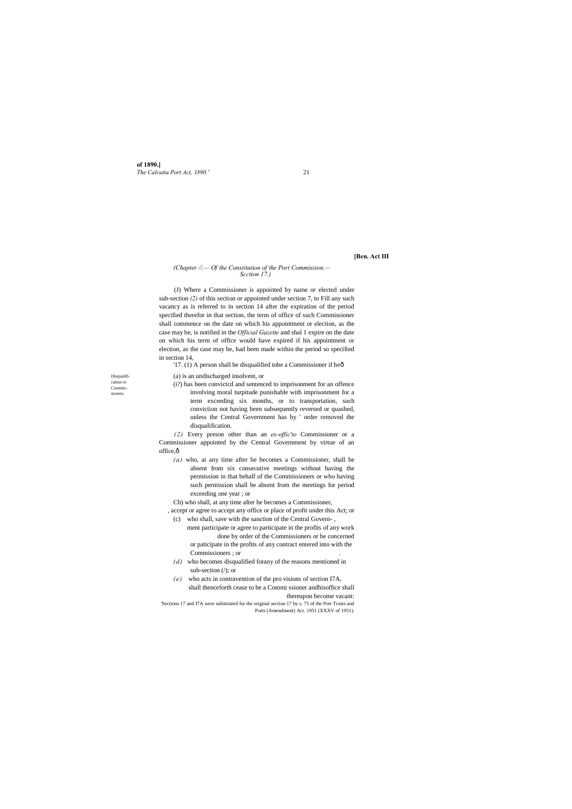**of 1890.]** *The Calcutta Port Act, 1890.'* 21

Disqualification or Commissioners.

# **[Ben. Act III**

## *(Chapter //.— Of the Constitution of the Port Commission.— Scction 17.)*

(J) Where a Commissioner is appointed by name or elected under sub-section *(2)* of this section or appointed under section 7, to Fill any such vacancy as is referred to in section 14 after the expiration of the period specified therefor in that section, the term of office of such Commissioner shall commence on the date on which his appointment or election, as the case may be, is notified in the *Official Gazette* and shal 1 expire on the date on which his term of office would have expired if his appointment or election, as the case may be, had been made within the period so specified in section 14,

'17. (1) A person shall be disqualified tobe a Commissioner if heô

*(2)* Every preson other than an *ex-offic'to* Commissioner or a Commissioner appointed by the Central Government by virtue of an office, $\hat{o}$ 

(a) is an undischarged insolvent, or

(i?) has been convictcd and sentenced to imprisonment for an offence involving moral turpitude punishable with imprisonment for a term exceeding six months, or to transportation, such conviction not having been subsequently reversed or quashed, unless the Central Government has by ' order removed the disqualification.

'Sections 17 and I7A were substituted for the original section 17 by s. 75 of the Port Trusts and Ports (Amendment) Act. 1951 (XXXV of 1951).

*(a)* who, at any time after he becomes a Commissioner, shall be absent from six consecutive meetings without having the permission in that behalf of the Commissioners or who having such permission shall be absent from the meetings for period exceeding one year ; or

Cb) who shall, at any time after he becomes a Commissioner,

, accept or agree to accept any office or place of profit under this Act; or (c) who shall, save with the sanction of the Central Govern- ,

- ment participate or agree to participate in the profits of any work done by order of the Commissioners or be concerned or paticipate in the profits of any contract entered into with the Commissioners ; or .
- *(d)* who becomes disqualified forany of the reasons mentioned in sub-section (/); or
- *(e)* who acts in contravention of the pro visions of section I7A, shall thenceforth cease to be a Commi ssioner andhisoffice shall thereupon become vacant: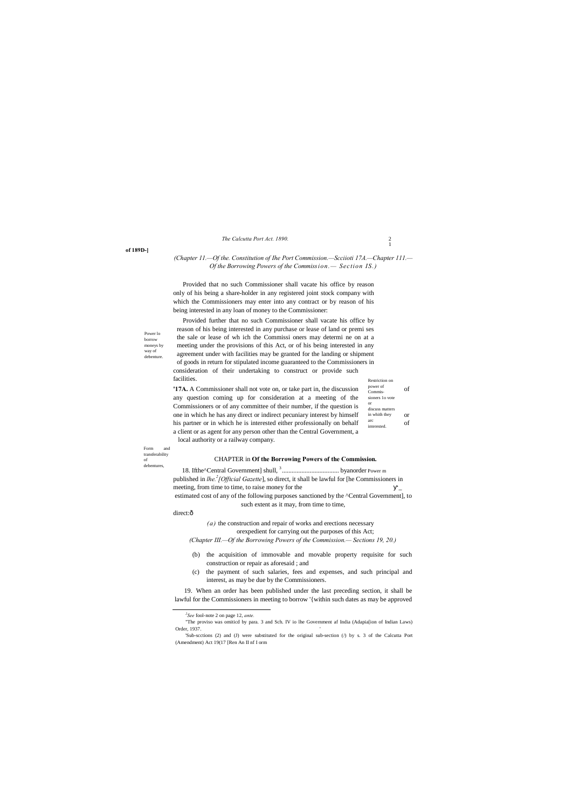2 1

*The Calcutta Port Act. 1890.*

#### **of 189D-]**

Power lo borrow moneys by way of debenture.

Form and transferability of debentures,

# *(Chapter 11.—Of the. Constitution of Ihe Port Commission.—Scciioti 17A.—Chapter 111.— Of the Borrowing Powers of the Commission.— Section IS.)*

Provided that no such Commissioner shall vacate his office by reason only of his being a share-holder in any registered joint stock company with which the Commissioners may enter into any contract or by reason of his being interested in any loan of money to the Commissioner:

Restriction on Provided further that no such Commissioner shall vacate his office by reason of his being interested in any purchase or lease of land or premi ses the sale or lease of wh ich the Commissi oners may determi ne on at a meeting under the provisions of this Act, or of his being interested in any agreement under with facilities may be granted for the landing or shipment of goods in return for stipulated income guaranteed to the Commissioners in consideration of their undertaking to construct or provide such facilities.

power of Commissioners 1o vote or discuss matters in whith they arc interested **'17A.** A Commissioner shall not vote on, or take part in, the discussion  $\frac{\text{power of}}{\text{Comvis}}$ any question coming up for consideration at a meeting of the Commissioners or of any committee of their number, if the question is one in which he has any direct or indirect pecuniary interest by himself in whith they or his partner or in which he is interested either professionally on behalf  $\frac{arc}{intersted}$  of a client or as agent for any person other than the Central Government, a local authority or a railway company.

"The proviso was omiticd by para. 3 and Sch. IV io lhe Government af India (Adapia[ion of Indian Laws) Order, 1937.

# CHAPTER in **Of the Borrowing Powers of the Commission.**

18. Ifthe^Central Government] shull, <sup>3</sup> ................................... byanorder Power m published in *lhe.<sup>2</sup>* [Official Gazette], so direct, it shall be lawful for [he Commissioners in meeting, from time to time, to raise money for the \_

estimated cost of any of the following purposes sanctioned by the ^Central Government], to such extent as it may, from time to time,

#### direct:ô

*(a)* the construction and repair of works and erections necessary orexpedient for carrying out the purposes of this Act; *(Chapter III.—Of the Borrowing Powers of the Commission.— Sections 19, 20.)*

- (b) the acquisition of immovable and movable property requisite for such construction or repair as aforesaid ; and
- (c) the payment of such salaries, fees and expenses, and such principal and interest, as may be due by the Commissioners.

19. When an order has been published under the last preceding section, it shall be lawful for the Commissioners in meeting to borrow '{within such dates as may be approved

 *<sup>2</sup> See* fool-note 2 on page 12, *ante.*

'Sub-scctions (2) and (J) were substituted for the original sub-section (/) by s. 3 of the Calcutta Port (Amendment) Act 19(17 [Ren An II nf I orm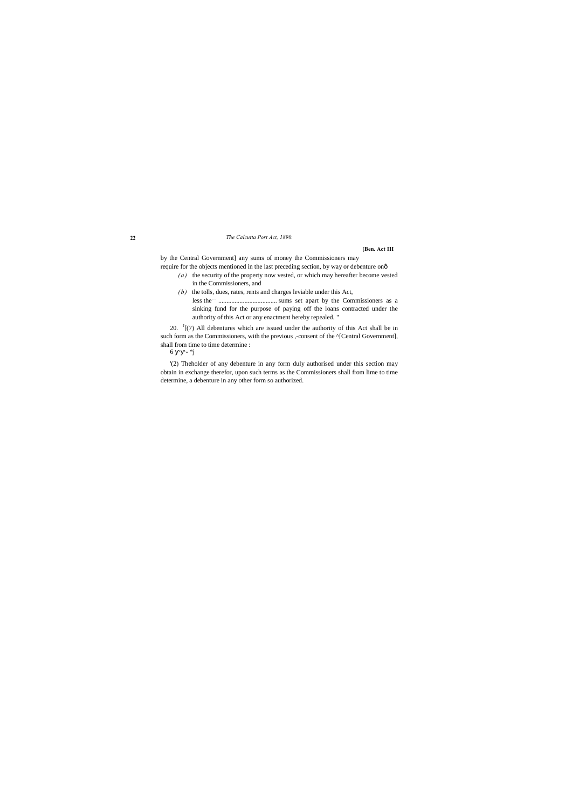## **22** *The Calcutta Port Act, 1890.*

## **[Ben. Act III**

by the Central Government] any sums of money the Commissioners may require for the objects mentioned in the last preceding section, by way or debenture on—

- *(a)* the security of the property now vested, or which may hereafter become vested in the Commissioners, and
- *(b)* the tolls, dues, rates, rents and charges leviable under this Act, less the.... .................................... sums set apart by the Commissioners as a sinking fund for the purpose of paying off the loans contracted under the authority of this Act or any enactment hereby repealed. "

20.  $\frac{1}{2}$  [(7) All debentures which are issued under the authority of this Act shall be in such form as the Commissioners, with the previous ,-consent of the ^[Central Government], shall from time to time determine :

6 -  $*$ j

'(2) Theholder of any debenture in any form duly authorised under this section may obtain in exchange therefor, upon such terms as the Commissioners shall from lime to time determine, a debenture in any other form so authorized.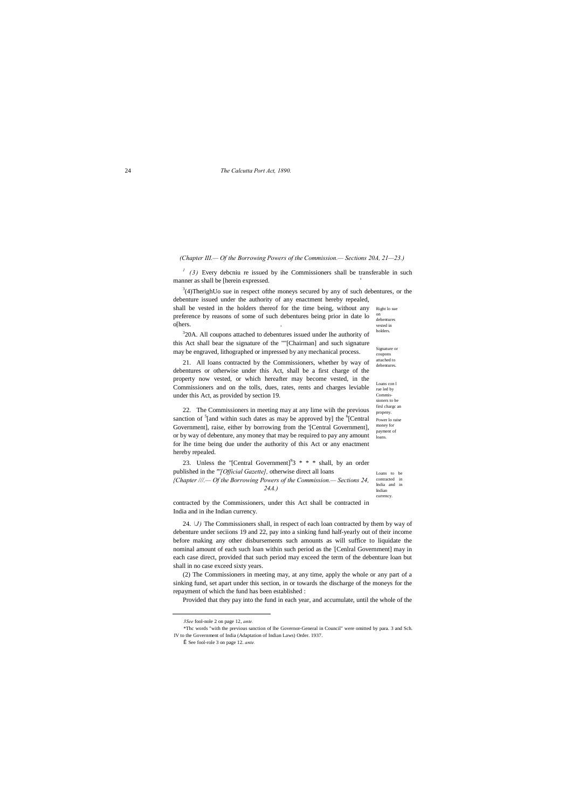#### 24 *The Calcutta Port Act, 1890.*

vested in holders. Signature or

coupons attached to debentures.

Loans con l rue led by Commissioners to be firsl chargc an propeny. Power lo raise money for payment of loans.

 $\binom{1}{3}$  Every debcniu re issued by ihe Commissioners shall be transferable in such manner as shall be [herein expressed. '

currency.

 $3(4)$ TherighUo sue in respect of the moneys secured by any of such debentures, or the debenture issued under the authority of any enactment hereby repealed,

*(Chapter III.— Of the Borrowing Powers of the Commission.— Sections 20A, 21—23.)*

shall be vested in the holders thereof for the time being, without any Right lo sue on debentures preference by reasons of some of such debentures being prior in date lo o[hers. .

<sup>3</sup>20A. All coupons attached to debentures issued under lhe authority of this Act shall bear the signature of the ""[Chairman] and such signature may be engraved, lithographed or impressed by any mechanical process.

Loans to be contracted in India and in Indian 23. Unless the "[Central Government]<sup>9</sup>3  $* * *$  shall, by an order published in the *"'[Official Gazette],* otherwise direct all loans *{Chapter ///.— Of the Borrowing Powers of the Commission.— Sections 24, 24A.)*

21. All loans contracted by the Commissioners, whether by way of debentures or otherwise under this Act, shall be a first charge of the property now vested, or which hereafter may become vested, in the Commissioners and on the tolls, dues, rates, rents and charges leviable under this Act, as provided by section 19.

22. The Commissioners in meeting may at any lime wiih the previous sanction of <sup>5</sup>[and within such dates as may be approved by] the <sup>6</sup>[Central Government], raise, either by borrowing from the '[Central Government], or by way of debenture, any money that may be required to pay any amount for lhe time being due under the authority of this Act or any enactment hereby repealed.

contracted by the Commissioners, under this Act shall be contracted in India and in ihe Indian currency.

24. *\J)* The Commissioners shall, in respect of each loan contracted by them by way of debenture under seciions 19 and 22, pay into a sinking fund half-yearly out of their income before making any other disbursements such amounts as will suffice to liquidate the nominal amount of each such loan within such period as the : [Cenlral Government] may in each case direct, provided that such period may exceed the term of the debenture loan but shall in no case exceed sixty years.

(2) The Commissioners in meeting may, at any time, apply the whole or any part of a sinking fund, set apart under this section, in or towards the discharge of the moneys for the repayment of which the fund has been established :

Provided that they pay into the fund in each year, and accumulate, until the whole of the

*3See* fool-nole 2 on page 12, *ante.*

1

\*Thc words "with the previous sanction of lhe Governor-General in Council" were omitted by para. 3 and Sch.

IV to the Government of India (Adaptation of Indian Laws) Order. 1937.

Î See fool-role 3 on page 12. ante.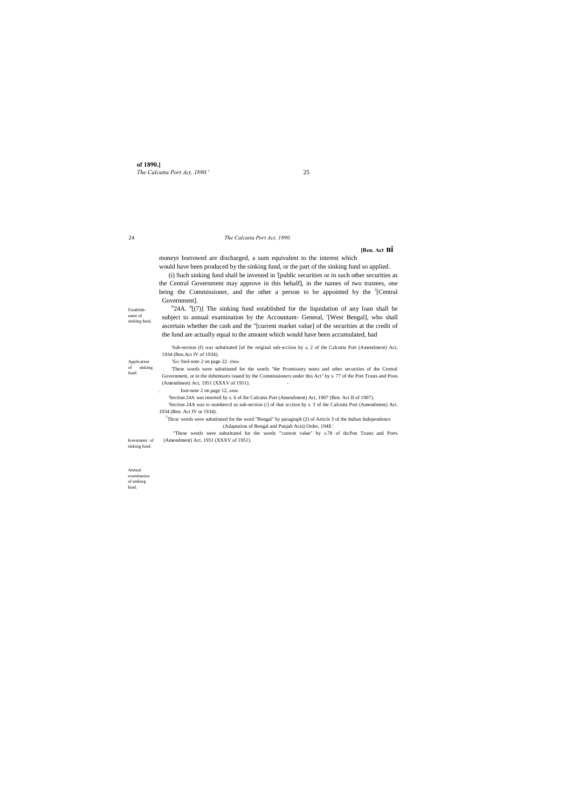**of 1890.]** *The Calcutta Port Act, 1890.'* 25

Establishment of sinking fund.

#### Application of sinking fund.

Investment of sinking fund.

Annual examination of sinking fund.

#### 24 *The Calcutta Port Act, 1890.*

# **[Ben. Act ni**

moneys borrowed are discharged, a sum equivalent to the interest which would have been produced by the sinking fund, or the part of the sinking fund so applied.

 ${}^{S}$ 24A.  ${}^{6}$ [(7)] The sinking fund established for the liquidation of any loan shall be subject to annual examination by the Accountant- General, '[West Bengal], who shall ascertain whether the cash and the "[current market value] of the securities at the credit of the fund are actually equal to the amount which would have been accumulated, had

(i) Such sinking fund shall be invested in '[public securities or in such other securities as the Central Government may approve in this behalf], in the names of two trustees, one being the Commissioner, and the other a person to be appointed by the  $<sup>J</sup>[Central]$ </sup> Government].

'Section 24A was rc-numbercd as sub-section (/) of that scciion by s. 3 of the Calcutta Port (Amendment) Act. 1934 (Ben. Act IV or 1934).

<sup>7</sup>Thcsc words were substituted for the word "Bengal" by paragraph (2) of Article 3 of the Indian Independence (Adaptation of Bengal and Punjab Acts) Order, 1948.'

'Sub-section (f) was substituted [of ihe original sub-scciion by s, 2 of the Calcutta Port (Amendment) Act, 1934 (Ben.Act IV of 1934).

*'Sec* fool-note 2 on page 22. *(tine. .*

'These words were substituted for the words "the Promissory notes and other securities of the Central Government, or in the debentures issued by the Commissioners under this Act" by s. 77 of the Port Trusts and Pons (Amendment) Act, 1951 (XXXV of 1951). -

. foot-note 2 on page 12, *ante.*

'Section 24A was inserted by s. 6 of ihe Calcutta Port (Amendment) Act, 1907 (Ben. Act II of 1907).

"These words were substituted for the words '"current value" by s.78 of thcPon Trusts and Ports (Amendment) Act. 1951 (XXXV of 1951).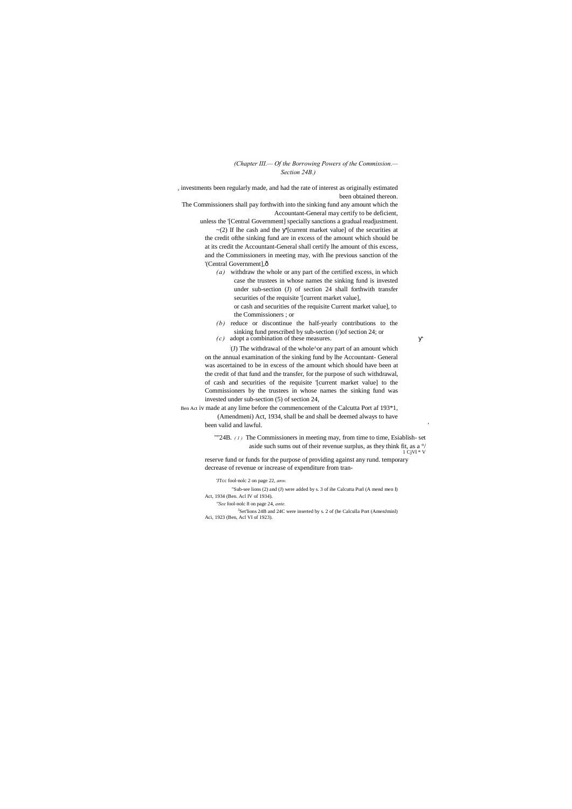# *(Chapter III.— Of the Borrowing Powers of the Commission.— Section 24B.)*

<sup>r</sup> investments been regularly made, and had the rate of interest as originally estimated been obtained thereon.

> unless the '[Central Government] specially sanctions a gradual readjustment.  $\sim$ (2) If lhe cash and the '[current market value] of the securities at

the credit ofthe sinking fund are in excess of the amount which should be at its credit the Accountant-General shall certify lhe amount of this excess, and the Commissioners in meeting may, with lhe previous sanction of the '(Central Government], ô

The Commissioners shall pay forthwith into the sinking fund any amount which the Accountant-General may certify to be deficient,

> *(a)* withdraw the whole or any part of the certified excess, in which case the trustees in whose names the sinking fund is invested under sub-section (J) of section 24 shall forthwith transfer securities of the requisite '[current market value], or cash and securities of the requisite Current market value], to

the Commissioners ; or

- *(b)* reduce or discontinue the half-yearly contributions to the sinking fund prescribed by sub-section (/)of section 24; or
- *(c)* adopt a combination of these measures.

<sup>J</sup>Set'lions 24B and 24C were inserted by s. 2 of (he Calculla Port (AmenJminl) Aci, 1923 (Ben, Acl VI of 1923).

: (J) The withdrawal of the whole^or any part of an amount which on the annual examination of the sinking fund by lhe Accountant- General was ascertained to be in excess of the amount which should have been at the credit of that fund and the transfer, for the purpose of such withdrawal, of cash and securities of the requisite '[current market value] to the Commissioners by the trustees in whose names the sinking fund was invested under sub-section (5) of section 24,

Ben Act iv made at any lime before the commencement of the Calcutta Port af 193\*1, (Amendmeni) Act, 1934, shall be and shall be deemed always to have

been valid and lawful.

""24B. *(1)* The Commissioners in meeting may, from time to time, Esiablish- set aside such sums out of their revenue surplus, as they think fit, as a °/  $1$  CjVI  $*$  V

reserve fund or funds for the purpose of providing against any rund. temporary decrease of revenue or increase of expenditure from tran-

'JTcc fool-nolc 2 on page 22, *anw.*

"Sub-see lions (2) and (J) were added by s. 3 of ihe Calcutta Purl (A mend men I) Act, 1934 (Ben. Acl IV of 1934).

*''See* fool-nolc 8 on page 24, *ante.*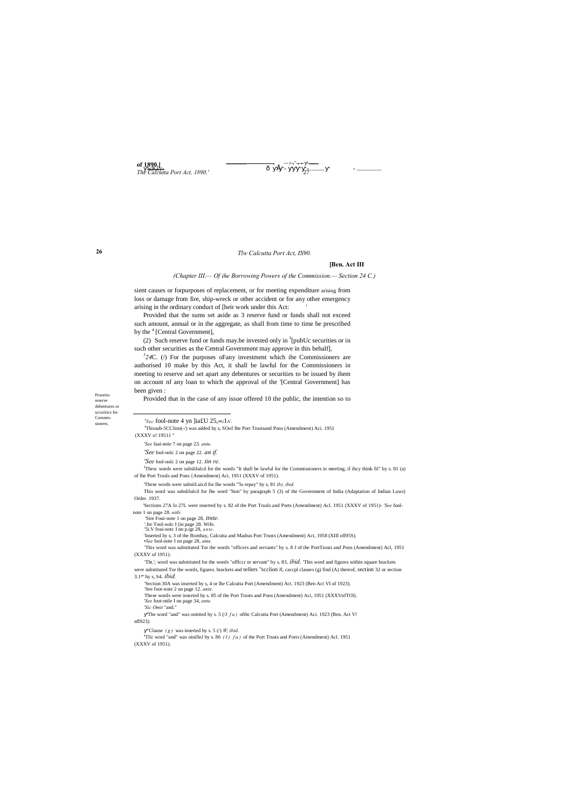**of 1890.]** *The Calcutta Port Act, 1890.'* 27  $\frac{890.1}{\sqrt{8.631475}}$  and  $\frac{1800.1}{\sqrt{8.631475}}$  and  $\frac{3}{2}$   $\frac{1}{2}$   $\frac{3}{2}$   $\frac{3}{2}$   $\frac{3}{2}$   $\frac{3}{2}$   $\frac{3}{2}$   $\frac{3}{2}$   $\frac{3}{2}$   $\frac{3}{2}$   $\frac{3}{2}$   $\frac{3}{2}$   $\frac{3}{2}$   $\frac{3}{2}$   $\frac{3}{2}$   $\frac{3}{2}$   $\frac{$ 

Powerio reserve debentures or sccuriiics for Commissioners.

# *Tlw Calcutta Port Act, IS90.*

## **[Ben. Act III**

Provided that the sums set aside as 3 reserve fund or funds shall not exceed such amount, annual or in the aggregate, as shall from time to time be prescribed by the  $<sup>4</sup>$  [Central Government],</sup>

*(Chapter III.— Of ihe Borrowing Powers of the Commission.— Section 24 C.)*

sient causes or forpurposes of replacement, or for meeting expenditure arising from loss or damage from fire, ship-wreck or other accident or for any other emergency arising in the ordinary conduct of [heir work under this Act: '

(2) Such reserve fund or funds may be invested only in  $\frac{3}{2}$ [pubUc securities or in such other securities as the Central Government may approve in this behalf],

<sup>3</sup>24C. (/) For the purposes oFany investment which ihe Commissioners are authorised 10 make by this Act, it shall be lawful for the Commissioners in meeting to reserve and set apart any debentures or securities to be issued by ihem on account nf any loan to which the approval of the '[Central Government] has been given :

Provided that in the case of any issue offered 10 the public, the intention so to

<sup>s</sup>Tlic word "and" was oinilleJ by s. 86 *(I) fa)* of the Port Trusts and Ports (Amendment) Acl. 1951 (XXXV of 1951).

| 'Sec fool-note 4 yn lia£U 25, «u1A'.                                        |                                                                                                                                               |
|-----------------------------------------------------------------------------|-----------------------------------------------------------------------------------------------------------------------------------------------|
|                                                                             | <sup>J</sup> Thissub-5CClion(-/) was added by s, SOof Ihe Port Trusisand Pons (Amendment) Aci. 1951                                           |
| (XXXV o! 19511"                                                             |                                                                                                                                               |
| 'See faai-noie 7 on page 23. ante.                                          |                                                                                                                                               |
| 'See fool-nolc 2 on page 22. $an$ if.                                       |                                                                                                                                               |
| <i>See</i> fool-nolc 2 on page 12. <i>tin re</i> .                          |                                                                                                                                               |
| of lhe Port Trusls and Pons {Amendment} Aci, 1951 (XXXV of 1951).           | <sup>J</sup> Thesc words were subsliluled for the words "It shall be lawful for the Commissioners in meeting, if ihey think fil" by s. 81 (a) |
|                                                                             | These words were subsiiLuicd for lhe words "lo repay" by s, 81 $(b)$ , <i>ibid.</i>                                                           |
|                                                                             | This word was subslituted for the word "him" by paragraph 5 (3) of the Government of India (Adaptation of Indian Laws)                        |
| Order, 1937.                                                                |                                                                                                                                               |
|                                                                             | 'Sections 27A lo 27L were inserted by s. 82 of the Port Trusls and Ports (Amendment) Acl. 1951 (XXXV of 1951)- 'See fool-                     |
| note 1 on page 28. oitlr.                                                   |                                                                                                                                               |
| 'Sire Foui-note 1 on page 28, <i>ttnte</i> .                                |                                                                                                                                               |
| '.fre Tool-nolc I (in page 28. Wife.<br>'5LV foui-note I nn p.igt 28, ante. |                                                                                                                                               |
| •See fool-note I on page 28, ante.                                          | Theoreted by s, 3 of the Bombay, Calcutta and Madras Port Trusts (Amendment) Act, 1958 (XIII of 1958).                                        |
|                                                                             | This word was substituted Tor the words "officers and servants" by s. 8 J of the PortTrusts and Pons (Amendment) Acl, 1951                    |
| (XXXV of 1951).                                                             |                                                                                                                                               |
|                                                                             | Tht.'; word was substituted for the words "officer or servant" by s. 83, <i>ibid</i> . This word and figures within square brackets           |
|                                                                             | were substituted Tor the words, figures. brackets and tellers "scclion Jl, cacepl clauses (g) find (A) thereof, section 32 or section         |
| 3.1*' hy s, S4. <i>ibid</i> .                                               |                                                                                                                                               |
| 'See foot-note 2 on page 12. ante.                                          | 'Section 30A was inserted by s, 4 or lhe Calcutta Port (Amendment) Act. 1923 (Ben Act VI of 1923).                                            |
| 'See foot-mile I on page 34, ante.                                          | These words were inserted by s. 85 of the Port Trusts and Pons (Amendment) Aci, 1951 (XXXVnfTOI).                                             |

*'Sic Omit* "and."

'The word "and" was omitted by s. 5 (/J *f a )* ofthc Calcutta Port (Amendment) Aci. 1923 (Ben. Act V! nfl923).

"Clause  $(g)$  was inserted by s. 5 (/) *W*, *ibid.*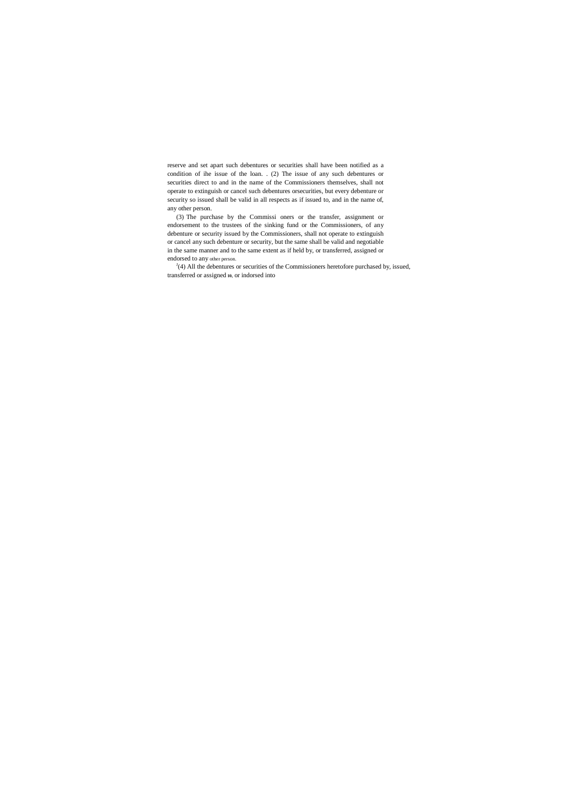reserve and set apart such debentures or securities shall have been notified as a condition of ihe issue of the loan. . (2) The issue of any such debentures or securities direct to and in the name of the Commissioners themselves, shall not operate to extinguish or cancel such debentures orsecurities, but every debenture or security so issued shall be valid in all respects as if issued to, and in the name of, any other person.

 $J(4)$  All the debentures or securities of the Commissioners heretofore purchased by, issued, transferred or assigned **10,** or indorsed into

(3) The purchase by the Commissi oners or the transfer, assignment or endorsement to the trustees of the sinking fund or the Commissioners, of any debenture or security issued by the Commissioners, shall not operate to extinguish or cancel any such debenture or security, but the same shall be valid and negotiable in the same manner and to the same extent as if held by, or transferred, assigned or endorsed to any other person.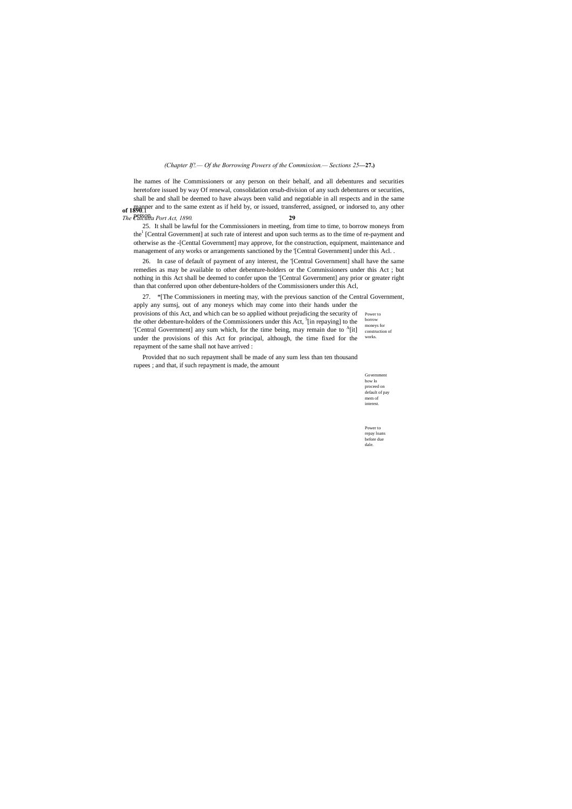Government how lo proceed on default of pay mem of interest.

Power to repay loans before due dale.

# *(Chapter If!.— Of the Borrowing Powers of the Commission.— Sections 25***—27.)**

**of 1890**.1 manner and to the same extent as if held by, or issued, transferred, assigned, or indorsed to, any other *The Calculta Port Act, 1890.* **29** lhe names of lhe Commissioners or any person on their behalf, and all debentures and securities heretofore issued by way Of renewal, consolidation orsub-division of any such debentures or securities, shall be and shall be deemed to have always been valid and negotiable in all respects and in the same

25. It shall be lawful for the Commissioners in meeting, from time to time, to borrow moneys from the<sup>1</sup> [Central Government] at such rate of interest and upon such terms as to the time of re-payment and otherwise as the -[Centtal Government] may approve, for the construction, equipment, maintenance and management of any works or arrangements sanctioned by the '[Central Government] under this Acl. .

Power to borrow moneys for construction of works. 27. \*[The Commissioners in meeting may, with the previous sanction of the Central Government, apply any sumsj, out of any moneys which may come into their hands under the provisions of this Act, and which can be so applied without prejudicing the security of the other debenture-holders of the Commissioners under this Act,  $5$ [in repaying] to the '[Central Government] any sum which, for the time being, may remain due to <sup>A</sup>[it] under the provisions of this Act for principal, although, the time fixed for the repayment of the same shall not have arrived :

26. In case of default of payment of any interest, the '[Central Government] shall have the same remedies as may be available to other debenture-holders or the Commissioners under this Act ; but nothing in this Act shall be deemed to confer upon the '[Central Government] any prior or greater right than that conferred upon other debenture-holders of the Commissioners under this Acl,

Provided that no such repayment shall be made of any sum less than ten thousand rupees ; and that, if such repayment is made, the amount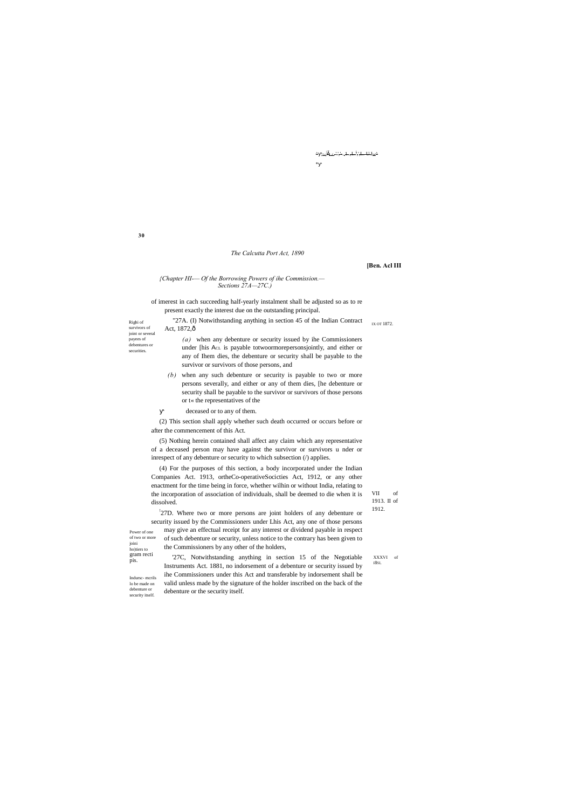**30**

Righi of survivors of joint or several payees of debentures or securities.

> VII of 1913. II of 1912.

joini ho)tiers to gram recti pis. Indursc- mcrils

lo be made on debenture or security itself. XXXVI of I8SI.

△ ;<sub>l>|</sub>š<sub>L-L</sub>-'-'<del>,'</del>-. <del>1.</del>.,<del>L. <sup>1</sup>,',L. U.</del>I<sub>W</sub>^

\*

#### *The Calcutta Port Act, 1890*

**[Ben. Acl III**

### *{Chapter HI-— Of the Borrowing Powers of ihe Commission.— Sections 27A—27C.)*

IX OT 1872. "27A. (I) Notwithstanding anything in section 45 of the Indian Contract Act, 1872, ô *(a)* when any debenture or security issued by ihe Commissioners

of imerest in cach succeeding half-yearly instalment shall be adjusted so as to re present exactly the interest due on the outstanding principal.

(5) Nothing herein contained shall affect any claim which any representative of a deceased person may have against the survivor or survivors u nder or inrespect of any debenture or security to which subsection (/) applies.

under [his ACL is payable totwoormorepersonsjointly, and either or any of Ihem dies, the debenture or security shall be payable to the survivor or survivors of those persons, and

*(b)* when any such debenture or security is payable to two or more persons severally, and either or any of them dies, [he debenture or security shall be payable to the survivor or survivors of those persons or t« the representatives of the

Power of one of two or more ! 27D. Where two or more persons are joint holders of any debenture or security issued by the Commissioners under Lhis Act, any one of those persons may give an effectual receipt for any interest or dividend payable in respect of such debenture or security, unless notice to the contrary has been given to the Commissioners by any other of the holders,

deceased or to any of them.

(2) This section shall apply whether such death occurred or occurs before or after the commencement of this Act.

(4) For the purposes of this section, a body incorporated under the Indian Companies Act. 1913, ortheCo-operativeSocicties Act, 1912, or any other enactment for the time being in force, whether wilhin or without India, relating to the incorporation of association of individuals, shall be deemed to die when it is dissolved.

'27C, Notwithstanding anything in section 15 of the Negotiable Instruments Act. 1881, no indorsement of a debenture or security issued by ihe Commissioners under this Act and transferable by indorsement shall be valid unless made by the signature of the holder inscribed on the back of the debenture or the security itself.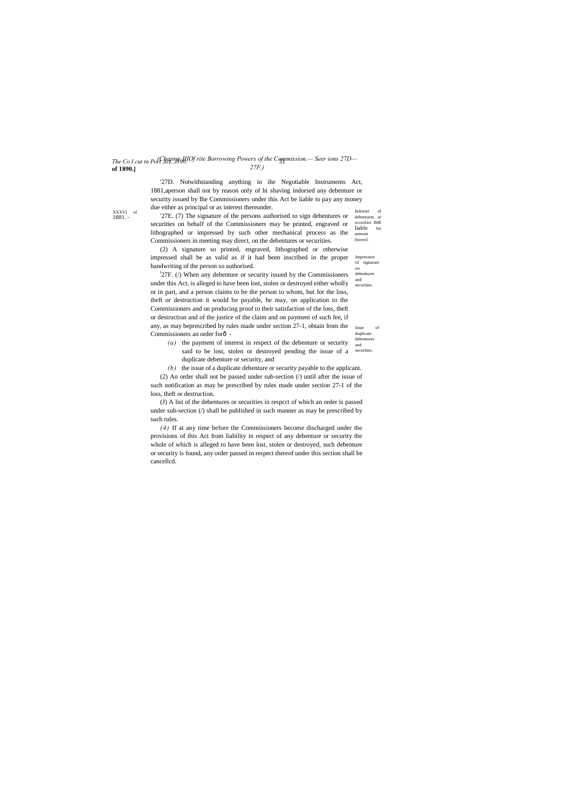debentures or sccuriiics not<br>liable for liable amount [hereof.

and  $\frac{1}{2}$ 27F. (*i*) When any debenture or security issued by the Commissioners under this Act, is alleged to have been lost, stolen or destroyed either wholly or in part, and a person claims to be the person to whom, but for the loss, theft or destruction it would be payable, he may, on application to the Commissioners and on producing proof to their satisfaction of the loss, theft or destruction and of the justice of the claim and on payment of such fee, if any, as may beprescribed by rules made under section 27-1, obtain from the Commissioners an order forô-

Issue of duplicate debenture

XXXVI of 1881. -

> Impression of signature on

#### *The Co I cut tn Port Act, J890.* 31 *(Chapter IIIOf rite Borrowing Powers of the Commission.— Seer ions 27D* **of 1890.]** *27F.)*

debentures securities.

Indorser of '27D. Notwithstanding anything in ihe Negotiable Instruments Act, 1881,aperson shall not by reason only of hi shaving indorsed any debenture or security issued by Ihe Commissioners under this Act be liable to pay any money due either as principal or as interest thereunder.

'27E. (7) The signature of the persons authorised to sign debentures or securities on behalf of the Commissioners may be printed, engraved or lithographed or impressed by such other mechanical process as the Commissioners in meeting may direct, on the debentures or securities.

(2) A signature so printed, engraved, lithographed or otherwise impressed shall be as valid as if it had been inscribed in the proper handwriting of the person so authorised.

- and said to be lost, stolen or destroyed pending the issue of a securities. *(a)* the payment of interest in respect of the debenture or security duplicate debenture or security, and
- *(b)* the issue of a duplicate debenture or security payable to the applicant.

(2) An order shall not be passed under sub-section (/) until after the issue of such notification as may be prescribed by rules made under section 27-1 of the loss, theft or destruction.

(J) A list of the debentures or securities in respcct of which an order is passed under sub-section (/) shall be published in such manner as may be prescribed by such rules.

*(4)* If at any time before the Commissioners become discharged under the provisions of this Act from liability in respect of any debenture or security the whole of which is alleged to have been lost, stolen or destroyed, such debenture or security is found, any order passed in respect thereof under this section shall be cancellcd.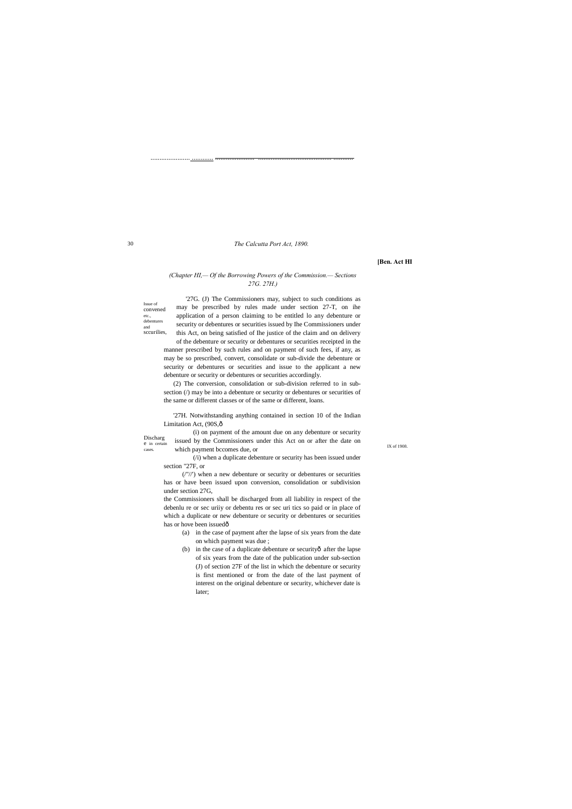30

Issue of convened etc., debentures and sccurilies,

Discharg e in certain

...................... ............ ...................... ......................................... ...........

*The Calcutta Port Act, 1890.*

**[Ben. Act HI**

# *(Chapter HI,— Of the Borrowing Powers of the Commission.— Sections 27G. 27H.)*

'27G. (J) The Commissioners may, subject to such conditions as may be prescribed by rules made under section 27-T, on ihe application of a person claiming to be entitled lo any debenture or security or debentures or securities issued by Ihe Commissioners under this Act, on being satisfied of Ihe justice of the claim and on delivery of the debenture or security or debentures or securities receipted in the

'27H. Notwithstanding anything contained in section 10 of the Indian Limitation Act, (90S, ô

cases. Which payment bccomes due, or **IX** of 1908. issued by the Commissioners under this Act on or after the date on

the Commissioners shall be discharged from all liability in respect of the debenlu re or sec uriiy or debentu res or sec uri tics so paid or in place of which a duplicate or new debenture or security or debentures or securities has or hove been issuedô

manner prescribed by such rules and on payment of such fees, if any, as may be so prescribed, convert, consolidate or sub-divide the debenture or security or debentures or securities and issue to the applicant a new debenture or security or debentures or securities accordingly.

(2) The conversion, consolidation or sub-division referred to in subsection (/) may be into a debenture or security or debentures or securities of the same or different classes or of the same or different, loans.

(i) on payment of the amount due on any debenture or security

(/i) when a duplicate debenture or security has been issued under section "27F, or

(/"//') when a new debenture or security or debentures or securities has or have been issued upon conversion, consolidation or subdivision under section 27G,

- (a) in the case of payment after the lapse of six years from the date on which payment was due ;
- (b) in the case of a duplicate debenture or securityô after the lapse of six years from the date of the publication under sub-section (J) of section 27F of the list in which the debenture or security is first mentioned or from the date of the last payment of interest on the original debenture or security, whichever date is later;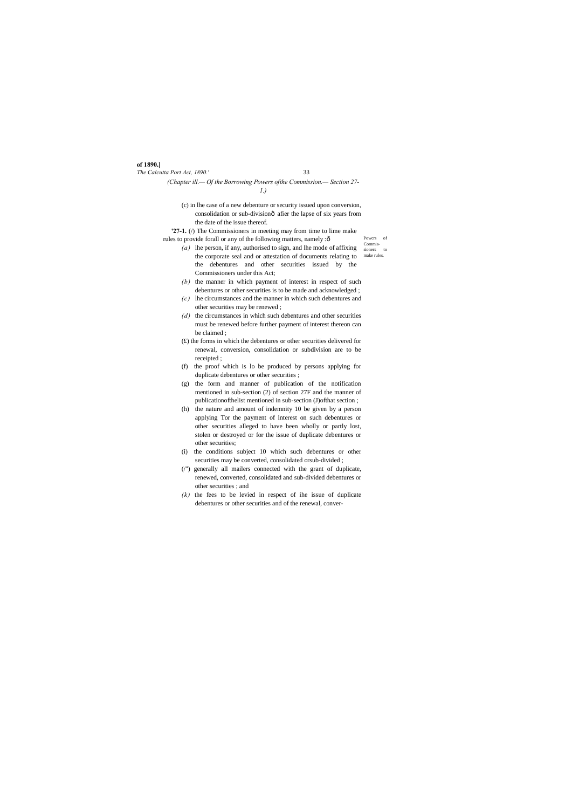# **of 1890.]**

*The Calcutta Port Act, 1890.'* 33

Powcrs of sioners to make rules.

# *(Chapter ill.— Of the Borrowing Powers ofthe Commission.— Section 27- 1.)*

(c) in lhe case of a new debenture or security issued upon conversion, consolidation or sub-divisionô afier the lapse of six years from the date of the issue thereof.

**'27-1.** (/) The Commissioners in meeting may from time to lime make

- Commisrules to provide forall or any of the following matters, namely : $\hat{o}$ *(a)* lhe person, if any, authorised to sign, and lhe mode of affixing the corporate seal and or attestation of documents relating to the debentures and other securities issued by the Commissioners under this Act;
	- *(b)* the manner in which payment of interest in respect of such debentures or other securities is to be made and acknowledged ;
	- *(c)* lhe circumstances and the manner in which such debentures and other securities may be renewed ;
	- *(d)* the circumstances in which such debentures and other securities must be renewed before further payment of interest thereon can be claimed ;
	- (£) the forms in which the debentures or other securities delivered for renewal, conversion, consolidation or subdivision are to be receipted ;
	- (f) the proof which is lo be produced by persons applying for duplicate debentures or other securities ;
	- (g) the form and manner of publication of the notification mentioned in sub-section (2) of section 27F and the manner of publicationofthelist mentioned in sub-section (J)ofthat section ;
	- (h) the nature and amount of indemnity 10 be given by a person applying Tor the payment of interest on such debentures or other securities alleged to have been wholly or partly lost, stolen or destroyed or for the issue of duplicate debentures or other securities;
	- (i) the conditions subject 10 which such debentures or other securities may be converted, consolidated orsub-divided ;
	- (/") generally all mailers connected with the grant of duplicate, renewed, converted, consolidated and sub-divided debentures or other securities ; and
	- *(k)* the fees to be levied in respect of ihe issue of duplicate debentures or other securities and of the renewal, conver-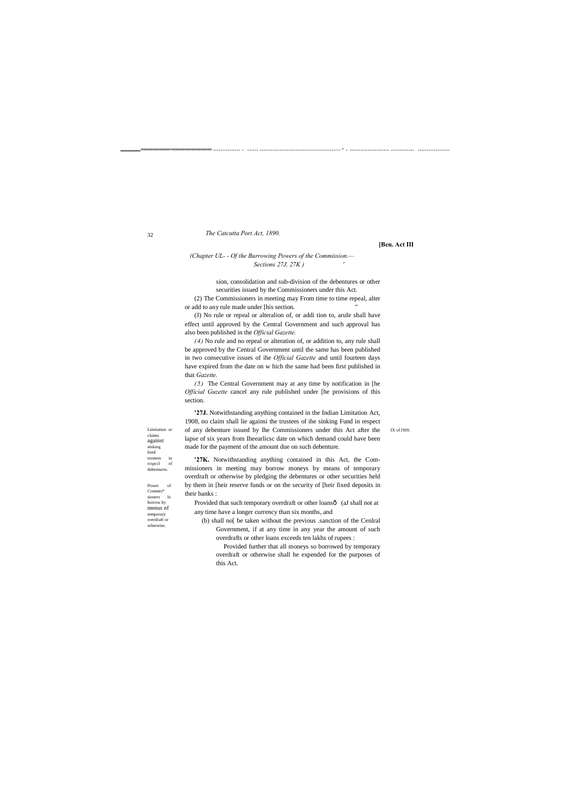32

Limitation or claims against sinking fund trustees in rcspccl of debentures.

#### IX of [90S.

................. ................ ...................... ............... . ...... .............................................- . ...................... ............. ..................

(2) The Commissioners in meeting may From time to time repeal, alter or add to any rule made under [his section.

# *The Catcutta Port Act, 1890.*

#### **[Ben. Act III**

*(Chapter UL- - Of the Burrowing Powers of the Commission.— Sections 27J, 27K ) '*

> sion, consolidation and sub-division of the debentures or other securities issued by the Commissioners under this Act.

(J) No rule or repeal or alteralion of, or addi tion to, aruIe shall have effect until approved by the Central Government and such approval has also been published in the *Official Gazette.*

*(4)* No rule and no repeal or alteration of, or addition to, any rule shall be approved by the Central Government until the same has been published in two consecutive issues of ihe *Official Gazette* and until fourteen days have expired from the date on w hich the same had been first published in that *Gazette.*

Provided that such temporary overdraft or other loansô (aJ shall not at any time have a longer currency than six months, and

*(5)* The Central Government may at any time by notification in [he *Official Guzette* cancel any rule published under [he provisions of this section.

**'27J.** Notwithstanding anything contained in the Indian Limitation Act, 1908, no claim shall lie againsi the trustees of ihe sinking Fund in respect of any debenture issued by lhe Commissioners under this Act after the lapse of six years from Iheearlicsc date on which demand could have been made for the payment of the amount due on such debenture.

**'27K.** Notwithstanding anything contained in this Act, the Commissioners in meeting may borrow moneys by means of temporary overdraft or otherwise by pledging the debentures or other securities held by them in [heir reserve funds or on the security of [heir fixed deposits in their banks :

(b) shall no[ be taken without the previous .sanction of the Cenlral Government, if at any time in any year the amount of such overdrafts or other loans exceeds ten lakhs of rupees :

Provided further that all moneys so borrowed by temporary overdraft or otherwise shall he expended for the purposes of this Act.

Power of Commis\* sioners lo borrow by menus nf temporary overdraft or otherwise.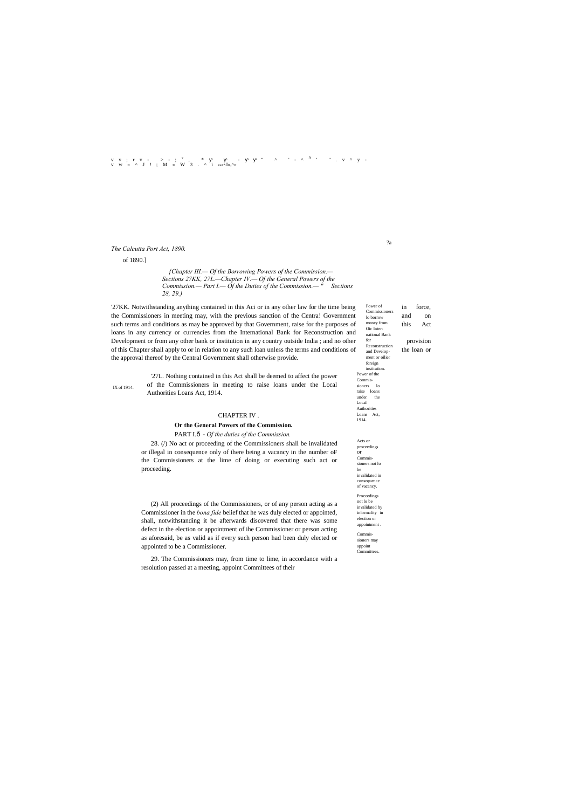?a

Power of Commissioner lo borrow money from Oic International Bank for Reconstruction and Development or oilier foreign institution. Power of the Commissioners lo raise loans under the Local Authorities Loans Act, 1914.

Acts or proceedings or Commissioners not lo be invalidated in consequence of vacancy. Proceedings not lo be invalidated hy informality in election or appointment . Commissioners may appoint **Committees** 

IX of 1914.

# v v ; r v - > - ; <sup>v</sup> , \* - ■ ■ " ^ ' - ^ <sup>A</sup> ' " . v ^ y - v w » ^ J ! ; M « W 3 . ^ i *KKK\*.*I«,^«

# *The Calcutta Port Act, 1890.*

of 1890.]

*{Chapter III.— Of the Borrowing Powers of the Commission.— Sections 27KK, 27L.—Chapter IV.— Of the General Powers of the Commission.— Part I.— Of the Duties of the Commission.— " Sections 28, 29.)*

'27KK. Notwithstanding anything contained in this Aci or in any other law for the time being Fower of in force, the Commissioners in meeting may, with the previous sanction of the Centra! Government  $\frac{1}{10 \text{ borrow}}$  and on such terms and conditions as may be approved by that Government, raise for the purposes of money from this Act loans in any currency or currencies from the International Bank for Reconstruction and Development or from any other bank or institution in any country outside India ; and no other provision of this Chapter shall apply to or in relation to any such loan unless the terms and conditions of  $\frac{\text{second Problem}}{\text{and Devler}}$  the loan or the approval thereof by the Central Government shall otherwise provide.

> '27L. Nothing contained in this Act shall be deemed to affect the power of the Commissioners in meeting to raise loans under the Local Authorities Loans Act, 1914.

#### CHAPTER IV .

#### **Or the General Powers of the Commission.**

PART I.ô - *Of the duties of the Commission*.

28. (/) No act or proceeding of the Commissioners shall be invalidated or illegal in consequence only of there being a vacancy in the number oF the Commissioners at the lime of doing or executing such act or proceeding.

(2) All proceedings of the Commissioners, or of any person acting as a Commissioner in the *bona fide* belief that he was duly elected or appointed, shall, notwithstanding it be afterwards discovered that there was some defect in the election or appointment of ihe Commissioner or person acting as aforesaid, be as valid as if every such person had been duly elected or appointed to be a Commissioner.

29. The Commissioners may, from time to lime, in accordance with a resolution passed at a meeting, appoint Committees of their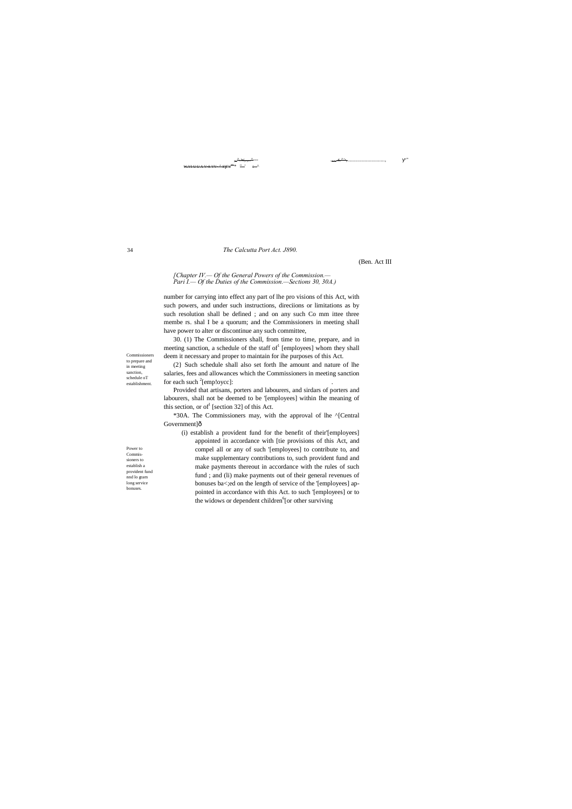34

Commissioners to prepare and in meeting sanction, schedule oT establishment.

#### ;w^.w,.,..^--- .ww.s.^>, ............................, "  $W.WUUAV-SVV-A-S-V<sup>SU*</sup> "'''$

Power to Commissioners to establish a provident fund nnd lo gram long service bonuses.

#### *The Calcutta Port Act. J890.*

(Ben. Act III

# *[Chapter IV.— Of the General Powers of the Commission.— Pari I.— Of the Duties of the Commission.—Sections 30, 30A.)*

(2} Such schedule shall also set forth Ihe amount and nature of lhe salaries, fees and allowances which the Commissioners in meeting sanction for each such  $2$ [emp!oycc]:  $\qquad \qquad$  .

Provided that artisans, porters and labourers, and sirdars of porters and labourers, shall not be deemed to be '[employees] within Ihe meaning of this section, or of [section 32] of this Act.

number for carrying into effect any part of lhe pro visions of this Act, with such powers, and under such instructions, direciions or limitations as by such resolution shall be defined ; and on any such Co mm ittee three membe rs. shal I be a quorum; and the Commissioners in meeting shall have power to alter or discontinue any such committee,

\*30A. The Commissioners may, with the approval of lhe ^[Central Government]ô

(i) establish a provident fund for the benefit of their'[employees] appointed in accordance with [tie provisions of this Act, and compel all or any of such '[employees] to contribute to, and make supplementary contributions to, such provident fund and make payments thereout in accordance with the rules of such fund ; and (li) make payments out of their general revenues of bonuses ba<;ed on the length of service of the '[employees] appointed in accordance with this Act. to such '[employees] or to the widows or dependent children<sup>6</sup>[or other surviving

30. (1) The Commissioners shall, from time to time, prepare, and in meeting sanction, a schedule of the staff of  $[$ employees] whom they shall deem it necessary and proper to maintain for ihe purposes of this Act.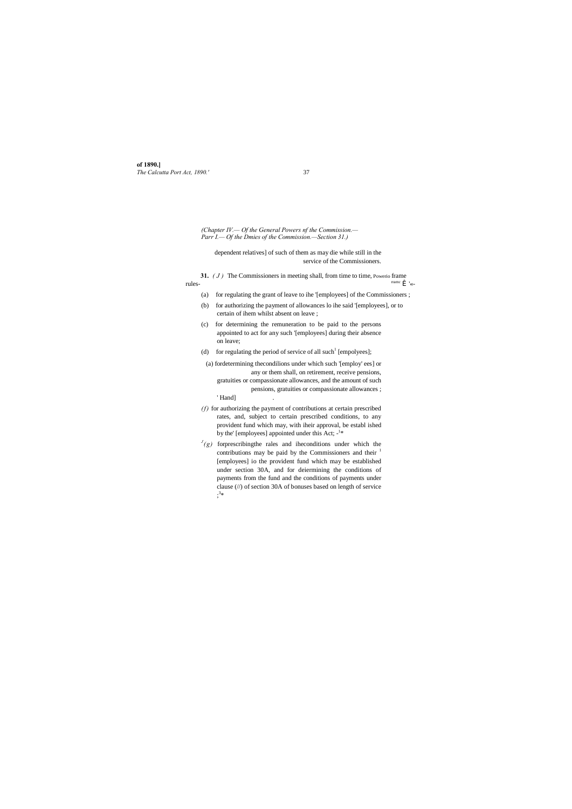**of 1890.]** *The Calcutta Port Act, 1890.'* 37

*(Chapter IV.— Of the General Powers nf the Commission.— Parr I.— Of the Dmies of the Commission.—Section 31.)*

- (a) for regulating the grant of leave to ihe '[employees] of the Commissioners ;
- (b) for authorizing the payment of allowances lo ihe said '[employees], or to certain of ihem whilst absent on leave ;
- (c) for determining the remuneration to be paid to the persons appointed to act for any such '[employees] during their absence on leave;
- (d) for regulating the period of service of all such<sup>1</sup> [empolyees];
- (a) fordetermining thecondilions under which such '[employ' ees] or any or them shall, on retirement, receive pensions, gratuities or compassionate allowances, and the amount of such pensions, gratuities or compassionate allowances ; ' Hand]
- *(f)* for authorizing the payment of contributions at certain prescribed rates, and, subject to certain prescribed conditions, to any provident fund which may, with iheir approval, be establ ished by the' [employees] appointed under this Act;  $-1*$
- $J(g)$  forprescribing the rales and ihe conditions under which the contributions may be paid by the Commissioners and their  $<sup>1</sup>$ </sup> [employees] io the provident fund which may be established under section 30A, and for deiermining the conditions of payments from the fund and the conditions of payments under clause (//) of section 30A of bonuses based on length of service  $;^{3*}$

dependent relatives] of such of them as may die while still in the service of the Commissioners.

**31.**  $(J)$  The Commissioners in meeting shall, from time to time, Powerio frame  $\int_{\text{rame}}^{\text{rame}} \hat{\mathbf{i}}$  $rule \hat{I}$   $\sim$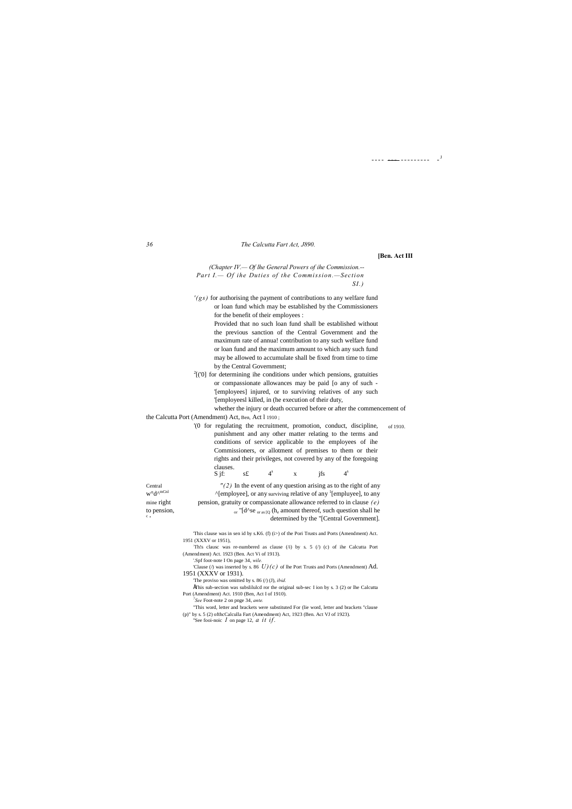---- <del>----</del>--------- -<sup>J</sup>

#### *36 The Calcutta Fart Act, J890.*

**[Ben. Act III**

*(Chapter IV.— Of lhe General Powers of ihe Commission.-- Part I.— Of ihe Duties of the Commission.—Section SI.)*

*'(gs)* for authorising the payment of contributions to any welfare fund or loan fund which may be established by the Commissioners for the benefit of their employees :

 $2$ [('0] for determining ihe conditions under which pensions, gratuities or compassionate allowances may be paid [o any of such - '[employees] injured, or to surviving relatives of any such '[employeesl killed, in (he execution of their duty,

Provided that no such loan fund shall be established without the previous sanction of the Central Government and the maximum rate of annua! contribution to any such welfare fund or loan fund and the maximum amount to which any such fund may be allowed to accumulate shall be fixed from time to time by the Central Government;

of 1910. '(0 for regulating the recruitment, promotion, conduct, discipline, punishment and any other matter relating to the terms and conditions of service applicable to the employees of ihe Commissioners, or allotment of premises to them or their rights and their privileges, not covered by any of the foregoing clauses.

S jf: s£  $4^s$  x jfs  $4^s$ 

 $c_{\perp}$ 

Central  $''(2)$  In the event of any question arising as to the right of any  $w^{\circ}d^{\text{A}}$ <sup>mCnl</sup>  $^{\circ}$  (employeel, or any surviving relative of any <sup>1</sup>[employee] to any  $w^{\circ}d^{\wedge^{mChl}}$  ^[employee], or any surviving relative of any <sup>1</sup>[empluyee], to any mine right pension, gratuity or compassionate allowance referred to in clause *(e)* to pension,  $_{\text{or}}$  "[d^se  $_{\text{or as }[Q]}$  (h<sub>e</sub> amount thereof, such question shall he determined by the "[Central Government].

whether the injury or death occurred before or after the commencement of the Calcutta Port (Amendment) Act, Ben, Act l 1910 ;

- Th!s clausc was re-numbered as clause  $(i)$  by s. 5  $(i)$  (c) of ihe Calcutta Port (Amendment) Act. 1923 (Ben. Act Vi of 1913).
- '.Spf foot-note I On page 34, *wile.*
- 'Clause ( $\ell$ ) was inserted by s. 86  $U$ )(c) of lhe Port Trusts and Ports (Amendment) Ad. 1951 (XXXV or 1931).
	- 'The proviso was omitted by s. 86 (/) (J), *ibid.*
- ÉThis sub-section was subslilulcd ror the original sub-sec I ion by s.  $3$  (2) or lhe Calcutta Port (Amendment) Act. 1910 (Ben, Act I of 1910).

'This clause was in sen id by s.K6. (f) (i>) of the Pori Trusts and Ports (Amendment) Act. 1951 (XXXV or 1951),

*7 See* Foot-note 2 on pnge 34, *ante.*

"This word, letter and brackets were substituted For (lie word, letter and brackets "clause

(p)" by s. 5 (2) ofthcCalculla Fart (Amendment) Act, 1923 (Ben. Act VJ of 1923). ''See fooi-noic *1* on page 12, *a it if.*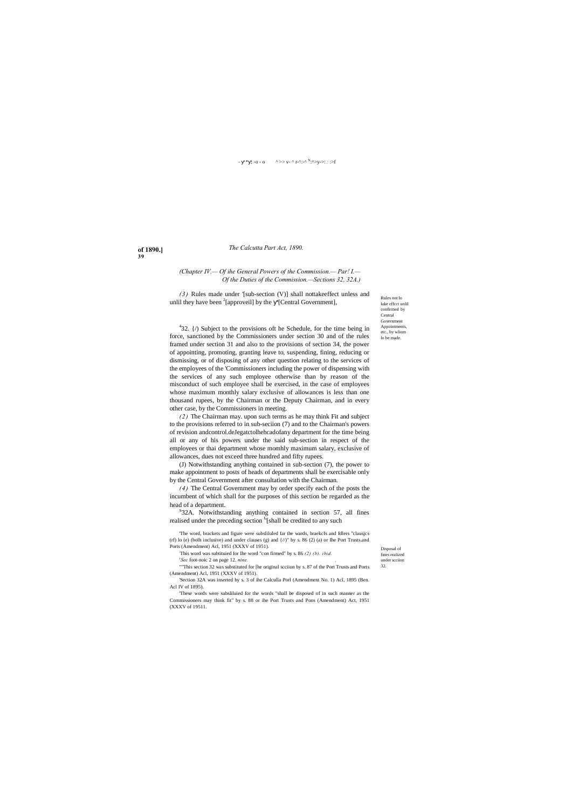# - \* : -o - o  $\wedge$  >> v- ^ r-^:-^ <sup>N</sup>:^>y->: *:* :>f

**of 1890.] 39**

> Rules not lo lake cffcct unlil confirmed by Central Government Appointments, etc., by wliom lo be made.

Disposal of fines realized under scciion 32.

*(3)* Rules made under '[sub-section (V)] shall nottakeeffect unless and unlil they have been  $2$ [approveil] by the '[Central Government],

# *The Calcutta Part Act, 1890.*

# *(Chapter IV.— Of ihe General Powers of the Commission.— Par! I.— Of the Duties of the Commission.—Sections 32, 32A.)*

 $432.$  {/) Subject to the provisions oft he Schedule, for the time being in force, sanctioned by the Commissioners under section 30 and of the rules framed under section 31 and also to the provisions of section 34, the power of appointing, promoting, granting leave to, suspending, fining, reducing or dismissing, or of disposing of any other question relating to the services of the employees of the 'Commissioners including the power of dispensing with the services of any such employee otherwise than by reason of the misconduct of such employee shall be exercised, in the case of employees whose maximum monthly salary exclusive of allowances is less than one thousand rupees, by the Chairman or the Deputy Chairman, and in every other case, by the Commissioners in meeting.

*(2)* The Chairman may. upon such terms as he may think Fit and subject to the provisions referred to in sub-seciion (7) and to the Chairman's powers of revision andcontrol.deJegatctolhehcadofany department for the time being all or any of his powers under the said sub-section in respect of the employees or thai department whose momhly maximum salary, exclusive of allowances, dues not exceed three hundred and fifty rupees.

(J) Notwithstanding anything contained in sub-section (7), the power to make appointment to posts of heads of departments shall be exercisable only by the Central Government after consultation with the Chairman.

*(4)* The Central Government may by order specify each of the posts the incumbent of which shall for the purposes of this section be regarded as the head of a department.

 $S$ 32A. Notwithstanding anything contained in section 57, all fines realised under the preceding section <sup>f</sup>'[shall be credited to any such

'The word, brackets and figure were subsliluled far the wards, braekcIs and Idlers "clausjcs (rf) lo (e) (bolh inclusive) and under clauses (g) and {//)" by s. 86 (2) (a) or Ihe Port Trusts.and Ports (Amendment) Acl, 1951 (XXXV of 1951).

; This word was subtituied for Ihe word "con firmed" by s. 86 *(2) (b). ibid.*

*y Sec* foot-noic 2 on page 12. *nine. .*

""This section 32 was substituted for [he original scciion by s. 87 of the Port Trusts and Ports (Amendment) Acl, 1951 (XXXV of 1951).

'Section 32A was inserted by s. 3 of ihe Calculla Porl (Amendment No. 1) Acl, 1895 (Ben. Acl IV of 1895).

'These words were subsliluied for the words "shall be disposed of in such manner as the Commissioners may think fit" by s. 88 or ihe Port Trusts and Pons (Amendment) Act, 1951 (XXXV of 19511.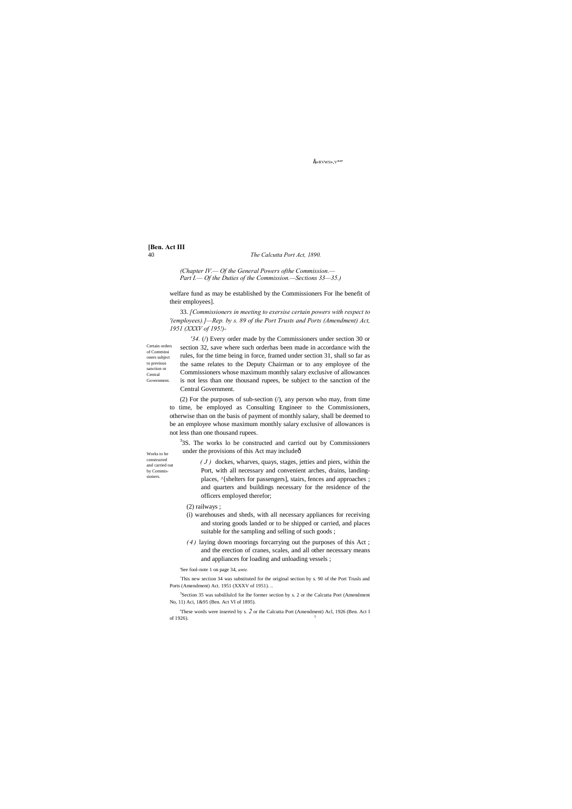$E\nrightarrow$ RVWS», V\*\*

**[Ben. Act III**

#### 40 *The Calcutta Port Act, 1890.*

Certain orders of Commissi oners subject to previous sanction or Central Government.

Works to be constructed and carried out by Commissioners.

*(Chapter IV.— Of the General Powers ofthe Commission.— Part I.— Of the Duties of the Commission.—Sections 33—35.)*

welfare fund as may be established by the Commissioners For lhe benefit of their employees].

33. *[Commissioners in meeting to exersise certain powers with respect to '(employees).]—Rep. by s. 89 of the Port Trusts and Ports (Amendment) Act, 1951 (XXXV of 195!)-*

(2) For the purposes of sub-section  $($ ), any person who may, from time to time, be employed as Consulting Engineer to the Commissioners, otherwise than on the basis of payment of monthly salary, shall be deemed to be an employee whose maximum monthly salary exclusive of allowances is not less than one thousand rupees.

<sup>3</sup>3S. The works lo be constructed and carricd out by Commissioners under the provisions of this Act may includeô

*'34.* (/) Every order made by the Commissioners under section 30 or section 32, save where such orderhas been made in accordance with the rules, for the time being in force, framed under section 31, shall so far as the same relates to the Deputy Chairman or to any employee of the Commissioners whose maximum monthly salary exclusive of allowances is not less than one thousand rupees, be subject to the sanction of the Central Government.

: This new section 34 was substituted for the original section by s. 90 of the Port Trusls and Ports (Amendment) Act. 1951 (XXXV of 1951). .

- <sup>3</sup>Section 35 was subslilulcd for lhe former section by s. 2 or the Calcutta Port (Amendment No, 11) Aci, 1&95 (Ben. Act VI of 1895).
	-

'These words were inserted by s. *2* or the Calcutta Port (Amendment) Acl, 1926 (Ben. Act I of 1926).

*( J )* dockes, wharves, quays, stages, jetties and piers, within the Port, with all necessary and convenient arches, drains, landingplaces,  $\land$ [shelters for passengers], stairs, fences and approaches ; and quarters and buildings necessary for the residence of the officers employed therefor;

# (2) railways ;

- (i) warehouses and sheds, with all necessary appliances for receiving and storing goods landed or to be shipped or carried, and places suitable for the sampling and selling of such goods ;
- *( 4 )* laying down moorings forcarrying out the purposes of this Act ; and the erection of cranes, scales, and all other necessary means and appliances for loading and unloading vessels ;

'See fool-note 1 on page 34, *ante.*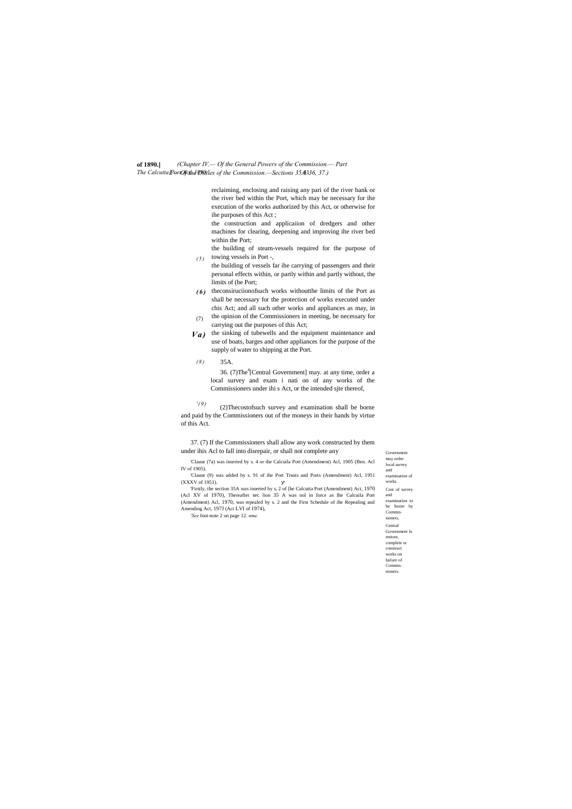#### **of 1890.]** *The Calcutta Port Act, 1890.'* 41 *I.— Of the Ditties of the Commission.—Sections 35A, 36, 37.) (Chapter IV.— Of the General Powers of the Commission.— Part*

Government may order local survey and examination of works. Cost of survey and examination to be borne by Commissioners, Central Government lo restore, complete or construct works on failure of Commissioners.

*( 5 )* the building of steam-vessels required for the purpose of towing vessels in Port -,

reclaiming, enclosing and raising any pari of the river bank or the river bed within the Port, which may be necessary for ihe execution of the works authorized by this Act, or otherwise for ihe purposes of this Act ;

the construction and applicaiion of dredgers and other machines for clearing, deepening and improving ihe river bed within the Port;

- *( 6 )* theconsiruciionofsuch works withoutthe limits of the Port as shall be necessary for the protection of works executed under chis Act; and all such other works and appliances as may, in the opinion of the Commissioners in meeting, be necessary for
- (7) carrying out the purposes of this Act;
- *Va)* the sinking of tubewells and the equipment maintenance and use of boats, barges and other appliances for the purpose of the supply of water to shipping at the Port.
- *( 8 )* 35A.

36. (7)The<sup>4</sup>[Central Government] may. at any time, order a local survey and exam i nati on of any works of the Commissioners under ihi s Act, or the intended sjte thereof,

*' ( 9 )* (2)Thecostofsuch survey and examination shall be borne and paid by the Commissioners out of the moneys in their hands by virtue of this Act.

the building of vessels far ihe carrying of passengers and their personal effects within, or partly within and partly without, the limits of (he Port;

37. (7) If the Commissioners shall allow any work constructed by them under ihis Acl to fall into disrepair, or shall not complete any

'Clause (7a) was inserted by s. 4 or the Calcuila Port (Amendment) Acl, 1905 (Ben. Acl IV of 1905).

'Clause (9) was added by s. 91 of ihe Port Trusts and Ports (Amendment) Acl, 1951 (XXXV of 1951).

'Firstly, the section 35A was inserted by s, 2 of [he Calcutta Port (Amendment) Act, 1970 (Acl XV of 1970), Thereafter sec lion 35 A was nol in force as Ihe Calcuila Port (Amendment) Acl, 1970, was repealed by s. 2 and the First Schedule of ihe Repealing and Amending Act, 197J (Act LVI of 1974),

*'See* foot-note 2 on page 12. *nme.*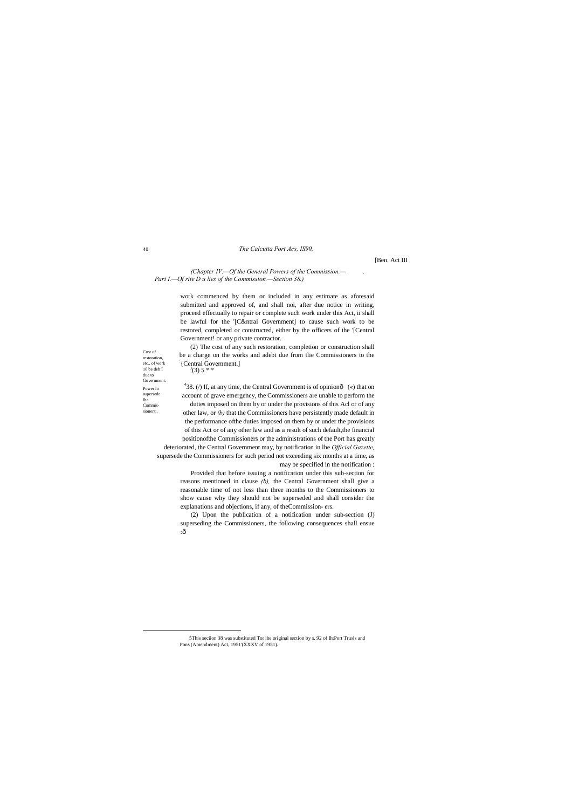Cost uf restoration, etc., of work 10 be deb I due to Government. Power lo supersede lhe Commissioners;.

# 40 *The Calcutta Port Acs, IS90.*

## [Ben. Act III

*(Chapter IV.—Of the General Powers of the Commission.— . . Part I.—Of rite D u lies of the Commission.—Section 38.)*

> (2) The cost of any such restoration, completion or construction shall be a charge on the works and adebt due from tlie Commissioners to the  $\left[ \right]$  (Central Government.)  $(3)$  5 \* \*

work commenced by them or included in any estimate as aforesaid submitted and approved of, and shall noi, after due notice in writing, proceed effectually to repair or complete such work under this Act, ii shall be lawful for the '[C&ntral Government] to cause such work to be restored, completed or constructed, either by the officers of the '[Central Government! or any private contractor.

<sup>4</sup>38. (*/*) If, at any time, the Central Government is of opinionô («) that on account of grave emergency, the Commissioners are unable to perform the duties imposed on them by or under the provisions of this Acl or of any other law, or *(b)* that the Commissioners have persistently made default in the performance ofthe duties imposed on them by or under the provisions of this Act or of any other law and as a result of such default,the financial positionofthe Commissioners or the administrations of the Port has greatly deteriorated, the Central Government may, by notification in lhe *Official Gazette,*  supersede the Commissioners for such period not exceeding six months at a time, as may be specified in the notification :

> (2) Upon the publication of a notification under sub-section (J) superseding the Commissioners, the following consequences shall ensue : $\hat{0}$

> Provided that before issuing a notification under this sub-section for reasons mentioned in clause *(b),* the Central Government shall give a reasonable time of not less than three months to the Commissioners to show cause why they should not be superseded and shall consider the explanations and objections, if any, of theCommission- ers.

 5This seciion 38 was substituted Tor ihe original section by s. 92 of IhtPort Trusls and Pons (Amendment) Act, 1951'(XXXV of 1951).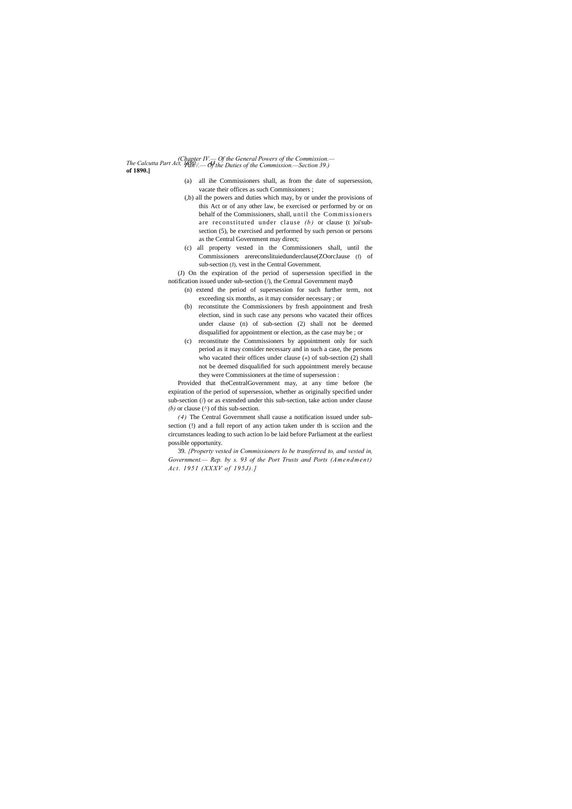*The Calcutta Part Act, 1890. 43 (Chapter IV.— Of the General Powers of the Commission.* **of 1890.]** *Pan /.— Of the Duties of the Commission.—Section 39.)*

> (J) On the expiration of the period of supersession specified in the notification issued under sub-section (/), the Cemral Government mayô

- (a) all ihe Commissioners shall, as from the date of supersession, vacate their offices as such Commissioners ;
- (,b) all the powers and duties which may, by or under the provisions of this Act or of any other law, be exercised or performed by or on behalf of the Commissioners, shall, until the Commission ers are reconstituted under clause *(b)* or clause *(t)* oi'subsection (5), be exercised and performed by such person or persons as the Central Government may direct;
- (c) all property vested in the Commissioners shall, until the Commissioners arereconslituiedunderclause(ZOorcJause (f) of sub-section (J), vest in the Central Government.

Provided that theCentralGovernment may, at any time before (he expiration of the period of supersession, whether as originally specified under sub-section (/) or as extended under this sub-section, take action under clause *(b)* or clause ( $\land$ ) of this sub-section.

- (n) extend the period of supersession for such further term, not exceeding six months, as it may consider necessary ; or
- (b) reconstitute the Commissioners by fresh appointment and fresh election, sind in such case any persons who vacated their offices under clause (n) of sub-section (2) shall not be deemed disqualified for appointment or election, as the case may be ; or
- (c) reconstitute the Commissioners by appointment only for such period as it may consider necessary and in such a case, the persons who vacated their offices under clause («) of sub-section (2) shall not be deemed disqualified for such appointment merely because they were Commissioners at the time of supersession :

*(4)* The Central Government shall cause a notification issued under subsection (!) and a full report of any action taken under th is scciion and the circumstances leading to such action lo be laid before Parliament at the earliest possible opportunity.

39. *{Property vested in Commissioners lo be transferred to, and vested in, Government.— Rep. by s. 93 of the Port Trusts and Ports (Amendment) Act. 1951 (XXXV of 195J).]*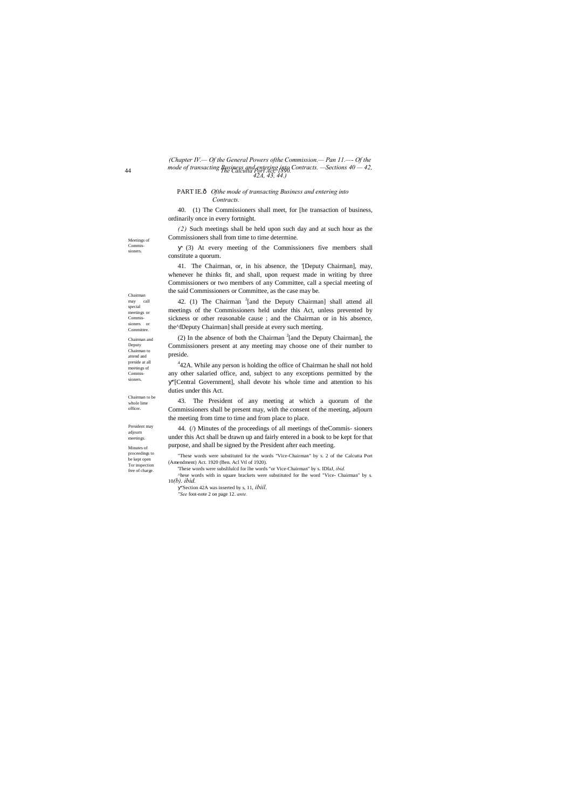Chairman may call special meetings or Commissioners or **Committee** 

Meetings of

Commissioners.

Chairman and Deputy Chairman to attend and preside at all meetings of Commissioners.

Chairman to be whole lime officer.

44 *The Calcutta Port Act, 1890. mode of transacting Business and entering into Contracts. —Sections 40 — 42, (Chapter IV.— Of the General Powers ofthe Commission.— Pan 11.—- Of the 42A, 43, 44.)*

President may adjourn meetings.

Minutes of

proceedings to be kept open Tor inspection free of charge.

## PART IE.— *Ofthe mode of transacting Business and entering into Contracts.*

40. (1) The Commissioners shall meet, for [he transaction of business, ordinarily once in every fortnight.

42. (1) The Chairman  $2$ [and the Deputy Chairman] shall attend all meetings of the Commissioners held under this Act, unless prevented by sickness or other reasonable cause ; and the Chairman or in his absence, the^fDeputy Chairman] shall preside at every such meeting.

*(2)* Such meetings shall be held upon such day and at such hour as the Commissioners shall from time to time determine.

(2) In the absence of both the Chairman  $2$ [and the Deputy Chairman], the Commissioners present at any meeting may choose one of their number to preside.

(3) At every meeting of the Commissioners five members shall constitute a quorum.

<sup>4</sup>42A. While any person is holding the office of Chairman he shall not hold any other salaried office, and, subject to any exceptions permitted by the ''[Central Government], shall devote his whole time and attention to his duties under this Act.

41. The Chairman, or, in his absence, the '[Deputy Chairman], may, whenever he thinks fit, and shall, upon request made in writing by three Commissioners or two members of any Committee, call a special meeting of the said Commissioners or Committee, as the case may be.

43. The President of any meeting at which a quorum of the Commissioners shall be present may, with the consent of the meeting, adjourn the meeting from time to time and from place to place.

44. (/) Minutes of the proceedings of all meetings of theCommis- sioners under this Act shall be drawn up and fairly entered in a book to be kept for that purpose, and shall be signed by the President after each meeting.

- 'These words were subslilulcd for lhe words "or Vice-Chairman" by s. IDfaJ, *ibid.*
- ^hese words with in square brackets were substituted for Ihe word "Vice- Chairman" by s. 10*(b). ibid.*

"Section 42A was inserted by s, 11, *ibiil.*

*''See* foot-note 2 on page 12. *ante.*

<sup>&</sup>quot;These words were substituted for the words "Vice-Chairman" by s. 2 of the Calcutta Port (Amendment) Act. 1920 (Ben. Acl Vtl of 1920).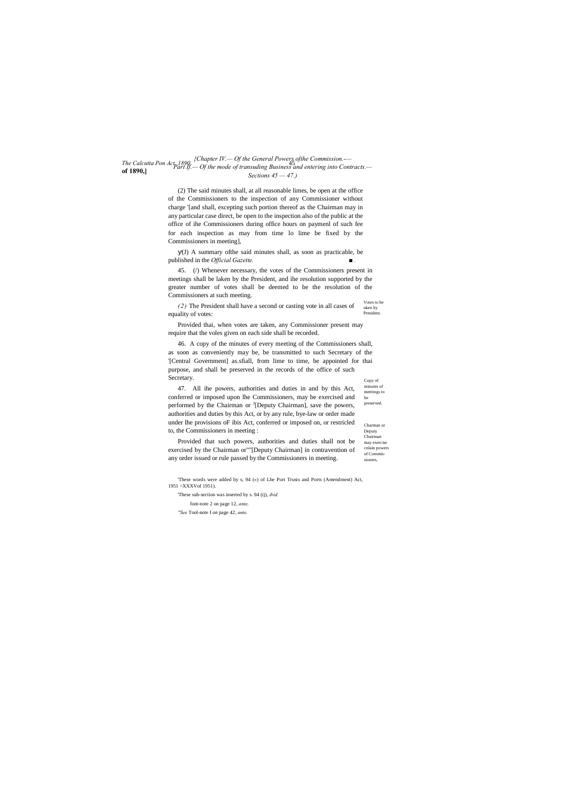minutes of meetings to be preserved. Charman or

Deputy Chairman may exercise cnlain powers of Commissioners,

#### *The Calcutta Pon Act, 1890.* 45 *{Chapter IV.— Of the General Powers ofthe Commission.-* **of 1890,]** *Part If.— Of the mode of transuding Business and entering into Contracts.— Sections 45 — 47.)*

(2) The said minutes shall, at all reasonable limes, be open at the office of the Commissioners to the inspection of any Commissioner without charge '[and shall, excepting such portion thereof as the Chairman may in any particular case direct, be open to the inspection also of the public at the office of ihe Commissioners during office hours on paymenl of such fee for each inspection as may from time lo lime be fixed by the Commissioners in meeting],

Votes to be uken by President *(2)* The President shall have a second or casting vote in all cases of equality of votes:

(J) A summary ofthe said minutes shall, as soon as practicable, be published in the *Official Gazette. ■ .*

Copy of 46. A copy of the minutes of every meeting of the Commissioners shall, as soon as conveniently may be, be transmitted to such Secretary of the '[Central Government] as.sfiall, from lime to time, be appointed for thai purpose, and shall be preserved in the records of the office of such Secretary.

45. (/) Whenever necessary, the votes of the Commissioners present in meetings shall be laken by the President, and ihe resolution supported by the greater number of votes shall be deemed to be the resolution of the Commissioners at such meeting.

Provided thai, when votes are taken, any Commissioner present may require that the voles given on each side shall be recorded.

47. All ihe powers, authorities and duties in and by this Act, conferred or imposed upon lhe Commissioners, may be exercised and performed by the Chairman or <sup>J</sup>[Deputy Chairman], save the powers, authorities and duties by this Act, or by any rule, bye-law or order made under lhe provisions oF ibis Act, conferred or imposed on, or restricled to, the Commissioners in meeting :

Provided that such powers, authorities and duties shall not be exercised by the Chairman or""[Deputy Chairman] in contravention of any order issued or rule passed by the Commissioners in meeting.

'These words were added by s, 94 («) of Lhe Port Trusts and Ports (Amendment) Act, 1951 <XXXVof 1951).

'These sub-section was inserted by s. 94 (ij), *ibid.* font-note 2 on page 12, *ante, ''See* Tool-note I on page 42, *ante.*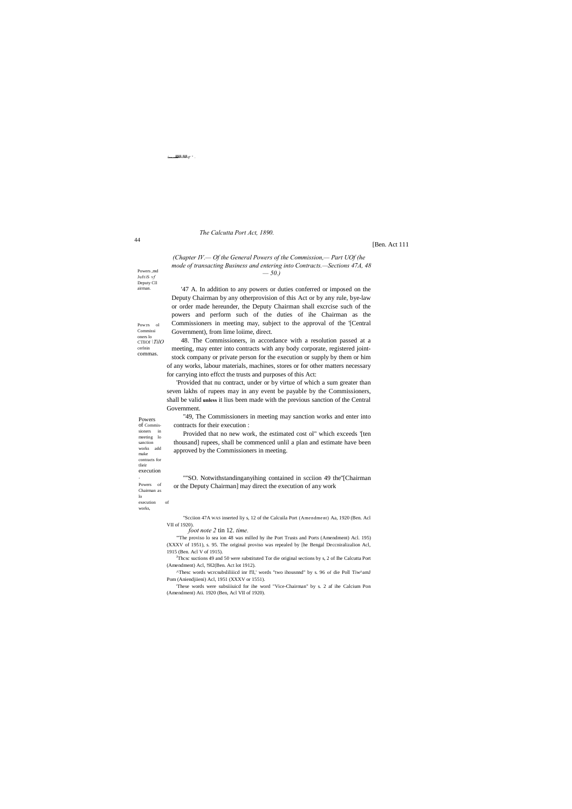44

Powers ,md Juft iS *vf*  Deputy Cll airman.

Pow:rs ol Commissi oners lo CTllOf *\TilO* cerlnin commas.

Powers of Commissioners in meeting lo sanction works add make

contracts for execution

tlieir

. Powers of Chairman as

lo execution of works,

#### $\overline{***}$  if  $\overline{t}$   $\overline{t}$   $\overline{t}$   $\overline{t}$   $\overline{t}$   $\overline{t}$   $\overline{t}$   $\overline{t}$   $\overline{t}$   $\overline{t}$   $\overline{t}$   $\overline{t}$   $\overline{t}$   $\overline{t}$   $\overline{t}$   $\overline{t}$   $\overline{t}$   $\overline{t}$   $\overline{t}$   $\overline{t}$   $\overline{t}$   $\overline{t}$   $\overline{t}$

#### *The Calcutta Port Act, 1890.*

#### [Ben. Act 111

*(Chapter IV.— Of the General Powers of the Commission,— Part UOf (he mode of transacting Business and entering into Contracts.—Sections 47A, 48 — 50.)*

'47 A. In addition to any powers or duties conferred or imposed on the Deputy Chairman by any otherprovision of this Act or by any rule, bye-law or order made hereunder, the Deputy Chairman shall excrcise such of the powers and perform such of the duties of ihe Chairman as the Commissioners in meeting may, subject to the approval of the '[Central Government), from lime loiime, direct.

48. The Commissioners, in accordance with a resolution passed at a meeting, may enter into contracts with any body corporate, registered jointstock company or private person for the execution or supply by them or him of any works, labour materials, machines, stores or for other matters necessary for carrying into effcct the trusts and purposes of this Act:

<sup>J</sup>Thcsc suctions 49 and 50 were substituted Tor die original sections by s, 2 of Ihe Calcutta Port (Amendment) Acl, !9l2(Ben. Act lot 1912).

^Thesc words wcrcsubsliliiicd inr I'll,' words "two ihousnnd" by s. 96 of die Poll Tiw^amJ Pom (Aniendiiieni) Acl, 1951 (XXXV or 1551).

'Provided that nu contract, under or by virtue of which a sum greater than seven lakhs of rupees may in any event be payable by the Commissioners, shall be valid **unless** it lius been made with the previous sanction of the Central Government.

"49, The Commissioners in meeting may sanction works and enter into contracts for their execution :

Provided that no new work, the estimated cost ol" which exceeds '[ten thousand] rupees, shall be commenced unlil a plan and estimate have been approved by the Commissioners in meeting.

""SO. Notwithstandinganyihing contained in scciion 49 the''[Chairman or the Deputy Chairman] may direct the execution of any work

"Scciion 47A WAS inserted liy s, 12 of the Calcuila Port (Amendment) Aa, 1920 (Ben. Acl VII of 1920).

*foot note 2* tin 12. *time.*

"'The proviso lo sea ion 48 was milled hy ihe Port Trusts and Ports (Amendment) Acl. 195) (XXXV of 1951), s. 95. The original proviso was repealed by [he Bengal Deccniralizalion Acl, 1915 (Ben. Acl V of 1915).

'These words were subsiiiuicd for ihe word "Vice-Chairman" by s. 2 af ihe Calcium Pon (Amendment) Ati. 1920 (Ben, Acl VII of 1920).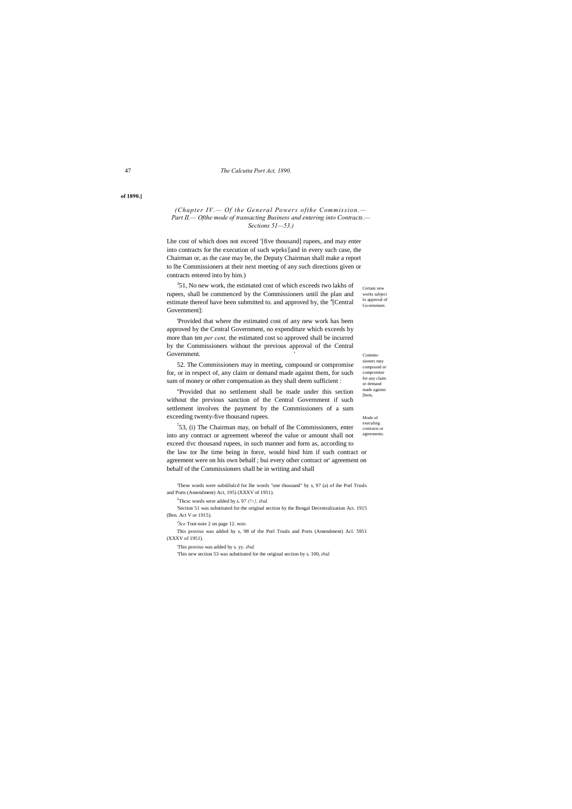#### 47 *The Calcutta Port Act, 1890.*

Commissioners may

compound or compromise for any claim or demand made against [hem,

Mode of execuling coniracis or agreements.

**of 1890.]**

## *(Chapter IV.— Of the General Powers ofthe Commission.— Part II.— Ofthe mode of transacting Business and entering into Contracts.— Sections 51—53.)*

'Provided that where the estimated cost of any new work has been approved by the Central Government, no expenditure which exceeds by more than ten *per cent,* the estimated cost so approved shall be incurred by the Commissioners without the previous approval of the Central Government.

Certain new works subject lo approval of Government. <sup>3</sup>51, No new work, the estimated cost of which exceeds two lakhs of rupees, shall be commenced by the Commissioners until ihe plan and estimate thereof have been submitted to. and approved by, the <sup>4</sup>[Central Government]:

Lhe cost of which does not exceed '[five thousand] rupees, and may enter into contracts for the execution of such wprks: [and in every such case, the Chairman or, as the case may be, the Deputy Chairman shall make a report to lhe Commissioners at their next meeting of any such directions given or contracts entered into by him.)

 $753$ , (i) The Chairman may, on behalf of lhe Commissioners, enter into any contract or agreement whereof the value or amount shall not exceed tlvc thousand rupees, in such manner and form as, according to the law tor lhe time being in force, would bind him if such contract or agreement were on his own behalf ; bui every other contract or' agreement on behalf of the Commissioners shall be in writing and shall

52. The Commissioners may in meeting, compound or compromise for, or in respect of, any claim or demand made against them, for such sum of money or other compensation as they shall deem sufficient :

''Provided that no settlement shall be made under this section without the previous sanction of the Central Government if such settlement involves the payment by the Commissioners of a sum exceeding twenty-five thousand rupees.

'These words were subslilulcd for lhe words "one thousand" by s, 97 (a) of ihe Porl Trusls and Ports (Amendment) Act, 195) (XXXV of 1951).

2 Thcsc words were added by s. 97 *(!>}, ibid.*

'Section 51 was substituted for the original section by the Bengal Decentralization Act. 1915 (Ben. Act V or 1915).

*J Sce* Toot-noie 2 on page 12. *mite.*

This proviso was added by s, 98 of the Porl Trusls and Ports (Amendment) Acl. 5951 (XXXV of 1951).

'This proviso was added by s. yy. *ibid.*

'This new section 53 was substituted for the original section by s. 100, *ibid.*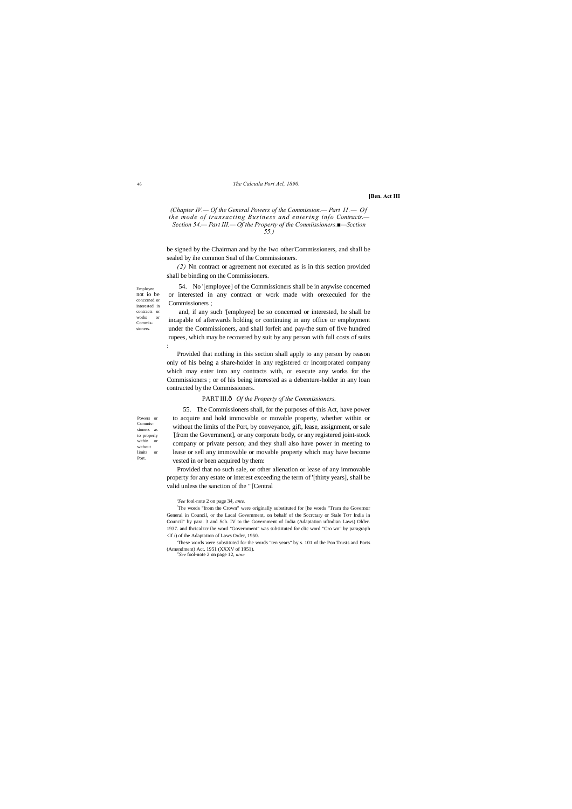Employee not io be conccrned or interested in contracts or works or Commissioners.

Powers or Commissioners as to properly within or without limits or Port.

# 46 *The Calcuila Port Acl, 1890.*

#### **[Ben. Act III**

*(Chapter IV.— Of the General Powers of the Commission.— Part II.— Of the mode of transacting Business and entering info Contracts.— Section 54.— Part III.— Of the Property of the Conmiissioners.■—Scction 55.)*

be signed by the Chairman and by the Iwo other'Commissioners, and shall be sealed by ihe common Seal of the Commissioners.

*(2)* Nn contract or agreement not executed as is in this section provided shall be binding on the Commissioners.

54. No '[employee] of the Commissioners shall be in anywise concerned or interested in any contract or work made with orexecuied for the Commissioners ;

and, if any such '[employee] be so concerned or interested, he shall be incapable of afterwards holding or continuing in any office or employment under the Commissioners, and shall forfeit and pay-the sum of five hundred rupees, which may be recovered by suit by any person with full costs of suits :

Provided that nothing in this section shall apply to any person by reason only of his being a share-holder in any registered or incorporated company which may enter into any contracts with, or execute any works for the Commissioners ; or of his being interested as a debenture-holder in any loan contracted by the Commissioners.

#### PART III. $\delta$  *Of the Property of the Commissioners.*

55. The Commissioners shall, for the purposes of this Act, have power to acquire and hold immovable or movable property, whether within or without the limits of the Port, by conveyance, gift, lease, assignment, or sale : [from the Government], or any corporate body, or any registered joint-stock company or private person; and they shall also have power in meeting to lease or sell any immovable or movable property which may have become vested in or been acquired by them:

Provided that no such sale, or other alienation or lease of any immovable property for any estate or interest exceeding the term of '[thirty years], shall be valid unless the sanction of the "'[Central

#### *'See* fool-note 2 on page 34, *ante.*

: The words "from the Crown" were originally substituted for [he words "Tram the Governor General in Council, or the Lacal Government, on behalf of the Sccrctary or Stale TOT India in Council" by para. 3 and Sch. IV to the Government of India (Adaptation uftndian Laws) Older. 1937. and Ihcical'tcr ihe word "Government" was subsiituted for clic word "Cro wn" by paragraph <lf /) of ihe Adaptation of Laws Order, 1950.

'These words were substituted for the words "ten years" by s. 101 of the Pon Trusts and Ports (Amendment) Act. 1951 (XXXV of 1951). *<sup>4</sup> See* fool-note 2 on page 12, *nine*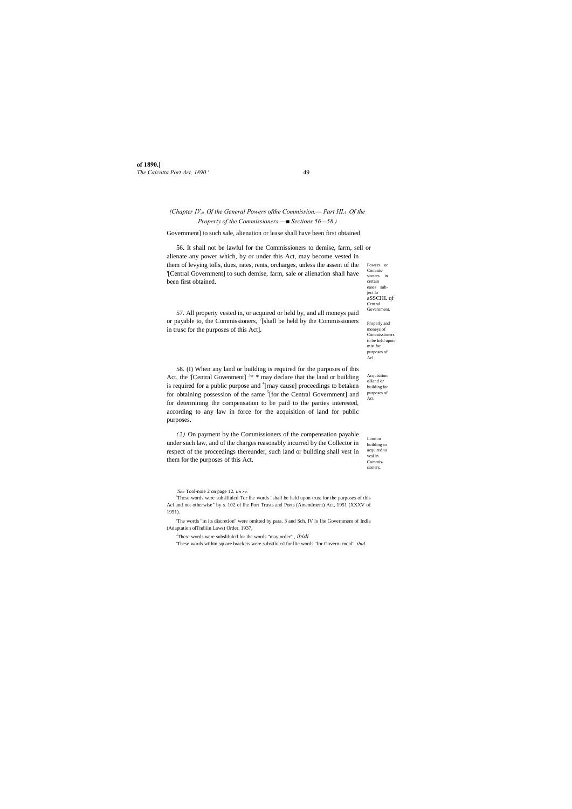**of 1890.]** *The Calcutta Port Act, 1890.'* 49

eases subject lo aSSCHL qf Central Government

Properly and moneys of Commissioners to be held upon mist for purposes of Acl.

Acquisition oHand or building for purposes of Act.

Lund or building so acquired to vcsl in Commissioners,

# *(Chapter IV.*— *Of the General Powers ofthe Commission.— Part HI.*— *Of the Property of the Commissioners.—■ Sections 56—58.)*

Powers or Commissioners in certain 56. It shall not be lawful for the Commissioners to demise, farm, sell or alienate any power which, by or under this Act, may become vested in them of levying tolls, dues, rates, rents, orcharges, unless the assent of the '[Central Government] to such demise, farm, sale or alienation shall have been first obtained.

Government] to such sale, alienation or lease shall have been first obtained.

57. All property vested in, or acquired or held by, and all moneys paid or payable to, the Commissioners,  $^{2}$ [shall be held by the Commissioners in trusc for the purposes of this Act].

58. (I) When any land or building is required for the purposes of this Act, the '[Central Govenment]<sup>3\*</sup> may declare that the land or building is required for a public purpose and <sup>4</sup>[rnay cause] proceedings to betaken for obtaining possession of the same <sup>5</sup>[for the Central Government] and for determining the compensation to be paid to the parties interested, according to any law in force for the acquisition of land for public purposes.

*(2)* On payment by the Commissioners of the compensation payable under such law, and of the charges reasonably incurred by the Collector in respect of the proceedings thereunder, such land or building shall vest in them for the purposes of this Act.

*'See* Tool-noie 2 on page 12. *tin re.*

: Thcse words were subslilulcd Tor lhe words "shall be held upon trust for the purposes of this Acl and not otherwise" by s. 102 of lhe Port Trusts and Ports (Amendment) Act, 1951 (XXXV of 1951).

'The words "in its discretion" were omitted by para. 3 and Sch. IV lo lhe Government of India (Adaptation olTndiiin Laws) Order. 1937,

J Thcsc words were subslilulcd for ihe words "may order" , *ibidi.*

'These words wiihin square brackets were subslilulcd for llic words "for Govern- mcnl", *ibid.*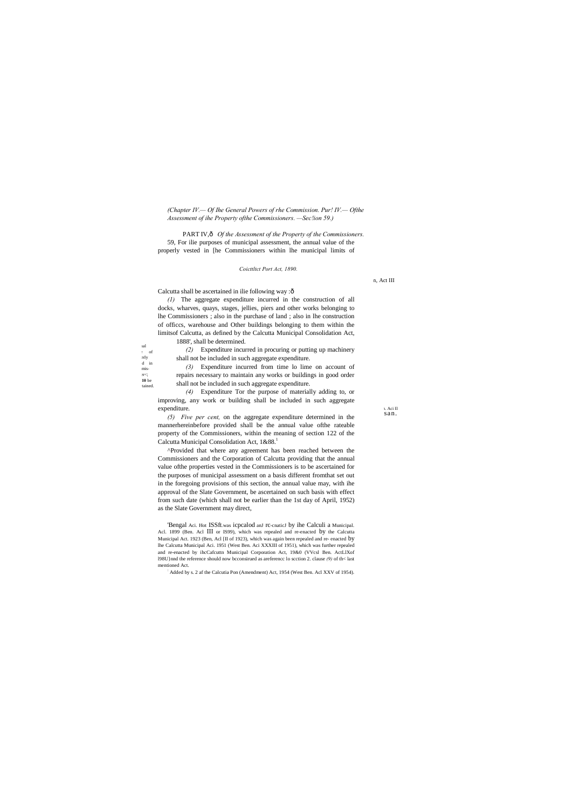#### *The Coicttltct Port Act, 1890.*

Calcutta shall be ascertained in ilie following way : ô

 $_{\rm{hal}}$  $\cdot$  of erly vested in mis- $\overline{\text{er}}$ ; **10** be tained.

*(Chapter IV.— Of Ihe General Powers of rhe Commission. Pur! IV.— Ofthe Assessment of ihe Property ofthe Commissioners. —Sec!ion 59.)*

PART IV, $\hat{o}$  *Of the Assessment of the Property of the Commissioners.* 59, For ilie purposes of municipal assessment, the annual value of the properly vested in [he Commissioners within lhe municipal limits of

*(5) Five per cent,* on the aggregate expenditure determined in the mannerhereinbefore provided shall be the annual value ofthe rateable property of the Commissioners, within the meaning of section 122 of the Calcutta Municipal Consolidation Act, 1&88.<sup>1</sup>

*(1)* The aggregate expenditure incurred in the construction of all docks, wharves, quays, stages, jellies, piers and other works belonging to lhe Commissioners ; also in the purchase of land ; also in lhe construction of officcs, warehouse and Other buildings belonging to them within the limitsof Calcutta, as defined by the Calcutta Municipal Consolidation Act, 1888', shall be determined.

*(2)* Expenditure incurred in procuring or putting up machinery shall not be included in such aggregate expenditure.

*(3)* Expenditure incurred from time lo lime on account of repairs necessary to maintain any works or buildings in good order shall not be included in such aggregate expenditure.

*(4)* Expenditure Tor the purpose of materially adding to, or improving, any work or building shall be included in such aggregate expenditure.

'Bengal Aci. Hot ISSft.was icpcalod anJ rc-cnaticJ by ihe Calculi a Municipal. Acl. 1899 (Ben. Acl III or IS99), which was repealed and re-enacted by the Calcutta Municipal Act. 1923 (Ben, Acl [II of 1923), which was again been repealed and re- enacted by lhe Calcutta Municipal Aci. 1951 (West Ben. Aci XXXIII of 1951), which was further repealed and re-enacted by ihcCafcuttn Municipal Corporation Act, 19&0 (VVcsl Ben. ActLlXof l98U}nnd the reference should now bcconsirued as areferencc lo scction 2. clause *(9)* of th< last mentioned Act.

^Provided that where any agreement has been reached between the Commissioners and the Corporation of Calcutta providing that the annual value ofthe properties vested in the Commissioners is to be ascertained for the purposes of municipal assessment on a basis different fromthat set out in the foregoing provisions of this section, the annual value may, with ihe approval of the Slate Government, be ascertained on such basis with effect from such date (which shall not be earlier than the 1st day of April, 1952) as the Slate Government may direct,

Added by s. 2 af the Calcutia Pon (Amendment) Act, 1954 (West Ben. Acl XXV of 1954).

1. Aci II san.

n, Act III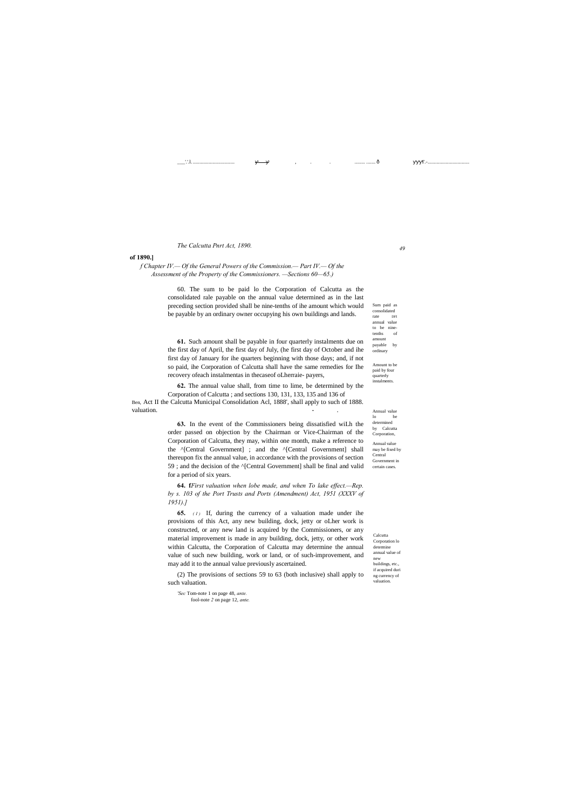*49*

Calcutta Corporation lo determine annual value of new buildings, etc., if acquired duri ng currency of valuation.

Sum paid as consolidated rate DFI<br>annual value annual  $\,$ to be ninetenths of amount payable by ordinary

Amount to be paid by four quarterly instalments.

Annual value lo be determined by Calcutta Corporation, Annual value may be fixed by Central Government in certain cases.

\_\_\_'.'.l. ................................ , . . ........ ....... — ■■■I'.-................................

## *The Calcutta Pnrt Act, 1890.*

**of 1890.]**

*f Chapter IV.— Of the General Powers of the Commission.— Part IV.— Of the Assessment of the Property of the Commissioners. —Sections 60—65.)*

**62.** The annual value shall, from time to lime, be determined by the Corporation of Calcutta ; and sections 130, 131, 133, 135 and 136 of Ben, Act II the Calcutta Municipal Consolidation Acl, 1888', shall apply to such of 1888. valuation.

60. The sum to be paid lo the Corporation of Calcutta as the consolidated rale payable on the annual value determined as in the last preceding section provided shall be nine-tenths of ihe amount which would be payable by an ordinary owner occupying his own buildings and lands.

**61.** Such amount shall be payable in four quarterly instalments due on the first day of April, the first day of July, (he first day of October and ihe first day of January for ihe quarters beginning with those days; and, if not so paid, ihe Corporation of Calcutta shall have the same remedies for Ihe recovery ofeach instalmentas in thecaseof oLherraie- payers,

**65.** *(1)* If, during the currency of a valuation made under ihe provisions of this Act, any new building, dock, jetty or oLher work is constructed, or any new land is acquired by the Commissioners, or any material improvement is made in any building, dock, jetty, or other work within Calcutta, the Corporation of Calcutta may determine the annual value of such new building, work or land, or of such-improvement, and may add it to the annual value previously ascertained.

**63.** In the event of the Commissioners being dissatisfied wiLh the order passed on objection by the Chairman or Vice-Chairman of the Corporation of Calcutta, they may, within one month, make a reference to the ^[Central Government] ; and the ^[Central Government] shall thereupon fix the annual value, in accordance with the provisions of section 59 ; and the decision of the ^[Central Government] shall be final and valid for a period of six years.

**64. f***First valuation when lobe made, and when To lake effect.—Rep. by s. 103 of the Port Trusts and Ports (Amendment) Act, 1951 (XXXV of 1951).]*

(2) The provisions of sections 59 to 63 (both inclusive) shall apply to such valuation.

*'Sec* Tom-note 1 on page 48, *ante.* fool-note *2* on page 12, *ante.*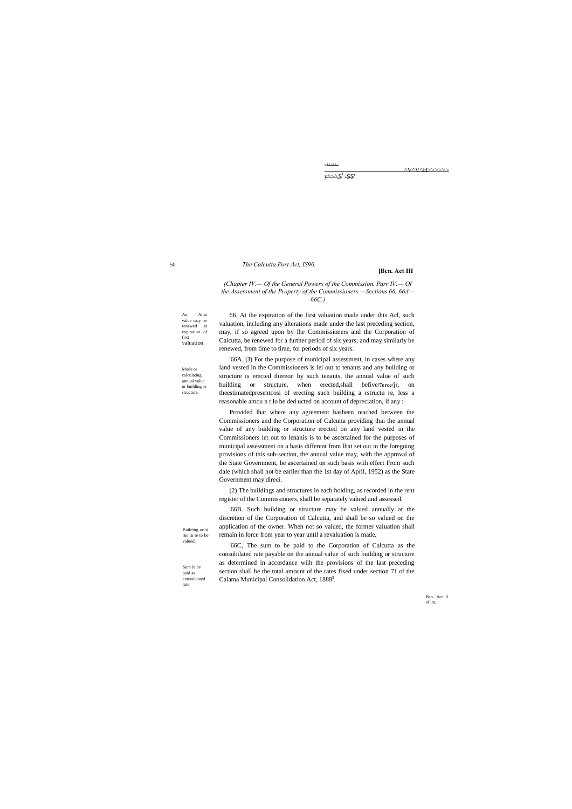50

An Altai value may be<br>renewed at  $\,$  renewed  $\,$ expiration of first valuation.

Mode or calculating annual value or building or structure.

Building or si rue tu re to be valued.

Sum lo be paid as consolidated rate.

y^>^;S<sup>L</sup>SS'

lULLLL^

^V^V^H>>>>>>

#### *The Calcutta Port Act, IS90.*

#### **[Ben. Act III**

*(Chapter IV.— Of the General Powers of the Commission. Parr IV.— Of the Assessment of the Property of the Commissioners.—Sections 66, 66A— 66C.)*

66. At ihe expiration of the first valuation made under this Acl, such valuation, including any alterations made under the last preceding section, may, if so agreed upon by lhe Commissioners and the Corporation of Calcutta, be renewed for a further period of six years; and may similarly be renewed, from time to time, for periods of six years.

'66A. (J) For the purpose of municipal assessment, in cases where any land vested in the Commissioners is lei out to tenants and any building or structure is erected thereon by such tenants, the annual value of such building or structure, when erected,shall befive**/7erce**/jr, on theestimatedpresentcosi of erecting such building a rstructu re, less a reasonable amou n t lo be ded ucted on account of depreciation, if any :

'66C, The sum to be paid to the Corporation of Calcutta as the consolidated rate payable on the annual value of such building or structure as determined in accordance wiih the provisions of the last preceding section shall be the total amount of the rates fixed under section 71 of the Calama Municipal Consolidation Act, 1888<sup>3</sup>.

Provided lhat where any agreement hasbeen reached between the Commissioners and the Corporation of Calcutta providing thai the annual value of any building or structure erected on any land vested in the Commissioners let out to lenanis is to be ascertained for the purposes of municipal assessment on a basis different from lhat set out in the foregoing provisions of this sub-section, the annual value may, with the apprnval of the State Government, be ascertained on such basis wiih effect From such dale (which shall not be earlier than the 1st day of April, 1952) as the State Government may direci.

(2) The buildings and structures in each holding, as recorded in the rent register of the Commissioners, shall be separately valued and assessed.

'66B. Such building or structure may be valued annually at the discretion of the Corporation of Calcutta, and shall be so valued on the application of the owner. When not so valued, the former valuation shall remain in force from year to year until a revaluation is made.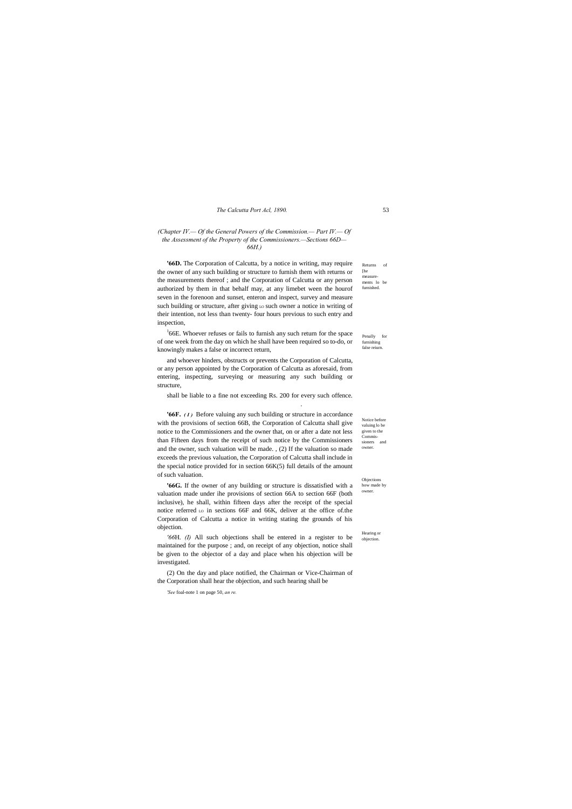#### *The Calcutta Port Acl, 1890.* 53

Notice before valuing lo be given to the Commissioners and owner

Objections how made by owner

Hearing or objection.

#### *(Chapter IV.— Of the General Powers of the Commission.— Part IV.— Of the Assessment of the Property of the Commissioners.—Sections 66D— 66H.)*

Returns of [he measurements lo be furnished. **'66D.** The Corporation of Calcutta, by a notice in writing, may require the owner of any such building or structure to furnish them with returns or the measurements thereof ; and the Corporation of Calcutta or any person authorized by them in that behalf may, at any limebet ween the hourof seven in the forenoon and sunset, enteron and inspect, survey and measure such building or structure, after giving Lo such owner a notice in writing of their intention, not less than twenty- four hours previous to such entry and inspection,

Penally for furnishing false reiurn  $166E$ . Whoever refuses or fails to furnish any such return for the space of one week from the day on which he shall have been required so to-do, or knowingly makes a false or incorrect return,

and whoever hinders, obstructs or prevents the Corporation of Calcutta, or any person appointed by the Corporation of Calcutta as aforesaid, from entering, inspecting, surveying or measuring any such building or structure,

shall be liable to a fine not exceeding Rs. 200 for every such offence.

.

**'66F.** *( I )* Before valuing any such building or structure in accordance with the provisions of section 66B, the Corporation of Calcutta shall give notice to the Commissioners and the owner that, on or after a date not less than Fifteen days from the receipt of such notice by the Commissioners and the owner, such valuation will be made. , (2) If the valuation so made exceeds the previous valuation, the Corporation of Calcutta shall include in the special notice provided for in section 66K(5) full details of the amount of such valuation.

**'66G.** If the owner of any building or structure is dissatisfied with a valuation made under ihe provisions of section 66A to section 66F (both inclusive), he shall, within fifteen days after the receipt of the special notice referred Lo in sections 66F and 66K, deliver at the office of the Corporation of Calcutta a notice in writing stating the grounds of his objection.

*'66*H. *(I)* All such objections shall be entered in a register to be maintained for the purpose ; and, on receipt of any objection, notice shall be given to the objector of a day and place when his objection will be investigated.

(2) On the day and place notified, the Chairman or Vice-Chairman of the Corporation shall hear the objection, and such hearing shall be

*'See* foal-note 1 on page 50, *an re.*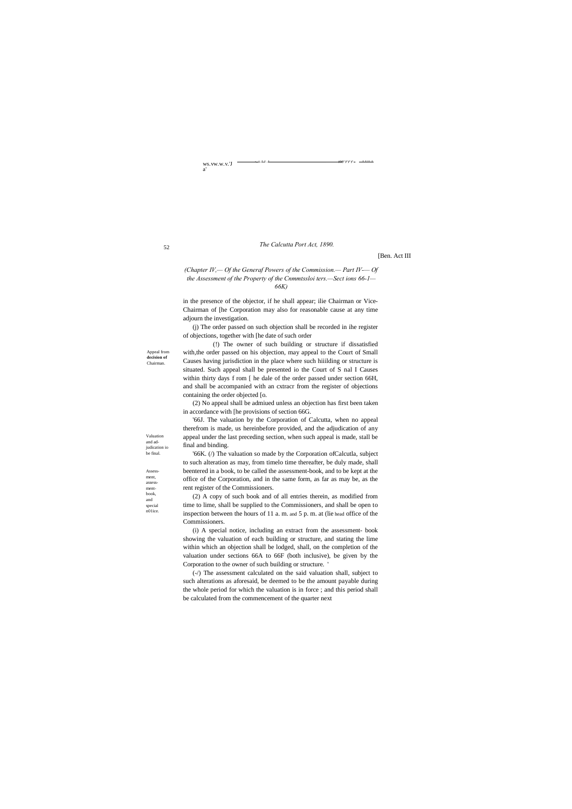ws.vw.w.v.'J

Appeal from **decision of**  Chairman

a'

52

Valuation and adjudication io be final.

Assessment, assessmentbook, and special

n01ice.

. -,,.i...I,.J ..J. .................................. ■■■ ■ ■ ■ . . . L U L J

#### *The Calcutta Port Act, 1890.*

[Ben. Act III

*(Chapter IV,— Of the Generaf Powers of the Commission.— Part IV-— Of the Assessment of the Property of the Cnmmtssloi ters.—Sect ions 66-1— 66K)*

in the presence of the objector, if he shall appear; ilie Chairman or Vice-Chairman of [he Corporation may also for reasonable cause at any time adjourn the investigation.

(j) The order passed on such objection shall be recorded in ihe register of objections, together with [he date of such order

(!) The owner of such building or structure if dissatisfied with,the order passed on his objection, may appeal to the Court of Small Causes having jurisdiction in the place where such hiiilding or structure is situated. Such appeal shall be presented io the Court of S nal I Causes within thirty days f rom [ he dale of the order passed under section 66H, and shall be accompanied with an cxtracr from the register of objections containing the order objected [o.

(2) No appeal shall be admiued unless an objection has first been taken in accordance with [he provisions of section 66G.

'66J. The valuation by the Corporation of Calcutta, when no appeal therefrom is made, us hereinbefore provided, and the adjudication of any appeal under the last preceding section, when such appeal is made, stall be final and binding.

'66K. (/) The valuation so made by the Corporation ofCalcutla, subject to such alteration as may, from timelo time thereafter, be duly made, shall beentered in a book, to be called the assessment-book, and to be kept at the office of the Corporation, and in the same form, as far as may be, as the rent register of the Commissioners.

(2) A copy of such book and of all entries therein, as modified from time to lime, shall be supplied to the Commissioners, and shall be open to inspection between the hours of 11 a. m. and 5 p. m. at (lie head office of the Commissioners.

(i) A special notice, including an extract from the assessment- book showing the valuation of each building or structure, and stating the lime within which an objection shall be lodged, shall, on the completion of the valuation under sections 66A to 66F (both inclusive), be given by the Corporation to the owner of such building or structure. '

(-/) The assessment calculated on the said valuation shall, subject to such alterations as aforesaid, be deemed to be the amount payable during the whole period for which the valuation is in force ; and this period shall be calculated from the commencement of the quarter next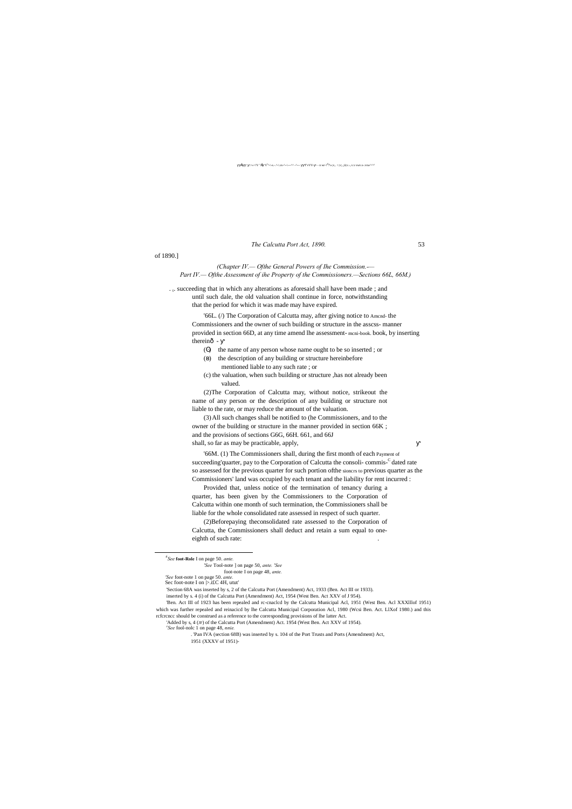#### $\dot{E}$  ; .>»>!V '? $\dot{E}$  V<sup>s</sup>^-\-s.-.^-\.vs-^--\---^^ -^--- TvVV- - - n wr-?<sup>6</sup>7\»;v,. >;v;.,;ii;v.-,.v.v swv.s-.vxw^^^

*The Calcutta Port Act, 1890.* 53

of 1890.]

*(Chapter IV.— Ofthe General Powers of Ihe Commission.-— Part IV.— Ofthe Assessment of ihe Property of the Commissioners.—Sections 66L, 66M.)*

. t. succeeding that in which any alterations as aforesaid shall have been made; and until such dale, the old valuation shall continue in force, notwithstanding that the period for which it was made may have expired.

'66L. (/) The Corporation of Calcutta may, after giving notice to Amcnd- the Commissioners and the owner of such building or structure in the asscss- manner provided in section 66D, at any time amend lhe assessment- mcni-book. book, by inserting thereinô -

- ( ) the name of any person whose name ought to be so inserted ; or
- ( ) the description of any building or structure hereinbefore mentioned liable to any such rate ; or
- (c) the valuation, when such building or structure ,has not already been valued.

(2)Beforepaying theconsolidated rate assessed to the Corporation of Calcutta, the Commissioners shall deduct and retain a sum equal to oneeighth of such rate:

(2)The Corporation of Calcutta may, without notice, strikeout the name of any person or the description of any building or structure not liable to the rate, or may reduce the amount of the valuation.

(3)All such changes shall be notified to (he Commissioners, and to the owner of the building or structure in the manner provided in section 66K ; and the provisions of sections G6G, 66H. 661, and 66J shall, so far as may be practicable, apply,

'Added by s, 4 (JF) of the Calcutta Port (Amendment) Act. 1954 (West Ben. Act XXV of 1954). *See* fool-nolc 1 on page 48, *nnie.*

'66M. (1) The Commissioners shall, during the first month of each Payment of succeeding'quarter, pay to the Corporation of Calcutta the consoli-commis-<sup>C</sup> dated rate so assessed for the previous quarter for such portion ofthe sioncrs to previous quarter as the Commissioners' land was occupied by each tenant and the liability for rent incurred :

Provided that, unless notice of the termination of tenancy during a quarter, has been given by the Commissioners to the Corporation of Calcutta within one month of such termination, the Commissioners shall be liable for the whole consolidated rate assessed in respect of such quarter.

rcfcrcncc should be construed as a reference to the corresponding provisions of lhe latter Act.

. 'Pan IVA (section 68B) was inserted by s. 104 of the Port Trusts and Ports (Amendment) Act, 1951 (XXXV of 1951)-

<sup>&#</sup>x27;Ben. Act III of 1923 has been repealed and rc-cnaclcd by the Calcutta Municipal Acl, 1951 (West Ben. Acl XXXlllof 1951) ch was further repealed and reinacicd by lhe Calcutta Municipal Corporation Acl, 1980 (Wcsi Ben. Act. LlXof 1980.) and this

*<sup>6</sup> See* **foot-Role** I on page 50. *ante.*

*<sup>&#</sup>x27;See* Tool-note ] on page 50, *ante. 'See*

foot-note I on page 48, *ante. 'See* foot-note 1 on page 50. *ante.*

Sec foot-note I on  $\triangleright$  if C 4H, utut

<sup>&#</sup>x27;Section 68A was inserted by s, 2 of the Calcutta Port (Amendment) Act, 1933 (Ben. Act III or 1933).

inserted by s. 4 (i) of the Calcutta Port (Amendment) Act, 1954 (West Ben. Act XXV of J 954).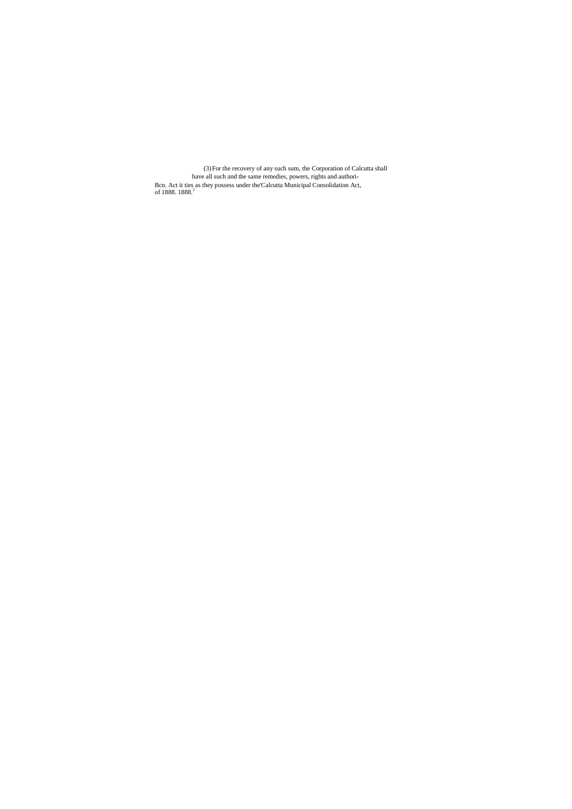(3)For the recovery of any such sum, the Corporation of Calcutta shall have all such and the same remedies, powers, rights and authori-Bcn. Act it ties as they possess under the'Calcutta Municipal Consolidation Act, of 1888.  $1888.2$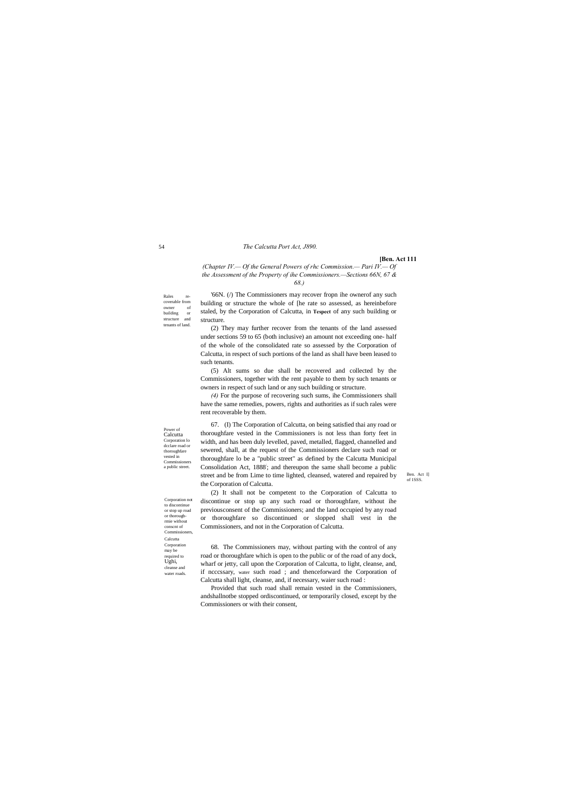54

Rales recoverable from owner of building or structure and tenants of land.

Corporation not to discontinue or stop up road or thoroughrmie without conscnt of Commiss Calcutta **Corporation** may be required to Ughi, cleanse and water roads

Power of Calcutta Corporation lo dcclare road or thoroughfare vested in Commissioners a public street.

Ben. Act I] of 1SSS.

# *The Calcutta Port Act, J890.*

#### **[Ben. Act 111**

*(Chapter IV.— Of the General Powers of rhc Commission.— Pari IV.— Of the Assessment of the Property of ihe Commissioners.—Sections 66N, 67 & 68.)*

'66N. (/) The Commissioners may recover fropn ihe ownerof any such building or structure the whole of [he rate so assessed, as hereinbefore staled, by the Corporation of Calcutta, in **Tespect** of any such building or structure.

(2) They may further recover from the tenants of the land assessed under sections 59 to 65 (both inclusive) an amount not exceeding one- half of the whole of the consolidated rate so assessed by the Corporation of Calcutta, in respect of such portions of the land as shall have been leased to such tenants.

(5) Alt sums so due shall be recovered and collected by the Commissioners, together with the rent payable to them by such tenants or owners in respect of such land or any such building or structure.

*(4)* For the purpose of recovering such sums, ihe Commissioners shall have the same remedies, powers, rights and authorities as if such rales were rent recoverable by them.

67. (I) The Corporation of Calcutta, on being satisfied thai any road or thoroughfare vested in the Commissioners is not less than forty feet in width, and has been duly levelled, paved, metalled, flagged, channelled and sewered, shall, at the request of the Commissioners declare such road or thoroughfare lo be a "public street" as defined by the Calcutta Municipal Consolidation Act, 1888; and thereupon the same shall become a public street and be from Lime to time lighted, cleansed, watered and repaired by the Corporation of Calcutta.

(2) It shall not be competent to the Corporation of Calcutta to discontinue or stop up any such road or thoroughfare, without ihe previousconsent of the Commissioners; and the land occupied by any road or thoroughfare so discontinued or slopped shall vest in the Commissioners, and not in the Corporation of Calcutta.

68. The Commissioners may, without parting with the control of any road or thoroughfare which is open to the public or of the road of any dock, wharf or jetty, call upon the Corporation of Calcutta, to light, cleanse, and, if ncccssary, water such road ; and thenceforward the Corporation of Calcutta shall light, cleanse, and, if necessary, waier such road :

Provided that such road shall remain vested in the Commissioners, andshallnotbe stopped ordiscontinued, or temporarily closed, except by the Commissioners or with their consent,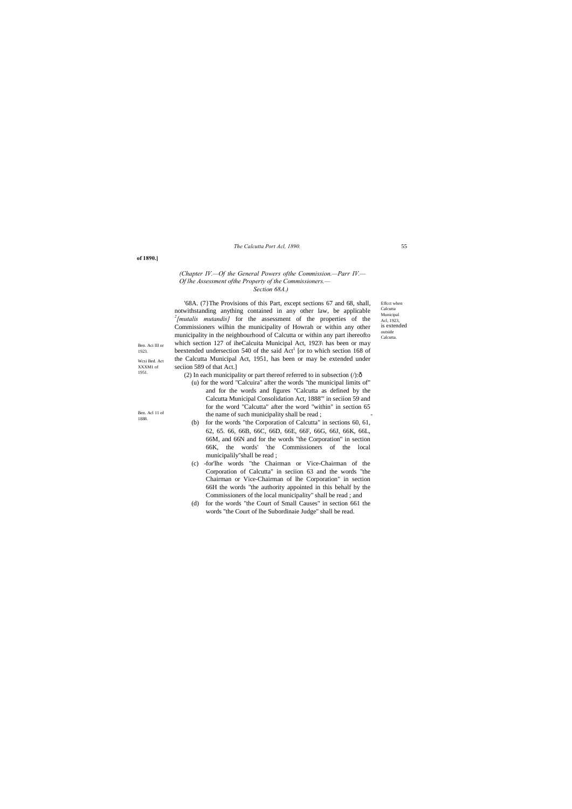*The Calcutta Port Acl, 1890.* 55

Effcct when Calcutta Municipal Acl, 1923, is extended outside **Calcutta** 

#### **of 1890.]**

Ben. Aci III or 1923. Wcsi Bed. Act XXXM1 of 1951.

Ben. Acl 11 of 1888.

# *(Chapter IV.—Of the General Powers ofthe Commission.—Parr IV.— Of lhe Assessment ofthe Property of the Commissioners.— Section 68A.)*

'68A. (7}The Provisions of this Part, except sections 67 and 68, shall, notwithstanding anything contained in any other law, be applicable <sup>2</sup>[mutalis mutandis] for the assessment of the properties of the Commissioners wilhin the municipality of Howrah or within any other municipality in the neighbourhood of Calcutta or within any part ihereofto which section 127 of iheCalcuita Municipal Act, 1923\ has been or may beextended undersection 540 of the said Act<sup>1</sup> [or to which section 168 of the Calcutta Municipal Act, 1951, has been or may be extended under seciion 589 of that Act.]

(2) In each municipality or part thereof referred to in subsection  $($ ): $\delta$ 

- (u) for the word "Calcuira" after the words "the municipal limits of" and for the words and figures "Calcutta as defined by the Calcutta Municipal Consolidation Act, 1888'" in seciion 59 and for the word "Calcutta" after the word "within" in section 65 the name of such municipality shall be read;
- (b) for the words "the Corporation of Calcutta" in sections 60, 61, 62, 65. 66, 66B, 66C, 66D, 66E, 66F, 66G, 66J, 66K, 66L, 66M, and 66N and for the words "the Corporation" in section 66K, the words' 'the Commissioners of the local municipalily"shall be read ;
- (c) -for'lhe words "the Chairman or Vice-Chairman of the Corporation of Calcutta" in seciion 63 and the words "the Chairman or Vice-Chairman of lhe Corporation" in section 66H the words "the authority appointed in this behalf by the Commissioners of the local municipality" shall be read ; and
- (d) for the words "the Court of Small Causes" in section 661 the words "the Court of lhe Subordinaie Judge" shall be read.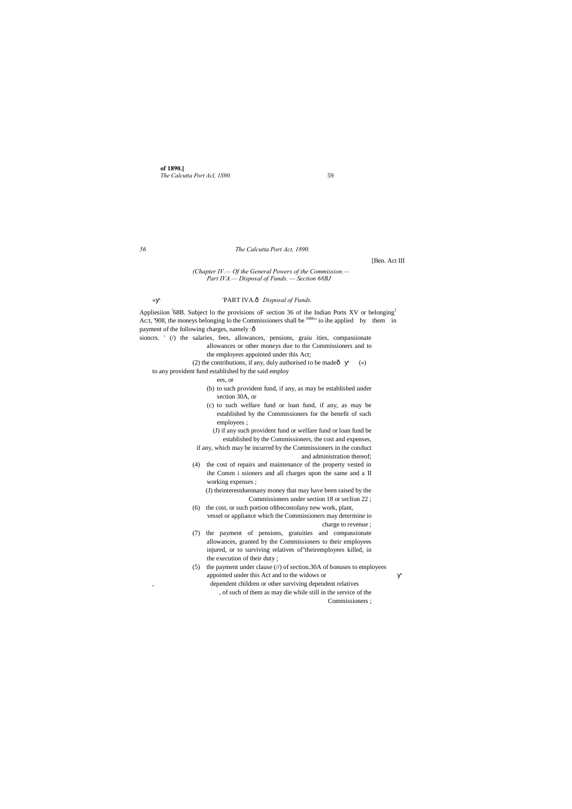**of 1890.]** *The Calcutta Port Acl, 1S90.* 59

#### *56 The Calcutta Port Act, 1890.*

[Ben. Act III

*(Chapter IV.— Of the General Powers of the Commission.— Part IVA.— Disposal of Funds. — Section 68BJ*

## » 'PART IVA. $\hat{o}$  Disposal of Funds.

Appliesiion  ${}^{1}68B$ . Subject lo the provisions oF section 36 of ihe Indian Ports XV or belonging<sup>1</sup> Ac:t, '908, the moneys belonging lo the Commissioners shall be <sup>1908</sup>" io ihe applied by them in payment of the following charges, namely : $\delta$ 

- sioncrs. ' (/) the salaries, fees, allowances, pensions, graiu ities, compassionate allowances or other moneys due to the Commissioners and to the employees appointed under this Act;
	- (2) the contributions, if any, duly authorised to be made $\hat{O}$  («)
	- to any provident fund established by the said employ
		- ees, or
		- (b) to such provident fund, if any, as may be established under section 30A, or
		- (c) to such welfare fund or loan fund, if any, as may be established by the Commissioners for the benefit of such employees ;

(J) if any such provident fund or welfare fund or loan fund be established by the Commissioners, the cost and expenses,

if any, which may be incurred by the Commissioners in the conduct and administration thereof;

(4) the cost of repairs and maintenance of the property vested in ihe Comm i ssioners and all charges upon the same and a II working expenses ;

(J) theinterestdueonany money that may have been raised by the Commissioners under section 18 or seclion 22 ;

- (6) the cost, or such portion ofthecostofany new work, plant, vessel or appliance which the Commissioners may determine io charge to revenue ;
- (7) the payment of pensions, gratuities and compassionate allowances, granted by the Commissioners to their employees injured, or to surviving relatives of"theiremployees killed, in the execution of their duty ;
- (5) the payment under clause (//) of section.30A of bonuses to employees appointed under this Act and to the widows or
	- dependent children or other surviving dependent relatives , of such of them as may die while still in the service of the

Commissioners ;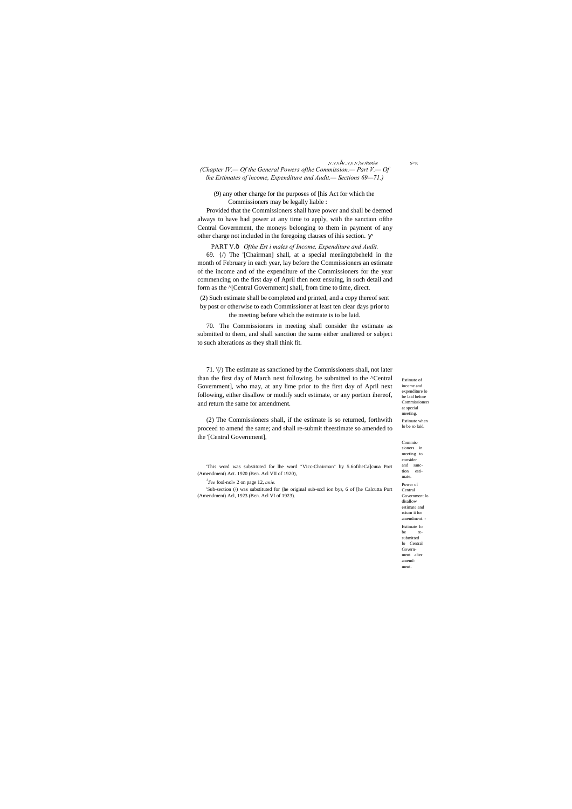Estimate of income and expenditure lo be laid before Commissioners at spccial meeting. Estimate when lo be so laid. Commissioners in meeting to

consider and sanction estimate. Power of Central Government lo disallow estimate and rciurn ii for amendment. Estimate lo be resubmitted lo Central Government after amendment.

,V.V.V  $V$  .V,V.V,  $W$   $A\$ SNS $\$ V S>K *(Chapter IV.— Of the General Powers ofthe Commission.— Part V.— Of lhe Estimates of income, Expenditure and Audit.— Sections 69—71.)*

(9) any other charge for the purposes of [his Act for which the Commissioners may be legally liable :

PART V.ô Ofthe Est i males of Income, Expenditure and Audit. 69. {/) The '[Chairman] shall, at a special meeiingtobeheld in the month of February in each year, lay before the Commissioners an estimate of the income and of the expenditure of the Commissioners for the year commencing on the first day of April then next ensuing, in such detail and form as the ^[Central Government] shall, from time to time, direct.

Provided that the Commissioners shall have power and shall be deemed always to have had power at any time to apply, wiih the sanction ofthe Central Government, the moneys belonging to them in payment of any other charge not included in the foregoing clauses of ihis section.

(2) Such estimate shall be completed and printed, and a copy thereof sent by post or otherwise to each Commissioner at least ten clear days prior to

the meeting before which the estimate is to be laid.

70. The Commissioners in meeting shall consider the estimate as submitted to them, and shall sanction the same either unaltered or subject to such alterations as they shall think fit.

71. '(/) The estimate as sanctioned by the Commissioners shall, not later than the first day of March next following, be submitted to the ^Central Government], who may, at any lime prior to the first day of April next following, either disallow or modify such estimate, or any portion ihereof, and return the same for amendment.

(2) The Commissioners shall, if the estimate is so returned, forthwith proceed to amend the same; and shall re-submit theestimate so amended to the '[Central Government],

'This word was substituted for lhe word "Vicc-Chairman" by 5.6ofiheCa]cuua Port (Amendment) Act. 1920 (Ben. Acl VII of 1920),

*2 See* fool-nol« 2 on page 12, *anie.*

'Sub-section (/) was substituted for (he original sub-sccl ion bys, 6 of [he Calcutta Port (Amendment) Acl, 1923 (Ben. Acl VI of 1923).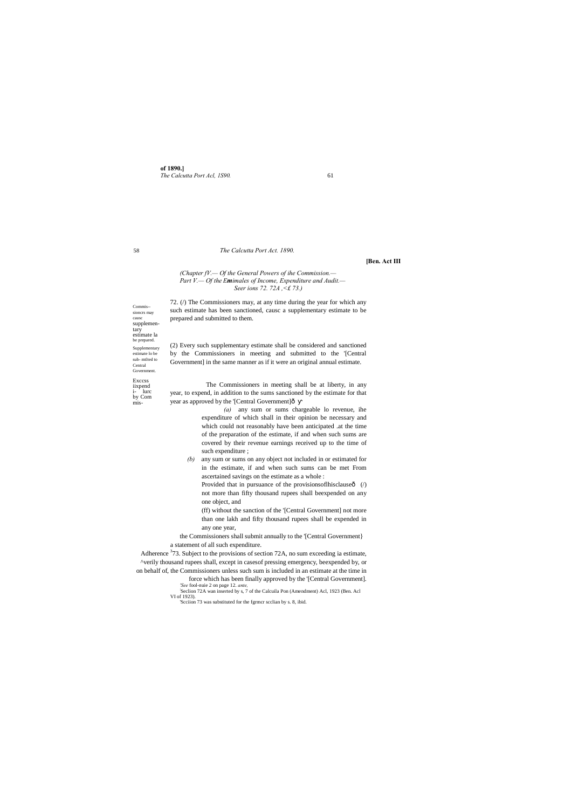**of 1890.]** *The Calcutta Port Acl, 1S90.* 61

58

Commis- sioncrs may causc supplemen tary estimate la be prepared. Supplementary estimate lo be sub- mtlted to Central

**Government** Exccss iixpend i- lurc by Com

mis-

#### *The Calcutta Port Act. 1890.*

#### **[Ben. Act III**

## *(Chapter fV.— Of the General Powers of ihe Commission.— Part V.— Of the Emimales of Income, Expenditure and Audit.— Seer ions 72. 72A ,<£ 73.)*

The Commissioners in meeting shall be at liberty, in any year, to expend, in addition to the sums sanctioned by the estimate for that year as approved by the '[Central Government]ô

72. (/) The Commissioners may, at any time during the year for which any such estimate has been sanctioned, causc a supplementary estimate to be prepared and submitted to them.

(2) Every such supplementary estimate shall be considered and sanctioned by the Commissioners in meeting and submitted to the '[Central Government] in the same manner as if it were an original annual estimate.

> Provided that in pursuance of the provisions of this clause  $\hat{\phi}$  (/) not more than fifty thousand rupees shall beexpended on any one object, and

Adherence  $373$ . Subject to the provisions of section 72A, no sum exceeding ia estimate, ^verily thousand rupees shall, except in casesof pressing emergency, beexpended by, or on behalf of, the Commissioners unless such sum is included in an estimate at the time in force which has been finally approved by the '[Central Government].

*(a)* any sum or sums chargeable lo revenue, ihe expenditure of which shall in their opinion be necessary and which could not reasonably have been anticipated .at the time of the preparation of the estimate, if and when such sums are covered by their revenue earnings received up to the time of such expenditure ;

*(b)* any sum or sums on any object not included in or estimated for in the estimate, if and when such sums can be met From ascertained savings on the estimate as a whole :

(ff) without the sanction of the '[Central Government] not more than one lakh and fifty thousand rupees shall be expended in any one year,

the Commissioners shall submit annually to the '[Central Government} a statement of all such expenditure.

*'See* fool-nuie 2 on page 12. *ante,* ; Seclion 72A wan inserted by s, 7 of the Calcuila Pon (Amendment) Acl, 1923 (Ben. Acl VI of 1923).

'Scciion 73 was substituted for the fgrmcr scclian by s. 8, ibid.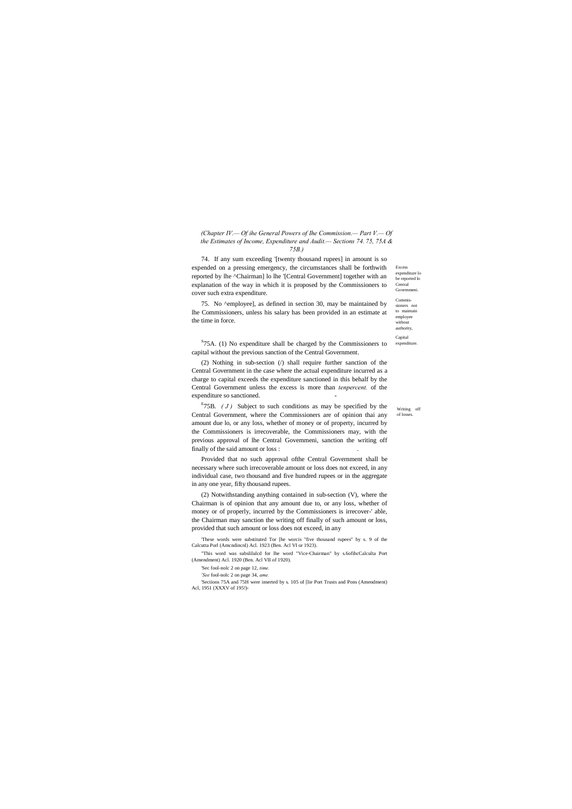Writing off of losses.

Excess expenditure lo be reported lo Central

# *(Chapter IV.— Of ihe General Powers of Ihe Commission.— Part V.— Of the Estimates of Income, Expenditure and Audit.— Sections 74. 75, 75A & 75B.)*

 $S$ 75A. (1) No expenditure shall be charged by the Commissioners to capital without the previous sanction of the Central Government.

(2) Nothing in sub-section (/) shall require further sanction of the Central Government in the case where the actual expenditure incurred as a charge to capital exceeds the expenditure sanctioned in this behalf by the Central Government unless the excess is more than *tenpercent.* of the expenditure so sanctioned.

74. If any sum exceeding '[twenty thousand rupees] in amount is so expended on a pressing emergency, the circumstances shall be forthwith reported by lhe ^Chairman] lo lhe '[Central Government] together with an explanation of the way in which it is proposed by the Commissioners to cover such extra expenditure.

75. No ^employee], as defined in section 30, may be maintained by lhe Commissioners, unless his salary has been provided in an estimate at the time in force.

**Govemmeni** Commissioners not to maintain employee without authority, Capital expenditure

<sup>E</sup>75B.  $(J)$  Subject to such conditions as may be specified by the Central Government, where the Commissioners are of opinion thai any amount due lo, or any loss, whether of money or of property, incurred by the Commissioners is irrecoverable, the Commissioners may, with the previous approval of lhe Central Govemmeni, sanction the writing off finally of the said amount or loss : .

Provided that no such approval ofthe Central Government shall be necessary where such irrecoverable amount or loss does not exceed, in any individual case, two thousand and five hundred rupees or in the aggregate in any one year, fifty thousand rupees.

(2) Notwithstanding anything contained in sub-section (V), where the Chairman is of opinion that any amount due to, or any loss, whether of money or of properly, incurred by the Commissioners is irrecover-' able, the Chairman may sanction the writing off finally of such amount or loss, provided that such amount or loss does not exceed, in any

'These words were substituted Tor [he worcis "five thousand rupees" by s. 9 of the Calcutta Porl (Amcndincnl) Acl. 1923 (Ben. Acl VI or 1923).

"This word was subslilulcd for lhe word "Vice-Chairman" by s.6ofihcCalculta Port (Amendment) Acl. 1920 (Ben. Acl VII of 1920).

'Sec fool-nolc 2 on page 12, *time.*

*'See* fool-nolc 2 on page 34, *ame.*

'Sections 75A and 75H were inserted by s. 105 of [lie Port Trusts and Pons (Amendment) Acl, 1951 (XXXV of 195!)-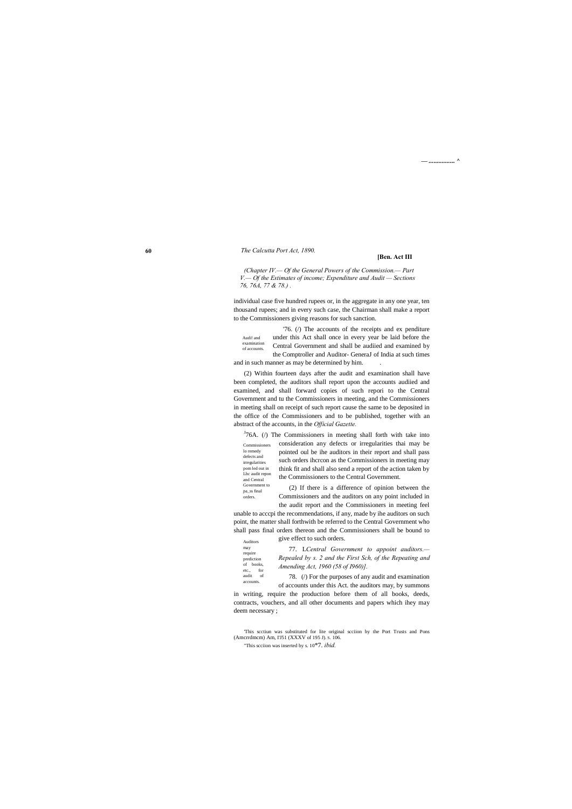**60**

Auditors may require prediction of books, etc., for audit of accounts.

Audi! and examination of accounts.

Government to pa\_ss final orders.

**— ................ ^**

#### *The Calcutta Port Act, 1890.*

#### **[Ben. Act III**

*(Chapter IV.— Of the General Powers of the Commission.— Part V.— Of the Estimates of income; Expenditure and Audit — Sections 76, 76A, 77 & 78.) .*

individual case five hundred rupees or, in the aggregate in any one year, ten thousand rupees; and in every such case, the Chairman shall make a report to the Commissioners giving reasons for such sanction.

'76. (/) The accounts of the receipts and ex penditure under this Act shall once in every year be laid before the Central Government and shall be audiied and examined by the Comptroller and Auditor- GeneraJ of India at such times and in such manner as may be determined by him. .

Commissioners lo remedy defects and irregularities pom led out in Lhc audit repon and Central  $J$ 76A. ( $/$ ) The Commissioners in meeting shall forth with take into consideration any defects or irregularities thai may be pointed oul be ihe auditors in their report and shall pass such orders ihcrcon as the Commissioners in meeting may think fit and shall also send a report of the action taken by the Commissioners to the Central Government.

(2) Within fourteen days after the audit and examination shall have

been completed, the auditors shall report upon the accounts audiied and examined, and shall forward copies of such repori to the Central Government and tu the Commissioners in meeting, and the Commissioners in meeting shall on receipt of such report cause the same to be deposited in the office of the Commissioners and to be published, together with an abstract of the accounts, in the *Official Gazette.*

> (2) If there is a difference of opinion between the Commissioners and the auditors on any point included in the audit report and the Commissioners in meeting feel

unable to acccpi the recommendations, if any, made by ihe auditors on such point, the matter shall forthwith be referred to the Central Government who shall pass final orders thereon and the Commissioners shall be bound to

give effect to such orders.

77. L*Central Government to appoint auditors.— Repealed by s. 2 and the First Sch, of the Repeating and Amending Act, 1960 (58 of I960)].*

78. (/) For the purposes of any audit and examination of accounts under this Act. the auditors may, by summons

in writing, require the production before them of all books, deeds, contracts, vouchers, and all other documents and papers which ihey may

deem necessary ;

'This scctiun was substituted for lite original scciion by the Port Trusts and Pons (Amcrrdmcm) Am, I'J51 (XXXV of 195 J). S. 106.

"This scciion was inserted by s. 10\*7. *ibid.*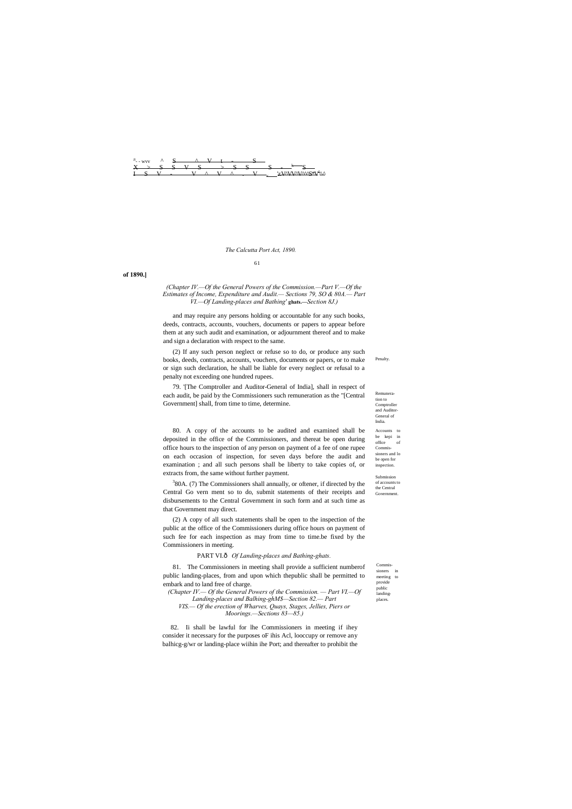#### *The Calcutta Port Act, 1890.*

Remuneration to Comptroller and Auditor-General of India. Accounts to be kepi in  $% \left\vert \left( \mathcal{A},\mathcal{A}\right) \right\vert$  of<br>fice Commissioners and lo be open for

**Penalty** 

Commissioners in  $\rm{meeting}$ 

inspection.

Submission of accounts to the Central Government.

provide public

landingplaces.



#### 61

**of 1890.]**

#### *(Chapter IV.—Of the General Powers of the Commission.—Part V.—Of the Estimates of Income, Expenditure and Audit.— Sections 79, SO & 80A.— Part VI.—Of Landing-places and Bathing'* **ghats.—***Section 8J.)*

and may require any persons holding or accountable for any such books, deeds, contracts, accounts, vouchers, documents or papers to appear before them at any such audit and examination, or adjournment thereof and to make and sign a declaration with respect to the same.

 $380A$ . (7) The Commissioners shall annually, or oftener, if directed by the Central Go vern ment so to do, submit statements of their receipts and disbursements to the Central Government in such form and at such time as that Government may direct.

(2) If any such person neglect or refuse so to do, or produce any such books, deeds, contracts, accounts, vouchers, documents or papers, or to make or sign such declaration, he shall be liable for every neglect or refusal to a penalty not exceeding one hundred rupees.

79. '[The Comptroller and Auditor-General of India], shall in respect of each audit, be paid by the Commissioners such remuneration as the "[Central Government] shall, from time to time, determine.

80. A copy of the accounts to be audited and examined shall be deposited in the office of the Commissioners, and thereat be open during office hours to the inspection of any person on payment of a fee of one rupee on each occasion of inspection, for seven days before the audit and examination ; and all such persons shall be liberty to take copies of, or extracts from, the same without further payment.

(2) A copy of all such statements shall be open to the inspection of the public at the office of the Commissioners during office hours on payment of such fee for each inspection as may from time to time.be fixed by the Commissioners in meeting.

#### PART VI. $\hat{o}$  Of Landing-places and Bathing-ghats.

81. The Commissioners in meeting shall provide a sufficient numberof public landing-places, from and upon which thepublic shall be permitted to embark and to land free of charge.

*(Chapter IV.— Of the General Powers of the Commission. — Part VI.—Of* 

*Landing-places and Balhing-ghM\$—Section 82.— Part VIS.— Of the erection of Wharves, Quays, Stages, Jellies, Piers or* 

*Moorings.—Sections 83—85.)*

82. Ii shall be lawful for lhe Commissioners in meeting if ihey consider it necessary for the purposes oF ihis Acl, looccupy or remove any balhicg-g/wr or landing-place wiihin ihe Port; and thereafter to prohibit the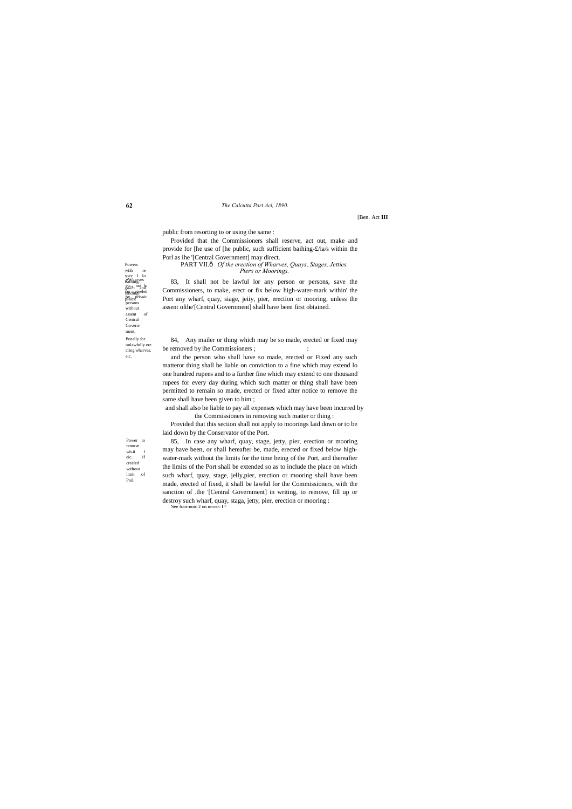Wharves spec I lo etc., not lo landing-eled by<sub>ics</sub>privaic pPaics.<sup>p11</sup><br>persons without assent of Central Government, Penally for unlawfully ere cling wharves, eic.

Power to remove  $wh.ii$ eic.. if creeled without<br>limit of limit Poil,

Powers wiih bathing-

#### **62** *The Calcutta Port Acl, 1890.*

[Ben. Act **III**

PART VII.ô Of the erection of Wharves, Quays, Stages, Jetties. *Piers or Moorings.*

public from resorting to or using the same :

84, Any mailer or thing which may be so made, erected or fixed may be removed by ihe Commissioners ;  $\cdot$  :

Provided that the Commissioners shall reserve, act out, make and provide for [he use of [he public, such sufficient baihing-£/ia/s within the Porl as ihe '[Central Government] may direct.

83, It shall not be lawful lor any person or persons, save the Commissioners, to make, erect or fix below high-water-mark within' the Port any wharf, quay, siage, jeiiy, pier, erection or mooring, unless the assent ofthe'[Central Government] shall have been first obtained.

and the person who shall have so made, erected or Fixed any such matteror thing shall be liable on conviction to a fine which may extend lo one hundred rupees and to a further fine which may extend to one thousand rupees for every day during which such matter or thing shall have been permitted to remain so made, erected or fixed after notice to remove the same shall have been given to him ;

and shall also be liable to pay all expenses which may have been incurred by the Commissioners in removing such matter or thing :

Provided that this seciion shall noi apply to moorings laid down or to be laid down by the Conservator of the Port.

85, In case any wharf, quay, stage, jetty, pier, erection or mooring may have been, or shall hereafter be, made, erected or fixed below highwater-mark without the limits for the time being of the Port, and thereafter the limits of the Port shall be extended so as to include the place on which such wharf, quay, stage, jelly,pier, erection or mooring shall have been made, erected of fixed, it shall be lawful for the Commissioners, with the sanction of .the '[Central Government] in writing, to remove, fill up or destroy such wharf, quay, staga, jetty, pier, erection or mooring : 'See foor-noic 2 on nn»»r- I ^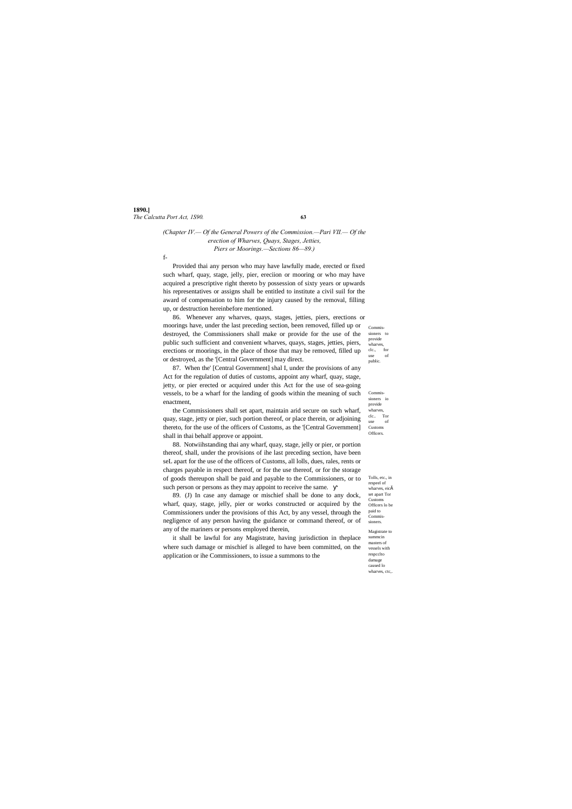# **1890.]** *The Calcutta Port Act, 1S90.* **63**

Commissioners to provide wharves, clc., for use of public.

Commissioners io provide wharves,<br>clc.. Tor clc.. use of Customs Officers.

Tolls, etc., in respeel of wharves, eicš set apart Tor Customs Officers lo be paid to Commissioners. Magistrate to summcin masters of vessels with respcclto damage caused lo wharves, ctc,.

# *(Chapter IV.— Of the General Powers of the Commission.—Pari VII.— Of the erection of Wharves, Quays, Stages, Jetties, Piers or Moorings.—Sections 86—89.)*

f-

Provided thai any person who may have lawfully made, erected or fixed such wharf, quay, stage, jelly, pier, ereciion or mooring or who may have acquired a prescriptive right thereto by possession of sixty years or upwards his representatives or assigns shall be entitled to institute a civil suil for the award of compensation to him for the injury caused by the removal, filling up, or destruction hereinbefore mentioned.

86. Whenever any wharves, quays, stages, jetties, piers, erections or moorings have, under the last preceding section, been removed, filled up or destroyed, the Commissioners shall make or provide for the use of the public such sufficient and convenient wharves, quays, stages, jetties, piers, erections or moorings, in the place of those that may be removed, filled up or destroyed, as the '[Central Government] may direct.

87. When the' [Central Government] shal I, under the provisions of any Act for the regulation of duties of customs, appoint any wharf, quay, stage, jetty, or pier erected or acquired under this Act for the use of sea-going vessels, to be a wharf for the landing of goods within the meaning of such enactment,

the Commissioners shall set apart, maintain arid secure on such wharf, quay, stage, jetty or pier, such portion thereof, or place therein, or adjoining thereto, for the use of the officers of Customs, as the '[Central Government] shall in thai behalf approve or appoint.

88. Notwiihstanding thai any wharf, quay, stage, jelly or pier, or portion thereof, shall, under the provisions of ihe last preceding section, have been seL apart for the use of the officers of Customs, all lolls, dues, rales, rents or charges payable in respect thereof, or for the use thereof, or for the storage of goods thereupon shall be paid and payable to the Commissioners, or to such person or persons as they may appoint to receive the same.

89. (J) In case any damage or mischief shall be done to any dock, wharf, quay, stage, jelly, pier or works constructed or acquired by the Commissioners under the provisions of this Act, by any vessel, through the negligence of any person having the guidance or command thereof, or of any of the mariners or persons employed therein,

it shall be lawful for any Magistrate, having jurisdiction in theplace where such damage or mischief is alleged to have been committed, on the application or ihe Commissioners, to issue a summons to the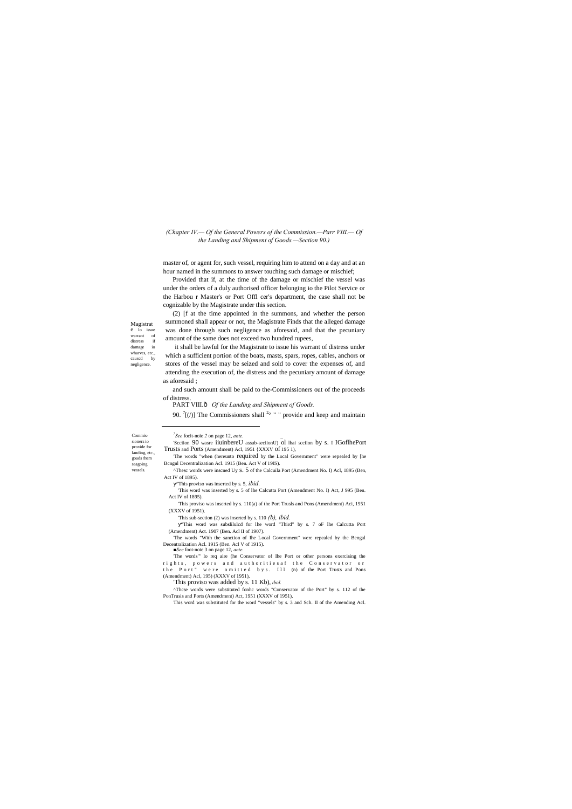Magistrat e lo issue warrant of distress if damage io wharves, etc., causcd by negligence.

Commissioners io provide for landing, etc., goads from seagoing vessels.

 $\overline{a}$ 

#### *(Chapter IV.— Of the General Powers of ihe Commission.—Parr VIII.— Of the Landing and Shipment of Goods.—Section 90.)*

master of, or agent for, such vessel, requiring him to attend on a day and at an hour named in the summons to answer touching such damage or mischief;

Provided that if, at the time of the damage or mischief the vessel was under the orders of a duly authorised officer belonging io the Pilot Service or the Harbou r Master's or Port Offl cer's department, the case shall not be cognizable by the Magistrate under this section.

(2) [f at the time appointed in the summons, and whether the person summoned shall appear or not, the Magistrate Finds that the alleged damage was done through such negligence as aforesaid, and that the pecuniary amount of the same does not exceed two hundred rupees,

it shall be lawful for the Magistrate to issue his warrant of distress under which a sufficient portion of the boats, masts, spars, ropes, cables, anchors or stores of the vessel may be seized and sold to cover the expenses of, and attending the execution of, the distress and the pecuniary amount of damage as aforesaid ;

and such amount shall be paid to the-Commissioners out of the proceeds of distress.

PART VIII. $\delta$  *Of the Landing and Shipment of Goods.* 

90.  $\left\lceil \frac{1}{2} \right\rceil$  The Commissioners shall  $2^{\circ}$  " " provide and keep and maintain

*<sup>7</sup> See* focit-noie *2* on page 12, *ante. \_*

<sup>&#</sup>x27;Scciion 90 wasre iiuinbereU assub-seciionU) ol lhai scciion by s. I IGoflhePort Trusts and Ports (Amendment) Acl, 1951 {XXXV of 195 1),

<sup>&#</sup>x27;The words "when (hereunto required by the Local Government" were repealed by [he Bcngnl Decentralization Acl. 1915 (Ben. Act V of 19IS).

<sup>^</sup>Thesc words were inscned Uy s. 5 of the Calcuila Port (Amendment No. I) Acl, 1895 (Ben, Act IV of 1895).

<sup>&</sup>quot;This proviso was inserted by s. 5, *ibid.*

<sup>&#</sup>x27;This word was inserted by s. 5 of lhe Calcutta Port (Amendment No. I) Act, J 995 (Ben. Act IV of 1895).

<sup>&#</sup>x27;This proviso was inserted by s. 110(a) of the Port Trusls and Pons (Amendment) Aci, 1951 (XXXV of 1951).

<sup>&#</sup>x27;This sub-section (2) was inserted by s. 110 *(b), ibid.*

<sup>&</sup>quot;This word was subslilulcd for lhe word "Third" by s. 7 oF lhe Calcutta Port (Amendment) Act. 1907 (Ben. Acl II of 1907).

<sup>&#</sup>x27;The words "With the sanction of Ihe Local Government" were repealed by the Bengal Decentralization Acl. 1915 (Ben. Acl V of 1915).

*<sup>■</sup>Sec* foot-note 3 on page 12, *ante.*

<sup>&#</sup>x27;The words"' lo req aire (he Conservator of Ihe Port or other persons exercising the rights, powers and authorities af the Conservator or the Port" were omitted by s. Ill (n) of the Port Trusts and Pons (Amendment) Acl, 195) (XXXV of 1951),

<sup>&#</sup>x27;This proviso was added by s. 11 Kb), *ibid.*

<sup>^</sup>Thcse words were substituted fonhc words "Conservator of the Port" by s. 112 of the PonTrusis and Ports (Amendment) Act, 1951 (XXXV of 1951),

This word was substituted for the word "vessels" by s. 3 and Sch. II of the Amending Acl.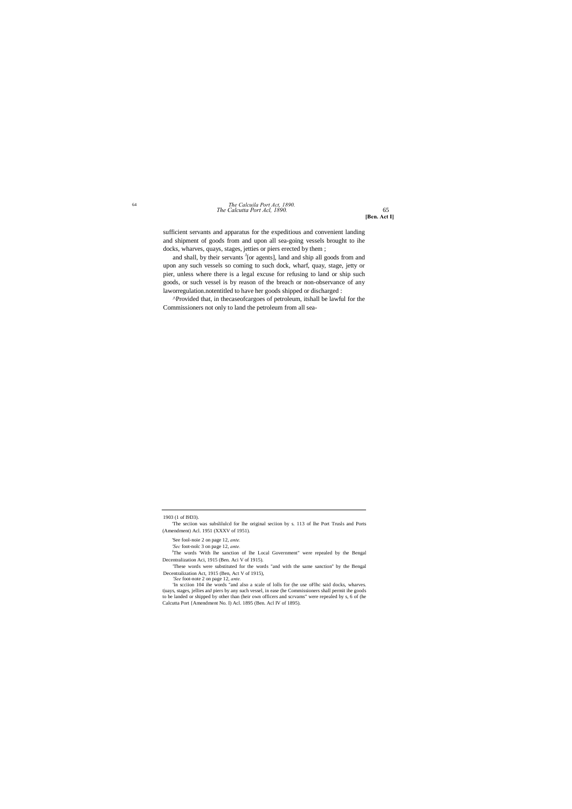# *The Calcutta Port Acl, 1890.* <sup>65</sup> <sup>64</sup> *The Calcuila Port Act, 1890.*

**[Ben. Act I]**

sufficient servants and apparatus for the expeditious and convenient landing and shipment of goods from and upon all sea-going vessels brought to ihe docks, wharves, quays, stages, jetties or piers erected by them ;

and shall, by their servants <sup>J</sup>[or agents], land and ship all goods from and upon any such vessels so coming to such dock, wharf, quay, stage, jetty or pier, unless where there is a legal excuse for refusing to land or ship such goods, or such vessel is by reason of the breach or non-observance of any laworregulation.notentitled to have her goods shipped or discharged :

^Provided that, in thecaseofcargoes of petroleum, itshall be lawful for the Commissioners not only to land the petroleum from all sea-

<sup>&</sup>lt;sup>J</sup>The words 'With lhe sanction of lhe Local Government" were repealed by the Bengal Decentralization Aci, 1915 (Ben. Aci V of 1915).

 <sup>1903 (1</sup> of I9D3).

<sup>&#</sup>x27;The seciion was subslilulcd for lhe original seciion by s. 113 of lhe Port Trusls and Ports (Amendment) Acl. 1951 (XXXV of 1951).

<sup>&#</sup>x27;See fool-noie 2 on page 12, *ante.*

*<sup>&#</sup>x27;Sec* foot-nolc 3 on page 12, *ante.*

<sup>&#</sup>x27;These words were substituted for the words "and with the same sanction'' by the Bengal Decentralization Act, 1915 (Ben, Act V of 1915),

*<sup>&#</sup>x27;See* foot-note 2 on page 12, *ante.*

<sup>&#</sup>x27;In scciion 104 ihe words "and also a scale of lolls for (he use oFlhc said docks, wharves. t|uays, stages, jellies anJ piers by any such vessel, in ease (he Commissioners shall permit ihe goods to be landed or shipped by other than (heir own officers and scrvams" were repealed by s, 6 of (he Calcutta Port {Amendment No. I) Acl. 1895 (Ben. Acl IV of 1895).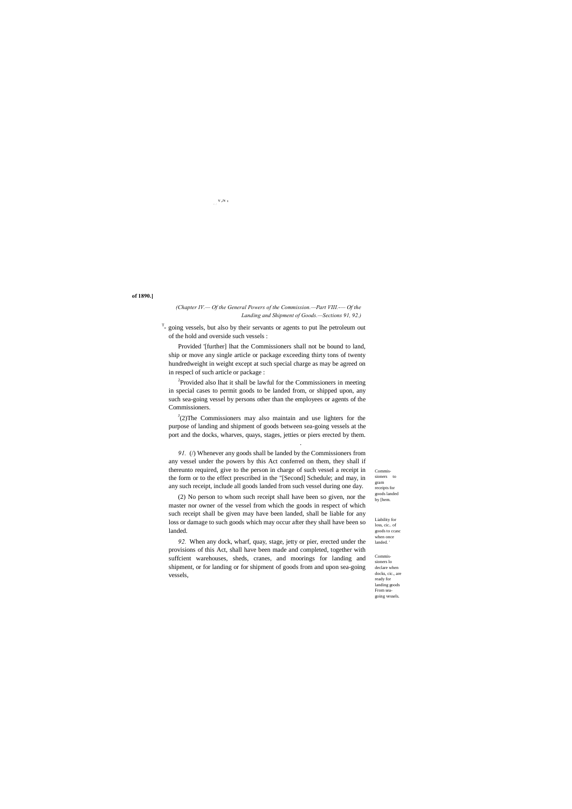Commissioners to gram receipts for goods landed by [hem.

Liability for loss, cic.. of goods to ccasc when once landed. '

Commissioners lo declare when docks, cic., are ready for landing goods From seagoing vessels.

# *- :* v ,N '

 $T$ - going vessels, but also by their servants or agents to put lhe petroleum out of the hold and overside such vessels :

# **of 1890.]**

# *(Chapter IV.— Of the General Powers of the Commission.—Part VIII.-— Of the Landing and Shipment of Goods.—Sections 91, 92.)*

<sup>2</sup>Provided also lhat it shall be lawful for the Commissioners in meeting in special cases to permit goods to be landed from, or shipped upon, any such sea-going vessel by persons other than the employees or agents of the Commissioners.

 $J(2)$ The Commissioners may also maintain and use lighters for the purpose of landing and shipment of goods between sea-going vessels at the port and the docks, wharves, quays, stages, jetties or piers erected by them.

Provided '[further] lhat the Commissioners shall not be bound to land, ship or move any single article or package exceeding thirty tons of twenty hundredweight in weight except at such special charge as may be agreed on in respecl of such article or package :

91. (/) Whenever any goods shall be landed by the Commissioners from any vessel under the powers by this Act conferred on them, they shall if thereunto required, give to the person in charge of such vessel a receipt in the form or to the effect prescribed in the "[Second] Schedule; and may, in any such receipt, include all goods landed from such vessel during one day.

.

(2) No person to whom such receipt shall have been so given, nor the master nor owner of the vessel from which the goods in respect of which such receipt shall be given may have been landed, shall be liable for any loss or damage to such goods which may occur after they shall have been so landed.

*92.* When any dock, wharf, quay, stage, jetty or pier, erected under the provisions of this Act, shall have been made and completed, together with suffcient warehouses, sheds, cranes, and moorings for landing and shipment, or for landing or for shipment of goods from and upon sea-going vessels,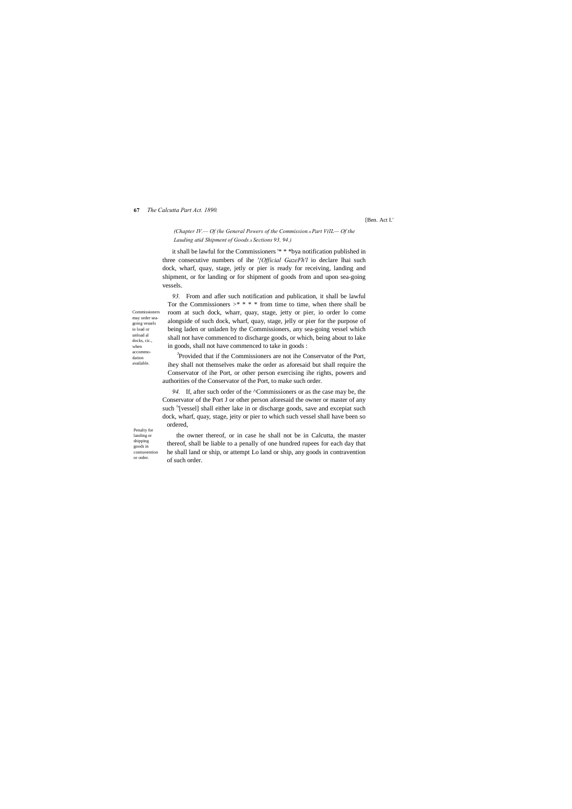#### **67** *The Calcutta Part Act. 1890.*

Commissioners may order seagoing vessels io load or unload al docks, cic., when accommodation available.

## *(Chapter IV.*— *Of (he General Powers of the Commission.*<sup>6</sup> *Part V(IL*— *Of the Lauding atid Shipment of Goods.*—*Sections 93, 94.)*

Penalty for landing or shipping goods in contravention or order.

[Ben. Act I.'

it shall be lawful for the Commissioners '\* \* \*bya notification published in three consecutive numbers of ihe *'{Official GazeFh'l* io declare lhai such dock, wharf, quay, stage, jetly or pier is ready for receiving, landing and shipment, or for landing or for shipment of goods from and upon sea-going vessels.

<sup>J</sup>Provided that if the Commissioners are not ihe Conservator of the Port, ihey shall not themselves make the order as aforesaid but shall require the Conservator of ihe Port, or other person exercising ihe rights, powers and authorities of the Conservator of the Port, to make such order.

*93.* From and afler such notification and publication, it shall be lawful Tor the Commissioners  $>^*$  \* \* \* from time to time, when there shall be room at such dock, wharr, quay, stage, jetty or pier, io order lo come alongside of such dock, wharf, quay, stage, jelly or pier for the purpose of being laden or unladen by the Commissioners, any sea-going vessel which shall not have commenced to discharge goods, or which, being about to lake in goods, shall not have commenced to take in goods :

*94.* If, after such order of the ^Commissioners or as the case may be, the Conservator of the Port J or other person aforesaid the owner or master of any such "[vessel] shall either lake in or discharge goods, save and excepiat such dock, wharf, quay, stage, jeity or pier to which such vessel shall have been so ordered,

the owner thereof, or in case he shall not be in Calcutta, the master thereof, shall be liable to a penally of one hundred rupees for each day that he shall land or ship, or attempt Lo land or ship, any goods in contravention of such order.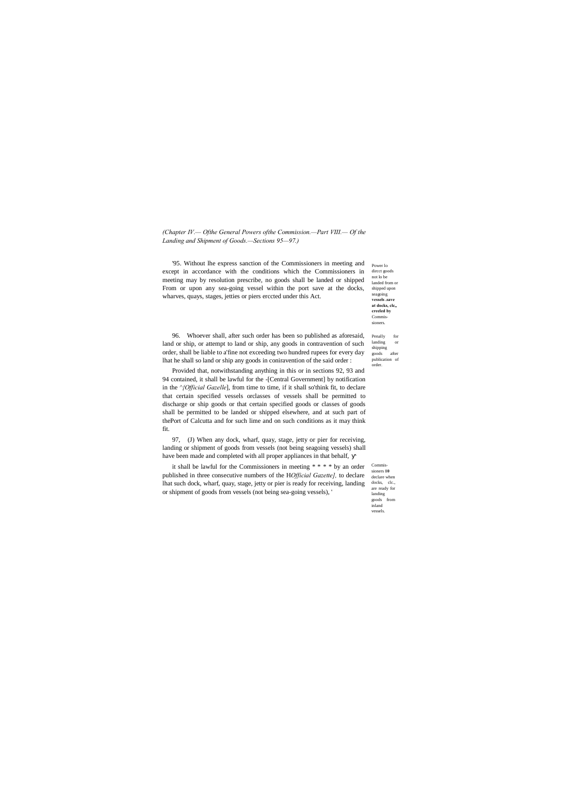Power lo dircct goods not lo be landed from or shipped upon seagoing **vessels .save at docks, clc,, creeled by** Commissioners.

Penally for landing or shipping goods after publication of order.

Commissioners **10**  declare when docks, clc., are ready for landing goods from inland vessels.

*(Chapter IV.— Ofthe General Powers ofthe Commission.—Part VIII.— Of the Landing and Shipment of Goods.—Sections 95—97.)*

'95. Without lhe express sanction of the Commissioners in meeting and except in accordance with the conditions which the Commissioners in meeting may by resolution prescribe, no goods shall be landed or shipped From or upon any sea-going vessel within the port save at the docks, wharves, quays, stages, jetties or piers erccted under this Act.

96. Whoever shall, after such order has been so published as aforesaid, land or ship, or attempt to land or ship, any goods in contravention of such order, shall be liable to a'fine not exceeding two hundred rupees for every day lhat he shall so land or ship any goods in coniravention of the said order :

Provided that, notwithstanding anything in this or in sections 92, 93 and 94 contained, it shall be lawful for the -[Central Government] by notification in the *^{Official Gazelle*], from time to time, if it shall so'think fit, to declare that certain specified vessels orclasses of vessels shall be permitted to discharge or ship goods or that certain specified goods or classes of goods shall be permitted to be landed or shipped elsewhere, and at such part of thePort of Calcutta and for such lime and on such conditions as it may think fit.

97, (J) When any dock, wharf, quay, stage, jetty or pier for receiving, landing or shipment of goods from vessels (not being seagoing vessels) shall have been made and completed with all proper appliances in that behalf,

it shall be lawful for the Commissioners in meeting \* \* \* \* by an order published in three consecutive numbers of the H*Official Gazette],* to declare lhat such dock, wharf, quay, stage, jetty or pier is ready for receiving, landing or shipment of goods from vessels (not being sea-going vessels), '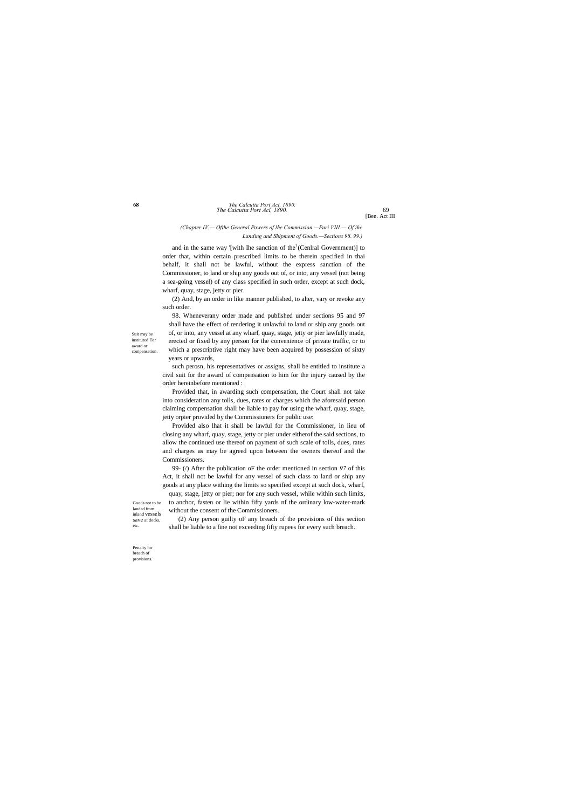Suit may be instituted Tor award or compensation.

Goods not to be landed from

# *The Calcutta Port Acl, 1890.* 69 **68** *The Calcutta Port Act, 1890.*

save at docks, etc.

Penalty for breach of provisions.

[Ben. Act III

# *(Chapter IV.— Ofthe General Powers of lhe Commission.—Pari VIII.— Of ihe Landing and Shipment of Goods.—Sections 98. 99.)*

and in the same way '[with Ihe sanction of the<sup>T</sup>(Cenlral Government)] to order that, within certain prescribed limits to be therein specified in thai behalf, it shall not be lawful, without the express sanction of the Commissioner, to land or ship any goods out of, or into, any vessel (not being a sea-going vessel) of any class specified in such order, except at such dock, wharf, quay, stage, jetty or pier.

(2) And, by an order in like manner published, to alter, vary or revoke any such order.

98. Wheneverany order made and published under sections 95 and 97 shall have the effect of rendering it unlawful to land or ship any goods out of, or into, any vessel at any wharf, quay, stage, jetty or pier lawfully made, erected or fixed by any person for the convenience of private traffic, or to which a prescriptive right may have been acquired by possession of sixty years or upwards,

inland vessels quay, stage, jetty or pier; nor for any such vessel, while within such limits, to anchor, fasten or lie within fifty yards nf the ordinary low-water-mark without the consent of the Commissioners.

such perosn, his representatives or assigns, shall be entitled to institute a civil suit for the award of compensation to him for the injury caused by the order hereinbefore mentioned :

Provided that, in awarding such compensation, the Court shall not take into consideration any tolls, dues, rates or charges which the aforesaid person claiming compensation shall be liable to pay for using the wharf, quay, stage, jetty orpier provided by the Commissioners for public use:

Provided also lhat it shall be lawful for the Commissioner, in lieu of closing any wharf, quay, stage, jetty or pier under eitherof the said sections, to allow the continued use thereof on payment of such scale of tolls, dues, rates and charges as may be agreed upon between the owners thereof and the Commissioners.

99- (/) After the publication oF the order mentioned in section *97* of this Act, it shall not be lawful for any vessel of such class to land or ship any goods at any place withing the limits so specified except at such dock, wharf,

(2) Any person guilty oF any breach of the provisions of this seciion shall be liable to a fine not exceeding fifty rupees for every such breach.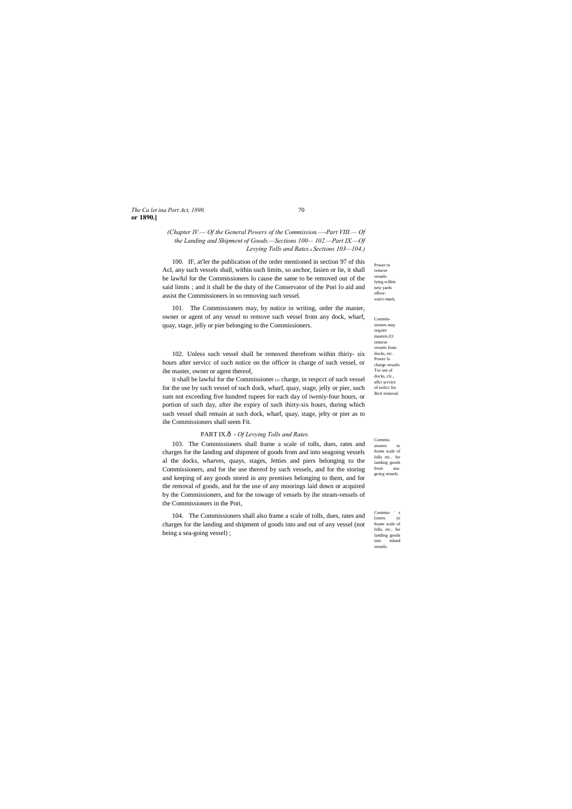# *The Ca let ina Port Act, 1890.* 70 **or 1890.]**

Power to remove vessels lying wilhin nriy yards oflowwaicr-mark.

Commissioners may require masters (O remove vessels from docks, etc. Power lo charge vessels Tor use of docks, clc., aflcr scrvice of nolicc for Ihcir removal.

Commissioners io frame scale of lolls etc.. for landing goods from seagoing vessels.

Commis- ' s [oners (o frame scale of lolls, etc.. for landing goods into inland vessels.

# *(Chapter IV.— Of the General Powers of the Commission.—-Part VIII.— Of the Landing and Shipment of Goods.—Sections 100— 102.—Part IX.—Of Levying Tolls and Rates.*—*Sections 103—104.)*

100. IF, at'ler the publication of the order mentioned in section 97 of this Acl, any such vessels shall, within such limits, so anchor, fasien or lie, it shall be lawful for the Commissioners lo cause the same to be removed out of the said limits ; and it shall be the duty of ihe Conservator of the Pori lo aid and assist the Commissioners in so removing such vessel.

101. The Commissioners may, by notice in writing, order the master, owner or agent of any vessel to remove such vessel from any dock, wharf, quay, stage, jelly or pier belonging to the Commissioners.

102. Unless such vessel shall be removed therefrom within thiriy- six hours after servicc of such notice on the officer in charge of such vessel, or ihe master, owner or agent thereof,

it shall be lawful for the Commissioner LO charge, in respcct of such vessel for the use by such vessel of such dock, wharf, quay, stage, jelly or pier, such sum not exceeding five hundred rupees for each day of iweniy-four hours, or portion of such day, after ihe expiry of such ihirty-six hours, during which such vessel shall remain at such dock, wharf, quay, stage, jelty or pier as to ihe Commissioners shall seem Fit.

# PART IX.ô - Of Levying Tolls and Rates.

103. The Commissioners shall frame a scale of tolls, dues, rates and charges for the landing and shipment of goods from and into seagoing vessels al the docks, wharves, quays, stages, Jetties and piers belonging to the Commissioners, and for ihe use thereof by such vessels, and for the storing and keeping of any goods stored in any premises belonging to them, and for the removal of goods, and for the use of any moorings laid down or acquired by the Commissioners, and for the towage of vessels by ihe steam-vessels of the Commissioners in the Pori,

104. The Commissioners shall also frame a scale of tolls, dues, rates and charges for the landing and shipment of goods into and out of any vessel (not being a sea-going vessel) ;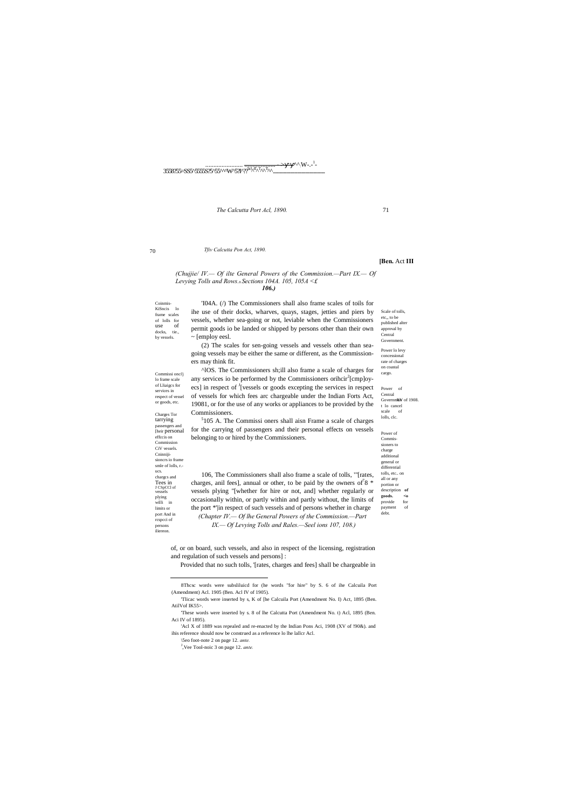Coinmis-KiSncis lo frame scales of lolls for docks, tie., by vessels. 'I04A. (/) The Commissioners shall also frame scales of toils for ihe use of their docks, wharves, quays, stages, jetties and piers by vessels, whether sea-going or not, leviable when the Commissioners permit goods io be landed or shipped by persons other than their own ~ [employ eesl. (2) The scales for sen-going vessels and vessels other than seagoing vessels may be either the same or different, as the Commissioners may think fit. ^lOS. The Commissioners sh;ill also frame a scale of charges for any services io be performed by the Commissioners orihcir<sup>2</sup>[cmp]oyecs] in respect of <sup>J</sup>[vessels or goods excepting the services in respect

70

use

Charges Tor tarrying passengers and

Commissi onci'j lo frame scale of Lliaigcs for services in respect of vessel or goods, etc.

Power of Central t lo cancel scale of lolls, clc.

effccis on Commission CiV vessels. Cninnijisioncrs io frame smle of lolls, r. ucs. chargcs and Tees in J CSpCCl of vessels plying willi in limits or port And in rcspcci of persons iliereon.

Scale of tolls, etc,, to be published alter approval by Central **Government** Power lo levy concessional rate of charges on coastal cargo.

Governm&W of 1908.

Power of Commissioners to charge additional general or differential tolls, etc.. on all or any portion or description **of goods. <o**  provide for payment of debt.



*The Calcutta Port Acl, 1890.* 71

#### *Tfiv Calcutta Pon Act, 1890.*

#### **[Ben.** Act **III**

#### *(Chujjie/ IV.— Of ilte General Powers of the Commission.—Part IX.— Of Levying Tolls and Rows.*—*Sections 104A. 105, 105A <£ 106.)*

[heir personal for the carrying of passengers and their personal effects on vessels belonging to or hired by the Commissioners.

'Acl X of 1889 was repealed and re-enacted by the Indian Pons Aci, 1908 (XV of !90&). and ihis reference should now be construed as a reference lo lhe lallcr Acl.

of vessels for which fees arc chargeable under the Indian Forts Act, 19081, or for the use of any works or appliances to be provided by the Commissioners. 5 105 A. The Commissi oners shall aisn Frame a scale of charges

106, The Commissioners shall also frame a scale of tolls, '"[rates, charges, anil fees], annual or other, to be paid by the owners of  $8 *$ vessels plying "[whether for hire or not, and] whether regularly or occasionally within, or partly within and partly without, the limits of the port \*'|in respect of such vessels and of persons whether in charge *(Chapter IV.— Of lhe General Powers of the Commission.—Part IX.— Of Levying Tolls and Rales.—Seel ions 107, 108.)*

of, or on board, such vessels, and also in respect of the licensing, registration and regulation of such vessels and persons] :

Provided that no such tolls, '[rates, charges and fees] shall be chargeable in

'These words were inserted by s. 8 of lhe Calcutta Port (Amendment No. t) Acl, 1895 (Ben. Aci IV of 1895).

\5eo foot-note 2 on page 12. *ante.*

J ,Vee Tool-noic 3 on page 12. *ante.*

 <sup>8</sup>Thcsc words were subsliluicd for (he words "for hire" by S. 6 of ihe Calcuila Port (Amendment) Acl. 1905 (Ben. Acl IV of 1905).

<sup>&#</sup>x27;Tlicac words were inserted by s, K of [he Calcuila Port (Amendment No. I) Act, 1895 (Ben. AtilVof IK55>.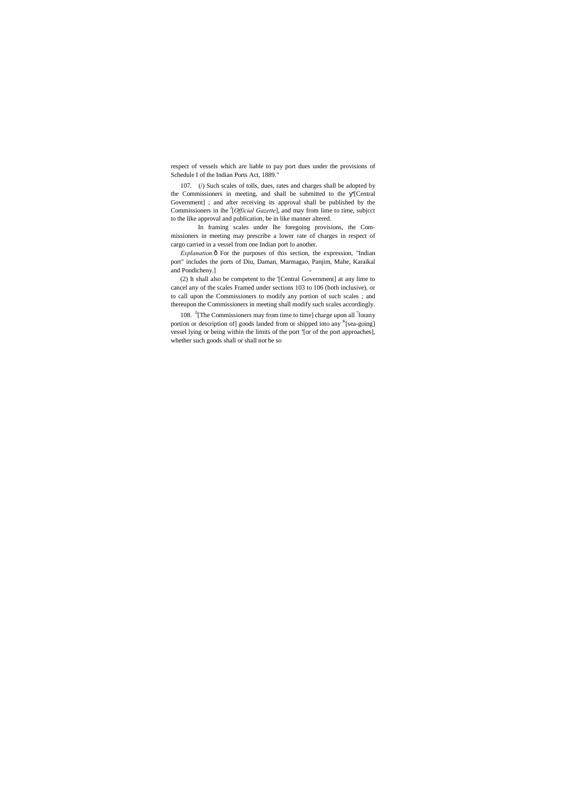respect of vessels which are liable to pay port dues under the provisions of Schedule I of the Indian Ports Act, 1889."

107. (/) Such scales of tolls, dues, rates and charges shall be adopted by the Commissioners in meeting, and shall be submitted to the '[Central Government] ; and after receiving its approval shall be published by the Commissioners in ihe <sup>J</sup>[*Official Gazette*], and may from lime to time, subjcct to the like approval and publication, be in like manner altered.

In framing scales under lhe foregoing provisions, the Commissioners in meeting may prescribe a lower rate of charges in respect of cargo carried in a vessel from one Indian port lo another.

*Explanation.* $\delta$  For the purposes of this section, the expression, "Indian port" includes the ports of Diu, Daman, Marmagao, Panjim, Mahe, Karaikal and Pondicheny.]

108. <sup>fi</sup>[The Commissioners may from time to time] charge upon all <sup>7</sup>lorany portion or description of] goods landed from or shipped into any <sup>K</sup>[sea-going] vessel lying or being within the limits of the port <sup>a</sup>[or of the port approaches], whether such goods shall or shall not be so

(2) It shall also be competent to the '[Central Government] at any lime to cancel any of the scales Framed under sections 103 to 106 (both inclusive), or to call upon the Commissioners to modify any portion of such scales ; and thereupon the Commissioners in meeting shall modify such scales accordingly.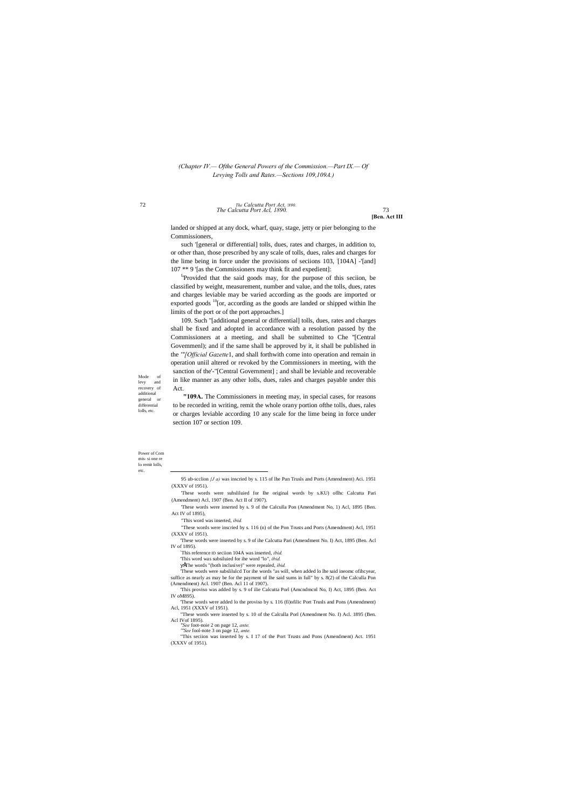Mode of levy and recovery of additional general or differential lolls, etc.

*The Calcutta Port Acl, 1890.* 73 72 *The Calcutta Port Act, !890.*

Power of Com mis- si one re lo remit lolls, etc.

**[Ben. Act III**

# *(Chapter IV.— Ofthe General Powers of the Commission.—Part IX.— Of Levying Tolls and Rates.—Sections 109,109A.)*

landed or shipped at any dock, wharf, quay, stage, jetty or pier belonging to the Commissioners,

<sup>f</sup>'Provided that the said goods may, for the purpose of this seciion, be classified by weight, measurement, number and value, and the tolls, dues, rates and charges leviable may be varied according as the goods are imported or exported goods  $10$ [or, according as the goods are landed or shipped within lhe limits of the port or of the port approaches.]

such '[general or differential] tolls, dues, rates and charges, in addition to, or other than, those prescribed by any scale of tolls, dues, rales and charges for the lime being in force under the provisions of seciions 103, [104A] -'[and] 107 \*\* 9 '[as the Commissioners may think fit and expedient]:

109. Such "[additional general or differential] tolls, dues, rates and charges shall be fixed and adopted in accordance with a resolution passed by the Commissioners at a meeting, and shall be submitted to Che ''[Central Govemmenl); and if the same shall be approved by it, it shall be published in the *'"[Official Gazette*1, and shall forthwith come into operation and remain in operation uniil altered or revoked by the Commissioners in meeting, with the sanction of the'-"[Central Government] ; and shall be leviable and recoverable in like manner as any other lolls, dues, rales and charges payable under this Act.

**"109A.** The Commissioners in meeting may, in special cases, for reasons to be recorded in writing, remit the whole orany portion ofthe tolls, dues, rales or charges leviable according 10 any scale for the lime being in force under section 107 or section 109.

- 'These words were suhsliluied for Ihe original words by s.KU) oflhc Calcutta Pari (Amendment) Acl, 1907 (Ben. Act II of 1907).
- 'These words were inserted by s. 9 of the Calculla Pon (Amendment No, 1) Acl, 1895 {Ben. Act IV of 1895),
- "This word was inserted, *ibid.*
- "These words were inscried by s. 116 (n) of the Pon Trusts and Ports (Amendment) Acl, 1951 (XXXV of 1951).
- 'These words were inserted by s. 9 of ihe Calcutta Pari (Amendment No. I) Act, 1895 (Ben. Acl IV of 1895).
	- : This reference ID seciion 104A was inserted, *ibid.*
	- 'This word was subsiluied for ihe word "lo", *ibid.*
	- •The words "(both inclusive)" were repealed, *ibid.*

'These words were subslilulcd Tor ihe words "as will, when added lo lhe said ineomc ofihcyear, suffice as nearly as may be for the payment of lhe said sums in full" by s. 8(2) of the Calculla Pon (Amendment) Acl. 1907 (Ben. Acl 11 of 1907).

'This proviso was added by s. 9 of ilie Calcutta Porl (Amcndmcnl No, I) Act, 1895 (Ben. Act IV oM895).

'These words were added lo the proviso by s. 116 (fi)ofilic Port Trusls and Pons (Amendment) Acl, 1951 (XXXV of 1951).

"These words were inserted by s. 10 of the Calculla Porl (Amendment No. I) Acl. 1895 (Ben. Acl IVof 1895). *"See* foot-noie 2 on page 12, *ante. '"See* fool-note 3 on page 12, *ante.* "This seciion was inserted by s. I 17 of the Port Trusts and Pons (Amendment) Act. 1951 (XXXV of 1951).

 <sup>95</sup> ub-scclion *{J a)* was inscried by s. 115 of lhe Pun Trusls and Ports (Amendment) Aci. 1951 (XXXV of 1951).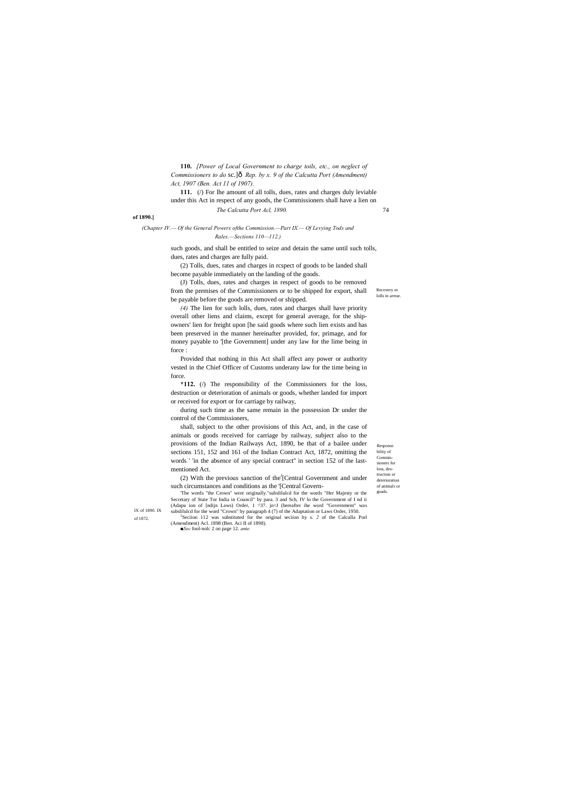Recovery or lolls in arrear

Responsibility of Commissioners for loss, destruction or deterioration of animals or goads.

IX of 1890. IX of 1872.

#### **of 1890.]**

## *(Chapter IV.— Of the General Powers ofthe Commission.—Part IX.— Of Levying Tods and Rales.—Sections 110—112.)*

*The Calcutta Port Acl, 1890.* 74 **111.** (*()* For lhe amount of all tolls, dues, rates and charges duly leviable under this Act in respect of any goods, the Commissioners shall have a lien on

**110.** *[Power of Local Government to charge toils, etc., on neglect of Commissioners to do* sc.] $\hat{o}$  Rep. by x. 9 of the Calcutta Port (Amendment) *Act, 1907 (Ben. Act 11 of 1907).*

such goods, and shall be entitled to seize and detain the same until such tolls, dues, rates and charges are fully paid.

(2) Tolls, dues, rates and charges in rcspect of goods to be landed shall become payable immediately on the landing of the goods.

(J) Tolls, dues, rates and charges in respect of goods to be removed from the premises of the Commissioners or to be shipped for export, shall be payable before the goods are removed or shipped.

(2) With the previous sanction of the [Central Government and under such circumstances and conditions as the '[Central Govern-

'The words "the Crown" were originally."subslilulcd for the words "Her Majesty or the Secretary of State Tor India in Council" by para. 3 and Sch, IV lo the Government of I nd ii (Adapu ion of [ndijn Laws) Order, 1 ^37. jn<J (hereafter ihe word "Government" was subslilulcd for the word "Crown" by paragraph 4 (7) of the Adaptation or Laws Order, 1950.

*(4)* The lien for such lolls, dues, rates and charges shall have priority overall other liens and claims, except for general average, for the shipowners' lien for freight upon [he said goods where such lien exists and has been preserved in the manner hereinafter provided, for, primage, and for money payable to '[the Government] under any law for the lime being in force :

Provided that nothing in this Act shall affect any power or authority vested in the Chief Officer of Customs underany law for the time being in force.

**\*112.** (/) The responsibility of the Commissioners for the loss, destruction or deterioration of animals or goods, whether landed for import or received for export or for carriage by railway,

during such time as the same remain in the possession Dr under the control of the Commissioners,

shall, subject to the other provisions of this Act, and, in the case of animals or goods received for carriage by railway, subject also to the provisions of the Indian Railways Act, 1890, be that of a bailee under sections 151, 152 and 161 of the Indian Contract Act, 1872, omitting the words ' 'in the absence of any special contract'' in section 152 of the lastmentioned Act.

Seciion 112 was substituted for the original seciion hy s. *2* of the Calculla Porl (Amendment) Acl. 1898 (Ben. Aci II of 1898). *■Sec* fool-nolc 2 on page 12. *ante.*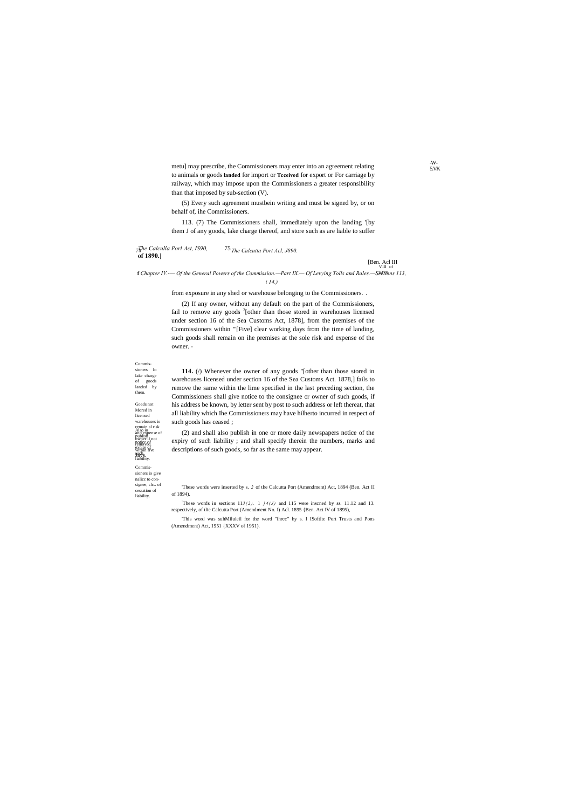Commissioners lo lake charge of goods

removed<sub>e</sub> within five

Also io publish notice of landed by them. Goads not Mored in licensed warehouses io remain al risk and expense of owner if not

> expire of such liability. Jays.

 $7\frac{7}{4}$ he Calculla Porl Act, IS90, **of 1890.]** *74 The Calcutta Port Acl, J890.*

# VIII of [Ben. Acl III

IB7S. **f** *Chapter IV.-— Of the General Powers of the Commission.—Part IX.— Of Levying Tolls and Rales.—Sections 113,* 

Commissioners io give nalicc to consignee, clc.. of cessation of liability.

-W-5.VK

*i 14.)*

metu] may prescribe, the Commissioners may enter into an agreement relating to animals or goods **landed** for import or **Tcceived** for export or For carriage by railway, which may impose upon the Commissioners a greater responsibility than that imposed by sub-section (V).

(5) Every such agreement mustbein writing and must be signed by, or on behalf of, ihe Commissioners.

113. (7) The Commissioners shall, immediately upon the landing '[by them J of any goods, lake charge thereof, and store such as are liable to suffer

from exposure in any shed or warehouse belonging to the Commissioners. .

These words in sections  $113(2)$ . 1  $14(J)$  and 115 were inscned by ss. 11.12 and 13. respectively, of tlie Calcutta Port (Amendment No. I) Acl. 1895 {Ben. Act IV of 1895),

(2) If any owner, without any default on the part of the Commissioners, fail to remove any goods  $2$ [other than those stored in warehouses licensed under section 16 of the Sea Customs Act, 1878], from the premises of the Commissioners within "'[Five] clear working days from the time of landing, such goods shall remain on ihe premises at the sole risk and expense of the owner. -

**114.** (/) Whenever the owner of any goods "[other than those stored in warehouses licensed under section 16 of the Sea Customs Act. 1878,] fails to remove the same within the lime specified in the last preceding section, the Commissioners shall give notice to the consignee or owner of such goods, if his address be known, by letter sent by post to such address or left thereat, that all liability which Ihe Commissioners may have hilherto incurred in respect of such goods has ceased ;

(2) and shall also publish in one or more daily newspapers notice of the expiry of such liability ; and shall specify therein the numbers, marks and descriptions of such goods, so far as the same may appear.

'This word was suhMiluieil for the word "ihrec" hy s. I ISoftlte Port Trusts and Pons (Amendment) Act, 1951 {XXXV of 1951).

<sup>&#</sup>x27;These words were inserted by s. *2* of the Calcutta Port (Amendment) Act, 1894 (Ben. Act II of 1894).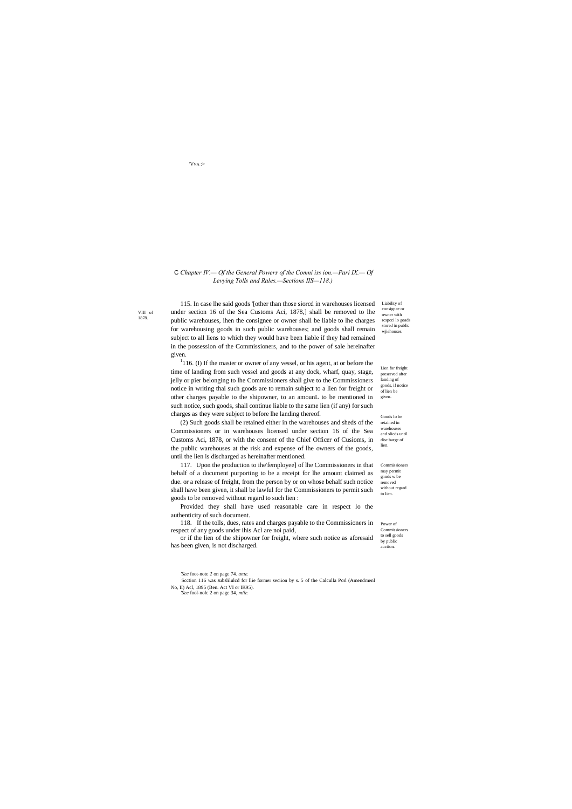Liability of consignee or owner with rcspcci lo goads

stored in public wjiehouses. Lien for freight

VIII of 1878.

> preserved after landing of goods, if notice of lien be given.

Commissioner to sell goods

Goods lo be retained in warehouses and slicds until disc barge of lien.

Commissioners may permit gnnds w be removed without regard to lien.

'VVA :>

# C *Chapter IV.— Of the General Powers of the Comni iss ion.—Pari IX.— Of Levying Tolls and Rales.—Sections IIS—118.)*

 $1116$ . (I) If the master or owner of any vessel, or his agent, at or before the time of landing from such vessel and goods at any dock, wharf, quay, stage, jelly or pier belonging to lhe Commissioners shall give to the Commissioners notice in writing thai such goods are to remain subject to a lien for freight or other charges payable to the shipowner, to an amounL to be mentioned in such notice, such goods, shall continue liable to the same lien (if any) for such charges as they were subject to before lhe landing thereof.

115. In case lhe said goods '[other than those siorcd in warehouses licensed under section 16 of the Sea Customs Aci, 1878,] shall be removed to lhe public warehouses, ihen the consignee or owner shall be liable to lhe charges for warehousing goods in such public warehouses; and goods shall remain subject to all liens to which they would have been liable if they had remained in the possession of the Commissioners, and to the power of sale hereinafter given.

Power of 118. If the tolls, dues, rates and charges payable to the Commissioners in respect of any goods under ihis Acl are noi paid,

by public auction. or if the lien of the shipowner for freight, where such notice as aforesaid has been given, is not discharged.

(2) Such goods shall be retained either in the warehouses and sheds of the Commissioners or in warehouses licensed under section 16 of the Sea Customs Aci, 1878, or with the consent of the Chief Officer of Cusioms, in the public warehouses at the risk and expense of lhe owners of the goods, until the lien is discharged as hereinafter mentioned.

117. Upon the production to ihe'femployee] of lhe Commissioners in that behalf of a document purporting to be a receipt for lhe amount claimed as due. or a release of freight, from the person by or on whose behalf such notice shall have been given, it shall be lawful for the Commissioners to permit such goods to be removed without regard to such lien :

Provided they shall have used reasonable care in respect lo the authenticity of such document.

*'See* foot-note *2* on page 74. *ante.*

: Scction 116 was subslilulcd for llie former seciion by s. 5 of the Calculla Porl (Amendmenl

No, II) Acl, 1895 (Ben. Act VI or IK95). *'See* fool-nolc 2 on page 34, *mile.*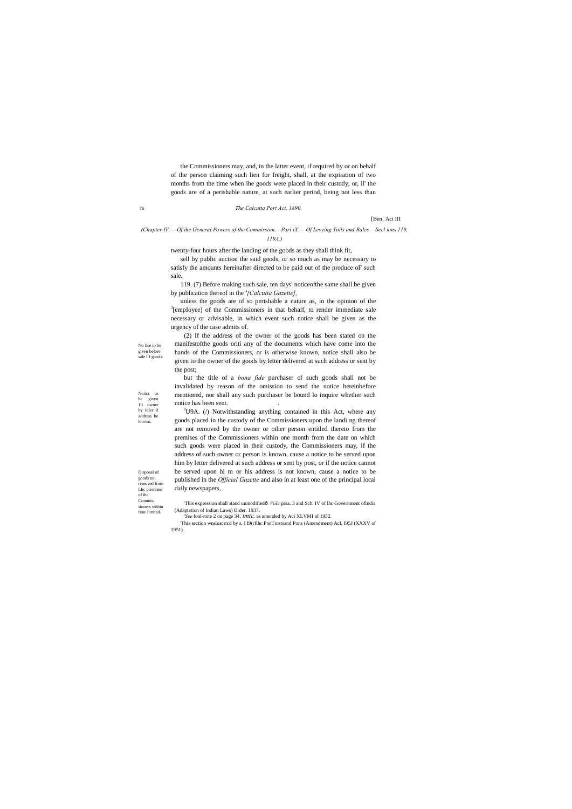Noiicc to be given 10 owner by Idler if address be

known.

Disposal of goods not removed from Lhc premises of ihe Commissioners wiihin time limited.

#### 76 *The Calcutta Port Act, 1890.*

[Ben. Act III

*(Chapter IV.— Of ihe General Powers of the Commission.—Pari iX.— Of Levying Toils and Rales.—Seel ions 119, 119A.)*

the Commissioners may, and, in the latter event, if required by or on behalf of the person claiming such lien for freight, shall, at the expiration of two months from the time when ihe goods were placed in their custody, or, il' the goods are of a perishable nature, at such earlier period, being not less than

unless the goods are of so perishable a nature as, in the opinion of the  $\frac{3}{2}$ [empIoyee] of the Commissioners in that behalf, to render immediate sale necessary or advisable, in which event such notice shall be given as the urgency of the case admits of.

twenty-four hours after the landing of the goods as they shall think fit,

but the title of a *bona fide* purchaser of such goods shall not be invalidated by reason of the omission to send the notice hereinbefore mentioned, nor shall any such purchaser be bound lo inquire whether such notice has been sent.

sell by public auction the said goods, or so much as may be necessary to satisfy the amounts hereinafter directed to be paid out of the produce oF such sale.

119. (7) Before making such sale, ten days' noticeofthe same shall be given by publication thereof in the *'{Calcutta Gazette],*

 $J$ U9A. ( $/$ ) Notwithstanding anything contained in this Act, where any goods placed in the custody of the Commissioners upon the landi ng thereof are not removed by the owner or other person entitled thereto from the premises of the Commissioners within one month from the date on which such goods were placed in their custody, the Commissioners may, if the address of such owner or person is known, cause a notice to be served upon him by letter delivered at such address or sent by post, or if the notice cannot be served upon hi m or his address is not known, cause a notice to be published in the *Official Gazette* and also in at least one of the principal local daily newspapers,

'This expression shall stand unmodifiedô *Viile* para. 3 and Sch. IV of lhc Government oflndia (Adaptation of Indian Laws) Order. 1937.

(2) If the address of the owner of the goods has been stated on the manifestofthe goods oriti any of the documents which have come into the hands of the Commissioners, or is otherwise known, notice shall also be given to the owner of the goods by letter delivered at such address or sent by the post;

*'See* fool-note 2 on page 34, *tmtc.* as amended by Aci XLVMI of 1952.

'This section wnsioscrtcd by s, I I9(rflhc PonTmstsand Pons (Amendment) Acl, I95J (XXXV of 1951).

No lice io be given before sale f goods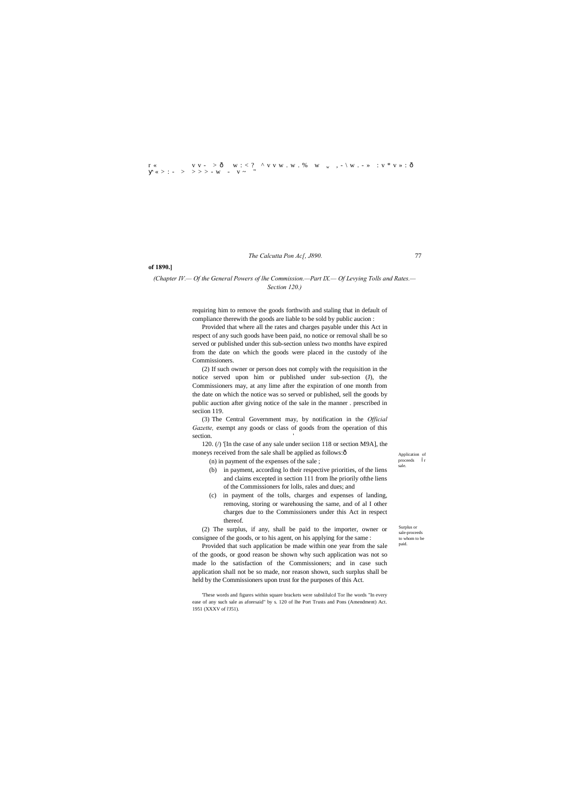$r \ll v \quad v \sim \delta \quad w : \langle ? \wedge v \vee w \cdot w \cdot w \cdot w \cdot w \cdot \cdot \cdot \cdot \cdot \cdot w \cdot \cdot w \cdot v \cdot w \cdot \delta$ « > : - > >>> - w - v ~ "

*The Calcutta Pon Ac[, J890.* 77

Application of  $\operatorname{proceeds}$ sale.

Surplus or sale-proceeds to whom to be paid.

**of 1890.]**

#### *(Chapter IV.— Of the General Powers of lhe Commission.—Part IX.— Of Levying Tolls and Rates.— Section 120.)*

(2) If such owner or person does not comply with the requisition in the notice served upon him or published under sub-section (J), the Commissioners may, at any lime after the expiration of one month from the date on which the notice was so served or published, sell the goods by public auction after giving notice of the sale in the manner . prescribed in seciion 119.

requiring him to remove the goods forthwith and staling that in default of compliance therewith the goods are liable to be sold by public aucion :

(3) The Central Government may, by notification in the *Official Gazette,* exempt any goods or class of goods from the operation of this section.

Provided that where all the rates and charges payable under this Act in respect of any such goods have been paid, no notice or removal shall be so served or published under this sub-section unless two months have expired from the date on which the goods were placed in the custody of ihe Commissioners.

120. (/) '[In the case of any sale under seciion 118 or section M9A], the moneys received from the sale shall be applied as follows: $\hat{o}$ 

(n) in payment of the expenses of the sale ;

- (b) in payment, according lo their respective priorities, of the liens and claims excepted in section 111 from lhe priorily ofthe liens of the Commissioners for lolls, rales and dues; and
- (c) in payment of the tolls, charges and expenses of landing, removing, storing or warehousing the same, and of al I other charges due to the Commissioners under this Act in respect thereof.

(2) The surplus, if any, shall be paid to the importer, owner or consignee of the goods, or to his agent, on his applying for the same :

Provided that such application be made within one year from the sale of the goods, or good reason be shown why such application was not so made lo the satisfaction of the Commissioners; and in case such application shall not be so made, nor reason shown, such surplus shall be held by the Commissioners upon trust for the purposes of this Act.

'These words and figures within square brackets were subslilulcd Tor lhe words "In every ease of any such sale as aforesaid" by s. 120 of lhe Port Trusts and Pons (Amendment) Act. 1951 (XXXV of l'J51).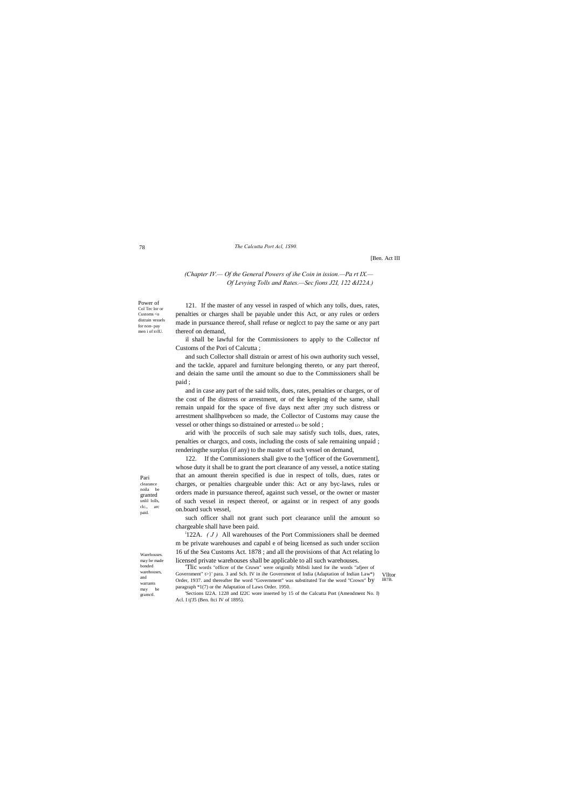Power of Col Tec lor or Customs <o distrain vessels for non- pay men i of IOIU.

Pari clearance noila be granted unlil lolls, clc., arc paid.

Warehouses. may be made bonded warehouses, and warrants may be gramctl.

#### 78 *The Calcutta Port Acl, 1S90.*

#### [Ben. Act III

#### *(Chapter IV.— Of the General Powers of ihe Coin in ission.—Pa rt IX.— Of Levying Tolls and Rates.—Sec fions J2I, 122 &I22A.)*

and in case any part of the said tolls, dues, rates, penalties or charges, or of the cost of Ihe distress or arrestment, or of the keeping of the same, shall remain unpaid for the space of five days next after ;my such distress or arrestment shallhpvebcen so made, the Collector of Customs may cause the vessel or other things so distrained or arrested Lo be sold ;

121. If the master of any vessel in rasped of which any tolls, dues, rates, penalties or charges shall be payable under this Act, or any rules or orders made in pursuance thereof, shall refuse or neglcct to pay the same or any part thereof on demand,

il shall be lawful for the Commissioners to apply to the Collector nf Customs of the Pori of Calcutta ;

and such Collector shall distrain or arrest of his own authority such vessel, and the tackle, apparel and furniture belonging thereto, or any part thereof, and deiain the same until the amount so due to the Commissioners shall be paid ;

<sup>i</sup> 122A.  $(J)$  All warehouses of the Port Commissioners shall be deemed m be private warehouses and capabl e of being licensed as such under scciion 16 uf the Sea Customs Act. 1878 ; and all the provisions of that Act relating lo licensed private warehouses shall be applicable to all such warehouses.

'Sections I22A. 1228 and I22C wore inserted by 15 of the Calcutta Port (Amendment No. I) Acl. I tj'J5 (Ben. ftci IV of 1895).

arid with \he procceils of such sale may satisfy such tolls, dues, rates, penalties or chargcs, and costs, including the costs of sale remaining unpaid ; renderingthe surplus (if any) to the master of such vessel on demand,

Vlltor IB7B. 'Tlic words "officer of the Cruwn" were origimlly Mibsli luted for ihe words "afjeer of Government" t>}' para. 3 and Sch. IV in ihe Government of India (Adaptation of Indian Law\*) Order, 1937. and thereafter Ihe word "Government" was substituted Tor the word "Crown" by paragraph \*1(7) or the Adaptation of Laws Order. 1950.

122. If the Commissioners shall give to the '[officer of the Government], whose duty it shall be to grant the port clearance of any vessel, a notice stating that an amount therein specified is due in respect of tolls, dues, rates or charges, or penalties chargeable under this: Act or any byc-laws, rules or orders made in pursuance thereof, against such vessel, or the owner or master of such vessel in respect thereof, or against or in respect of any goods on.board such vessel,

such officer shall not grant such port clearance unlil the amount so chargeable shall have been paid.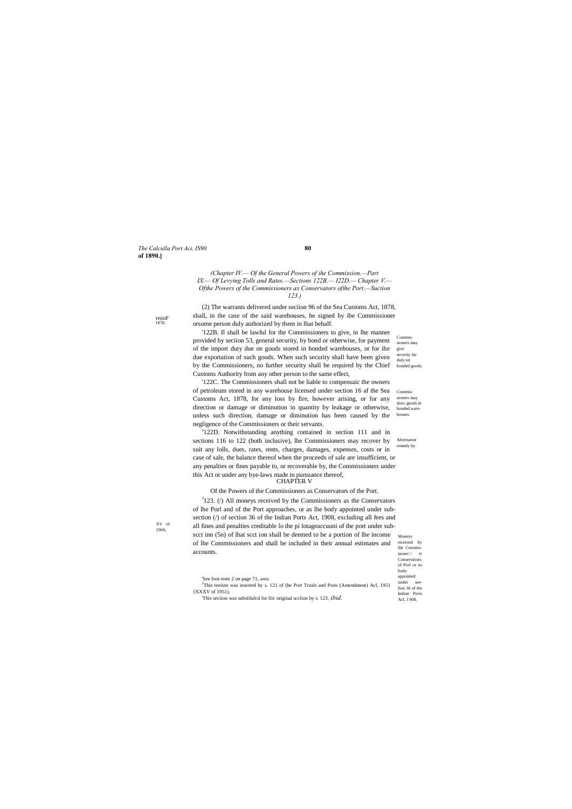*The Calculla Port Aci, IS90.* **80 of 1890.]**

Commissioners may give security far duly on bonded goods

vnioF 1878.

Commissioners may slorc goods in bonded warehouses.

remedy by

Conservators of Porl or ns

XV of 190S.

*(Chapter IV.— Of the General Powers of ihe Commission.—Part IX.— Of Levying Tolls and Rates.—Sections 122B.— I22D.— Chapter V.— Ofthe Powers of the Commissioners ax Conservators ofthe Port.—Suction 123.)*

(2) The warrants delivered under seciion 96 of the Sea Customs Act, 1878, shall, in the case of the said warehouses, he signed by ibe Commissioner orsome person duly authorized by them in lhat behalf.

'122B. Il shall be lawful for the Commissioners to give, in lhe manner provided by seciion 53, general security, by bond or otherwise, for payment of the import duty due on goods stored in bonded warehouses, or for ihe due exportation of such goods. When such security shall have been given by the Commissioners, no further security shall be required by the Chief Customs Authority from any other person to the same effect,

sections 116 to 122 (both inclusive), lhe Commissioners may recover by Alternative <sup>J</sup>122D. Notwithstanding anything contained in section 111 and in suit any lolls, dues, rates, rents, charges, damages, expenses, costs or in case of sale, the balance thereof when the proceeds of sale are insufficient, or any penalties or fines payable to, or recoverable by, the Commissioners under this Act or under any bye-laws made in pursuance thereof, CHAPTER V

Moneys received by die Commissioner.': **JS**  $J<sup>J</sup>123$ . (*/*) All moneys received by the Commissioners as the Conservators of lhe Porl and of the Port approaches, or as lhe body appointed under subsection (/) of section 36 of the Indian Ports Act, 1908, excluding all fees and all fines and penalties creditable lo the pi lotageaccuuni of the port under subscct inn (5n) of lhat scct ion shall be deemed to be a portion of lhe income of lhe Commissioners and shall be included in their annual estimates and accounts.

'122C. The Commissioners shall not be liable to compensaic the owners of petroleum stored in any warehouse licensed under section 16 af the Sea Customs Act, 1878, for any loss by fire, however arising, or for any direction or damage or diminution in quantity by leakage or otherwise, unless such direction, damage or diminution has been caused by the negligence of the Commissioners or their servants.

|                                                                                                                                        | body                       |
|----------------------------------------------------------------------------------------------------------------------------------------|----------------------------|
| See foot-note 2 on page 71, <i>ante</i> .<br>$2$ This teelinn was inserted by s. 121 of (be Port Trusls and Pons (Amendment) Acl, 1951 | appointed<br>under<br>see- |
|                                                                                                                                        | lion 36 of the             |
| {XXXV of 1951).                                                                                                                        | Indian Ports               |
| This section was substituted for the original section by s. 123, <i>ibid</i> .                                                         | Acl. J 908.                |

Of the Powers of the Commissioners as Conservators of the Port.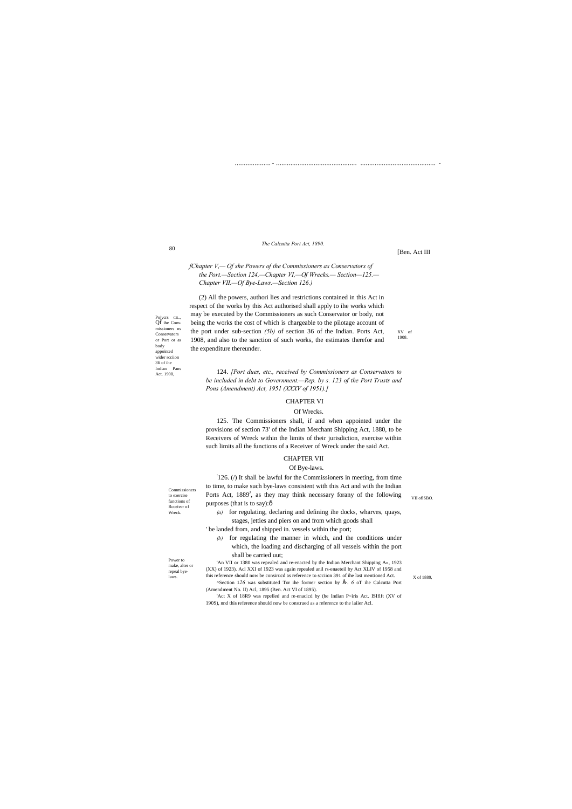80

Pojycrs CIL., Qf ihe Commissioners ns Conservators or Port or as body appointed wider scciion 3fi of ihe Indian Pans Act. 1908,

XV of 1908.

# Commissioners to exercise functions of Rcceivcr of

Wreck.

laws. this reference should now be consirucd as reference to scciion 391 of ihe last mentioned Act.  $X$  of 1889, 'An VII or 1380 was repealed and re-enacted by the Indian Merchant Shipping A«, 1923 (XX) of 1923). Acl XXI of 1923 was again repealed anil rs-enaeteil by Act XLIV of 1958 and <sup>^</sup>Section 126 was substituted Tor ihe former section by É. 6 oT ihe Calcutta Port

VII oflSBO.

Power to make, alter or repeal bye.................... - ............................................. .......................................... -

#### *The Calcutta Port Act, 1890.*

[Ben. Act III

*fChapter V,— Of she Powers of the Commissioners as Conservators of the Port.—Section 124,—Chapter VI,—Of Wrecks.— Section—125.— Chapter VII.—Of Bye-Laws.—Section 126.)*

: 126. (/) It shall be lawful for the Commissioners in meeting, from time to time, to make such bye-laws consistent with this Act and with the Indian Ports Act,  $1889<sup>J</sup>$ , as they may think necessary forany of the following purposes (that is to say): $\hat{o}$ 

(2) All the powers, authori lies and restrictions contained in this Act in respect of the works by this Act authorised shall apply to ihe works which may be executed by the Commissioners as such Conservator or body, not being the works the cost of which is chargeable to the pilotage account of the port under sub-section *(5b)* of section 36 of the Indian. Ports Act, 1908, and also to the sanction of such works, the estimates therefor and the expenditure thereunder.

124. *[Port dues, etc., received by Commissioners as Conservators to be included in debt to Government.—Rep. by s. 123 of the Port Trusts and Pons (Amendment) Act, 1951 (XXXV of 1951).]*

#### CHAPTER VI

#### Of Wrecks.

'Act X of 18R9 was repelled and re-enacicd by (he Indian P<iris Act. ISIflft (XV of 190S), nnd this reference should now be construed as a reference to the laiier Acl.

125. The Commissioners shall, if and when appointed under the provisions of section 73' of the Indian Merchant Shipping Act, 1880, to be Receivers of Wreck within the limits of their jurisdiction, exercise within such limits all the functions of a Receiver of Wreck under the said Act.

### CHAPTER VII

#### Of Bye-laws.

*(a)* for regulating, declaring and defining ihe docks, wharves, quays, stages, jetties and piers on and from which goods shall

' be landed from, and shipped in. vessels within the port;

*(b)* for regulating the manner in which, and the conditions under which, the loading and discharging of all vessels within the port shall be carried uut;

(Amendment No. II) Acl, 1895 (Ben. Act VI of 1895).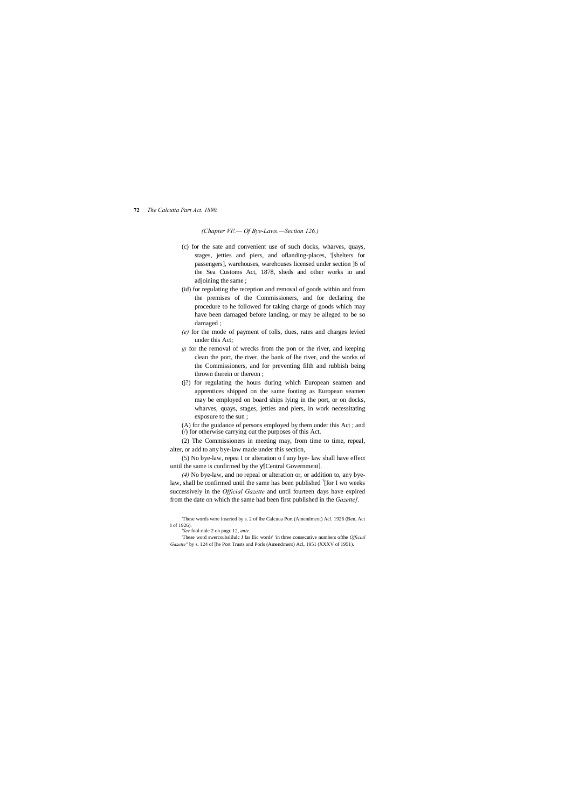#### **72** *The Calcutta Part Act. 1890.*

#### *(Chapter VI!.— Of Bye-Laws.—Section 126.)*

- (c) for the sate and convenient use of such docks, wharves, quays, stages, jetties and piers, and oflanding-places, '[shelters for passengers], warehouses, warehouses licensed under section ]6 of the Sea Customs Act, 1878, sheds and other works in and adjoining the same ;
- (id) for regulating the reception and removal of goods within and from the premises of the Commissioners, and for declaring the procedure to he followed for taking charge of goods which may have been damaged before landing, or may be alleged to be so damaged ;
- *(e)* for the mode of payment of tolls, dues, rates and charges levied under this Act;
- *if*) for the removal of wrecks from the pon or the river, and keeping clean the port, the river, the bank of lhe river, and the works of the Commissioners, and for preventing filth and rubbish being thrown therein or thereon ;
- (j?) for regulating the hours during which European seamen and apprentices shipped on the same footing as European seamen may be employed on board ships lying in the port, or on docks, wharves, quays, stages, jetties and piers, in work necessitating exposure to the sun ;

(A) for the guidance of persons employed by them under this Act ; and (/) for otherwise carrying out the purposes of this Act.

(2) The Commissioners in meeting may, from time to time, repeal, alter, or add to any bye-law made under this section,

(5) No bye-law, repea I or alteration o f any bye- law shall have effect until the same is confirmed by the [Central Government].

*(4)* No bye-law, and no repeal or alteration or, or addition to, any byelaw, shall be confirmed until the same has been published <sup>?</sup>[for I wo weeks successively in the *Official Gazette* and until fourteen days have expired from the date on which the same had been first published in the *Gazette].*

'These words were inserted by s. 2 of lhe Calcuua Port (Amendment) Acl. 1926 (Ben. Act I of 1926). *'See* fool-nolc 2 on pngc 12, *ante.*

*Gazette"* by s. 124 of [he Port Trusts and Porls (Amendment) Acl, 1951 (XXXV of 1951).

<sup>&#</sup>x27;These word swercsubslilulc J far llic words' 'in three consecutive numbers ofthe *Official*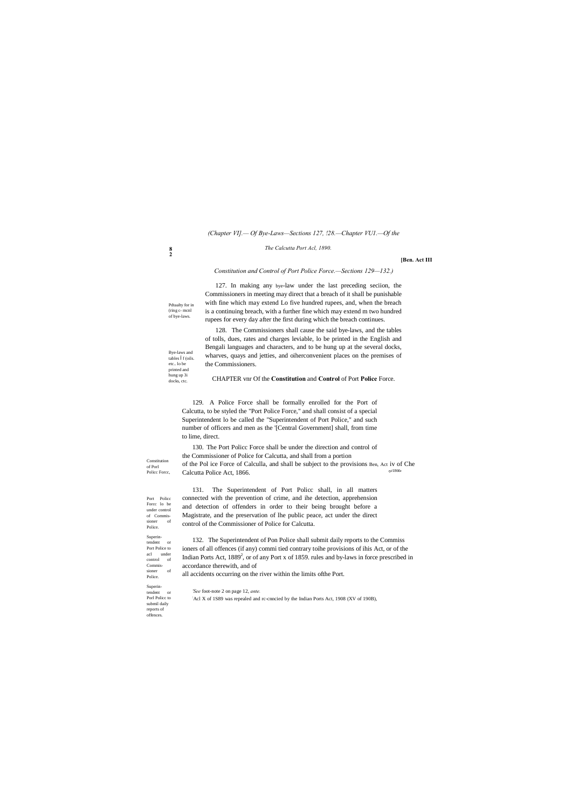Pdtaalty for in (ring c- mcnl of bye-laws.

Bye-laws and tables f (oils. etc.. lo be printed and hung up 3i docks, ctc.

**8 2**

#### *The Calcutta Port Acl, 1890.*

**[Ben. Act III**

Constitution of Porl Policc Forcc,

Port Policc Forcc lo be under control of Commissioner of Police. Superintendent or Port Police to acl under control of Commissioner of Police.

Superintendent or Porl Policc to submil daily

reports of offences.

#### *(Chapter VI].— Of Bye-Laws—Sections 127, !28.—Chapter VU1.—Of the*

*Constitution and Control of Port Police Force.—Sections 129—132.)*

127. In making any bye-law under the last preceding seciion, the

Commissioners in meeting may direct that a breach of it shall be punishable with fine which may extend Lo five hundred rupees, and, when the breach is a continuing breach, with a further fine which may extend m two hundred rupees for every day after the first during which the breach continues.

128. The Commissioners shall cause the said bye-laws, and the tables of tolls, dues, rates and charges leviable, lo be printed in the English and Bengali languages and characters, and to be hung up at the several docks, wharves, quays and jetties, and oiherconvenient places on the premises of the Commissioners.

CHAPTER vnr Of the **Constitution** and **Control** of Port **Police** Force.

*'See* foot-note 2 on page 12, *ante.* Acl X of 1S89 was repealed and rc-cnncied by the Indian Ports Act, 1908 (XV of 190B),

129. A Police Force shall be formally enrolled for the Port of Calcutta, to be styled the "Port Police Force," and shall consist of a special Superintendent lo be called the "Superintendent of Port Police," and such number of officers and men as the '[Central Government] shall, from time to lime, direct.

130. The Port Policc Force shall be under the direction and control of the Commissioner of Police for Calcutta, and shall from a portion of the Pol ice Force of Calculla, and shall be subject to the provisions Ben, Act iv of Che Calcutta Police Act, 1866. r1866'

131. The Superintendent of Port Policc shall, in all matters connected with the prevention of crime, and ihe detection, apprehension and detection of offenders in order to their being brought before a Magistrate, and the preservation of lhe public peace, act under the direct control of the Commissioner of Police for Calcutta.

132. The Superintendent of Pon Police shall submit daily reports to the Commiss ioners of all offences (if any) commi tied contrary toihe provisions of ihis Act, or of the Indian Ports Act,  $1889^2$ , or of any Port x of 1859. rules and by-laws in force prescribed in accordance therewith, and of

all accidents occurring on the river within the limits ofthe Port.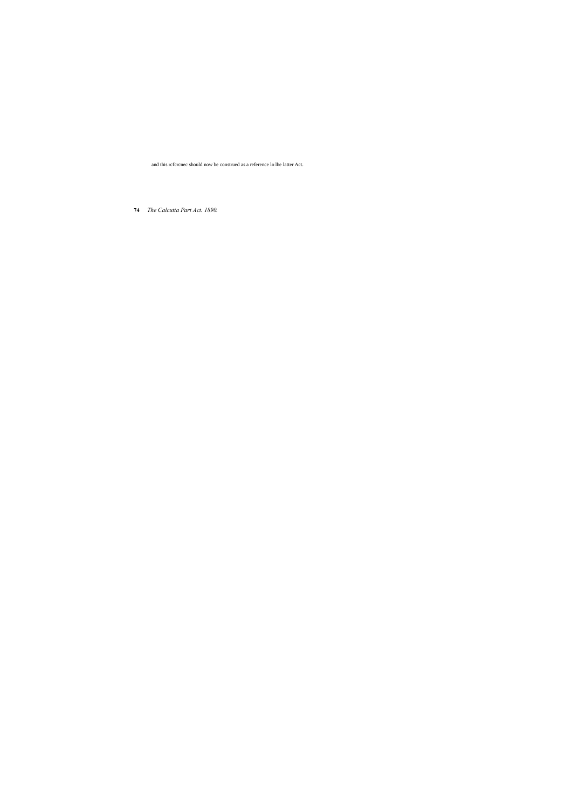**74** *The Calcutta Part Act. 1890.*

and this rcfcrcnec should now be construed as a reference lo lhe latter Act.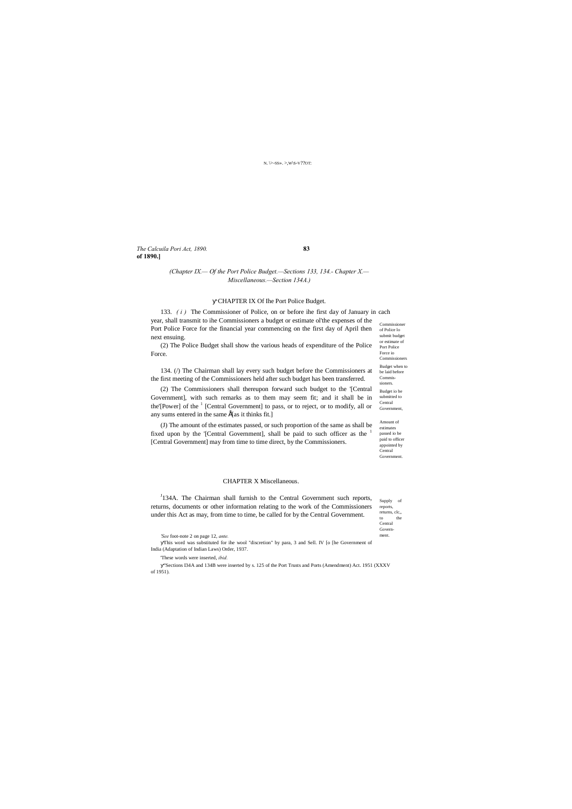*The Calcuila Pori Act, 1890.* **83 of 1890.]**

Central **Government** 

returns, clc, to the Central Government.

passed io be paid to officer appointed by

#### N. \>-SS». >,W\S-V??OT:

#### *(Chapter IX.— Of the Port Police Budget.—Sections 133, 134.- Chapter X.— Miscellaneous.—Section 134A.)*

#### CHAPTER IX Of Ihe Port Police Budget.

Commissioner of Police lo submit budget or estimate of Port Police Force io Commissi Budget when to be laid before Commissioners. Budget io be submitted to Central Government, Amount of estimates 133. *( i )* The Commissioner of Police, on or before ihe first day of January in cach year, shall transmit to ihe Commissioners a budget or estimate ol'the expenses of the Port Police Force for the financial year commencing on the first day of April then next ensuing. (2) The Police Budget shall show the various heads of expenditure of the Police Force. 134. (/) The Chairman shall lay every such budget before the Commissioners at the first meeting of the Commissioners held after such budget has been transferred. (2) The Commissioners shall thereupon forward such budget to the '[Central Government], with such remarks as to them may seem fit; and it shall be in the'[Power] of the <sup>1</sup> [Central Government] to pass, or to reject, or to modify, all or any sums entered in the same  $\hat{E}$ [as it thinks fit.] (J) The amount of the estimates passed, or such proportion of the same as shall be

fixed upon by the '[Central Government], shall be paid to such officer as the <sup>1</sup> [Central Government] may from time to time direct, by the Commissioners.

Supply of reports, <sup>J</sup>134A. The Chairman shall furnish to the Central Government such reports, returns, documents or other information relating to the work of the Commissioners under this Act as may, from time to time, be called for by the Central Government.

#### CHAPTER X Miscellaneous.

*'See* foot-note 2 on page 12, *ante.*

This word was substituted for ihe wool "discretion" by para, 3 and Sell. IV [o [he Government of India (Adaptation of Indian Laws) Order, 1937.

'These words were inserted, *ibid.*

"Sections I34A and 134B were inserted by s. 125 of the Port Trusts and Ports (Amendment) Act. 1951 (XXXV of 1951).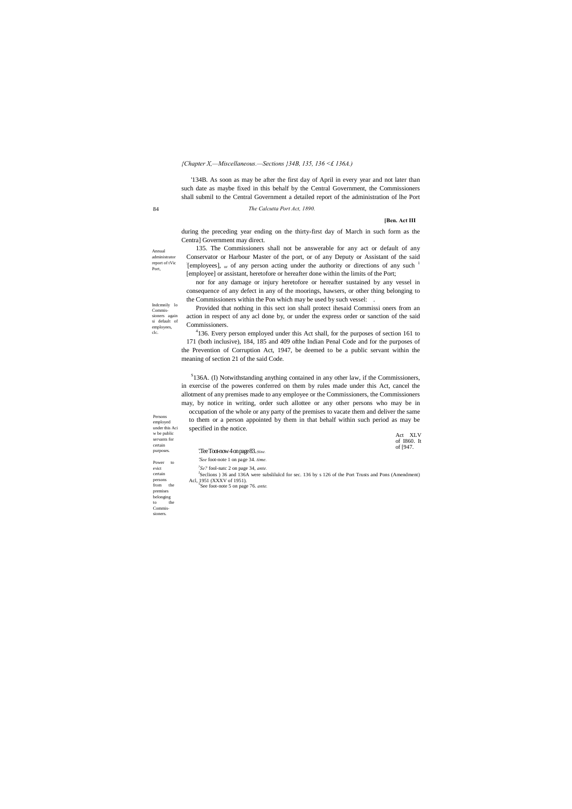## Annual

Port,

Indcmnily lo Commissioners again si default of employees, clc.

Persons employed under this Aci

to. Commissioners.

84 *The Calcutta Port Act, 1890.*

**[Ben. Act III**

#### *{Chapter X,—Miscellaneous.—Sections }34B, 135, 136 <£ 136A.)*

'134B. As soon as may be after the first day of April in every year and not later than such date as maybe fixed in this behalf by the Central Government, the Commissioners shall submil to the Central Government a detailed report of the administration of lhe Port

administrator report of tVic 135. The Commissioners shall not be answerable for any act or default of any Conservator or Harbour Master of the port, or of any Deputy or Assistant of the said [employees], <sub>or</sub> of any person acting under the authority or directions of any such <sup>1</sup> [employee] or assistant, heretofore or hereafter done within the limits of the Port;

during the preceding year ending on the thirty-first day of March in such form as the Centra] Government may direct.

<sup>4</sup>136. Every person employed under this Act shall, for the purposes of section 161 to 171 (both inclusive), 184, 185 and 409 ofthe Indian Penal Code and for the purposes of the Prevention of Corruption Act, 1947, be deemed to be a public servant within the meaning of section 21 of the said Code.

 $S$ 136A. (I) Notwithstanding anything contained in any other law, if the Commissioners, in exercise of the poweres conferred on them by rules made under this Act, cancel the allotment of any premises made to any employee or the Commissioners, the Commissioners may, by notice in writing, order such allottee or any other persons who may be in occupation of the whole or any party of the premises to vacate them and deliver the same to them or a person appointed by them in that behalf within such period as may be specified in the notice.

nor for any damage or injury heretofore or hereafter sustained by any vessel in consequence of any defect in any of the moorings, hawsers, or other thing belonging to the Commissioners within the Pon which may be used by such vessel: .

| w be public<br>servants for<br>certain |                                                                                                      | - XLV<br>Act<br>of 1860. It |
|----------------------------------------|------------------------------------------------------------------------------------------------------|-----------------------------|
| purposes.                              | $Tee$ Toot-now 4 on page 83. (tine.                                                                  | of [947.                    |
| Power<br>to                            | <i>'See</i> foot-note 1 on page 34, <i>time</i> .                                                    |                             |
| evict                                  | $\frac{y}{2}$ Se? fool-natc 2 on page 34, <i>ante</i> .                                              |                             |
| certain                                | Seclions) 36 and 136A were subslituted for sec. 136 by s 126 of the Port Trusts and Pons (Amendment) |                             |
| persons                                | Acl, 1951 (XXXV of 1951).                                                                            |                             |
| from<br>the                            | See foot-note 5 on page 76. ante.                                                                    |                             |
| premises                               |                                                                                                      |                             |
| belonging                              |                                                                                                      |                             |
| the<br>$\mathbf{f} \cap$               |                                                                                                      |                             |

Provided that nothing in this sect ion shall protect ihesaid Commissi oners from an action in respect of any acl done by, or under the express order or sanction of the said Commissioners.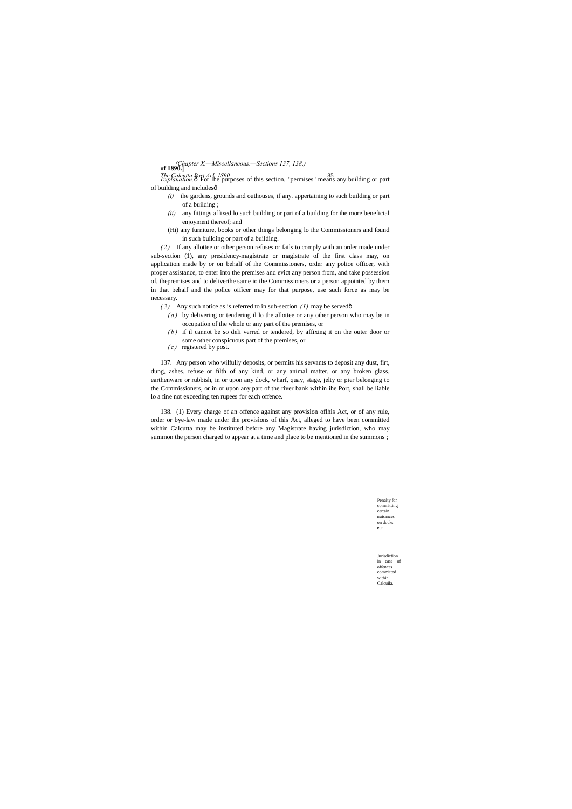*The Calcutta Port Acl, 1S90.* 85 *Explanation.*—For Ihe purposes of this section, "permises" means any building or part of building and includesô

> Penalty for committing certain nuisances on docks etc.

**of 1890.]** *(Chapter X.—Miscellaneous.—Sections 137, 138.)*

Jurisdiction in case of offences committed within Calcuila.

- *(i)* ihe gardens, grounds and outhouses, if any. appertaining to such building or part of a building ;
- *(ii)* any fittings affixed lo such building or pari of a building for ihe more beneficial enjoyment thereof; and
- (Hi) any furniture, books or other things belonging lo ihe Commissioners and found in such building or part of a building.

- *(3)* Any such notice as is referred to in sub-section *(1)* may be served $\hat{o}$ 
	- *( a )* by delivering or tendering il lo the allottee or any oiher person who may be in occupation of the whole or any part of the premises, or
	- *( b )* if il cannot be so deli verred or tendered, by affixing it on the outer door or some other conspicuous part of the premises, or
	- *( c )* registered by post.

*( 2 )* If any allottee or other person refuses or fails to comply with an order made under sub-section (1), any presidency-magistrate or magistrate of the first class may, on application made by or on behalf of ihe Commissioners, order any police officer, with proper assistance, to enter into the premises and evict any person from, and take possession of, thepremises and to deliverthe same io the Commissioners or a person appointed by them in that behalf and the police officer may for that purpose, use such force as may be necessary.

137. Any person who wilfully deposits, or permits his servants to deposit any dust, firt, dung, ashes, refuse or filth of any kind, or any animal matter, or any broken glass, earthenware or rubbish, in or upon any dock, wharf, quay, stage, jelty or pier belonging to the Commissioners, or in or upon any part of the river bank within ihe Port, shall be liable lo a fine not exceeding ten rupees for each offence.

138. (1) Every charge of an offence against any provision oflhis Act, or of any rule, order or bye-law made under the provisions of this Act, alleged to have been committed within Calcutta may be instituted before any Magistrate having jurisdiction, who may summon the person charged to appear at a time and place to be mentioned in the summons ;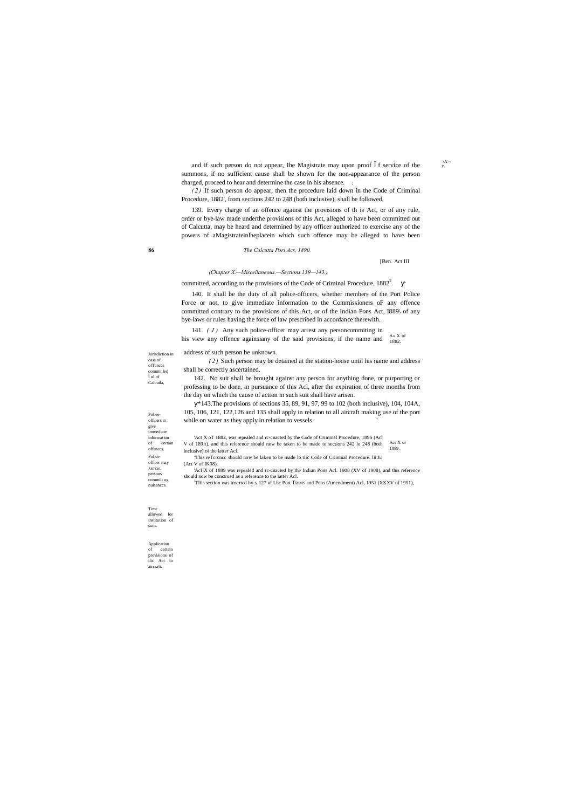Jurisdiction in

 $> A >$ -<br>y.

case of olTcnccs commit led ul of Calcuila,

Polieeofficers ID give immediate information of certain offenccs. Policeofficer may ARTCSL persons commili ng nuisanccs.

Time allowed for institution of suits.

Application of certain provisions of ilic Act lo aircraft.

**86** *The Calcutta Pori Acs, 1890.*

[Ben. Act III

*(Chapter X.—Miscellaneous.—Sections 139—143.)*

committed, according to the provisions of the Code of Criminal Procedure,  $1882^2$ .

and if such person do not appear, Ihe Magistrate may upon proof f service of the summons, if no sufficient cause shall be shown for the non-appearance of the person charged, proceed to hear and determine the case in his absence. .

*( 2 )* If such person do appear, then the procedure laid down in the Code of Criminal Procedure, 1882', from sections 242 to 248 (both inclusive), shall be followed.

 $\mathbf{A} \mathbb{\mathbf{K}}$  of his view any offence againsiany of the said provisions, if the name and  $\frac{A \times A}{1882}$ . 141. *( J )* Any such police-officer may arrest any personcommiting in

139. Every charge of an offence against the provisions of th is Act, or of any rule, order or bye-law made underthe provisions of this Act, alleged to have been committed out of Calcutta, may be heard and determined by any officer authorized to exercise any of the powers of aMagistrateinlheplacein which such offence may be alleged to have been

\*143.The provisions of sections 35, 89, 91, 97, 99 to 102 (both inclusive), 104, 104A, 105, 106, 121, 122,126 and 135 shall apply in relation to all aircraft making use of the port while on water as they apply in relation to vessels.

140. It shall be the duty of all police-officers, whether members of the Port Police Force or not, to give immediate information to the Commissioners oF any offence committed contrary to the provisions of this Act, or of the Indian Pons Act, I889\ of any bye-laws or rules having the force of law prescribed in accordance therewith.

Act X or 1989. 'Act X oT 1882, was repealed and rc-cnacted by the Code of Criminal Procedure, 189S (Acl V of 189ft). and this reference should now be taken to be made to sections 242 lo 248 (both inclusive) of the latter Acl. "I'his reTcrcncc should now be laken to be made lo tlic Code of Criminal Procedure. lii'JiJ

address of such person be unknown.

*( 2 )* Such person may be detained at the station-house until his name and address shall be correctly ascertained.

142. No suit shall be brought against any person for anything done, or purporting or professing to be done, in pursuance of this Acl, after the expiration of three months from the day on which the cause of action in such suit shall have arisen.

(Act V of IK98).

'Acl X of 1889 was repealed and rc-cnacied by the Indian Pons Acl. 1908 (XV of 1908), and this reference should now be construed as a reference to the latter Acl.

<sup>J</sup>Tliis section was inserted by s, 127 of Lhc Port TRIMS and Pons (Amendment) Acl, 1951 (XXXV of 1951),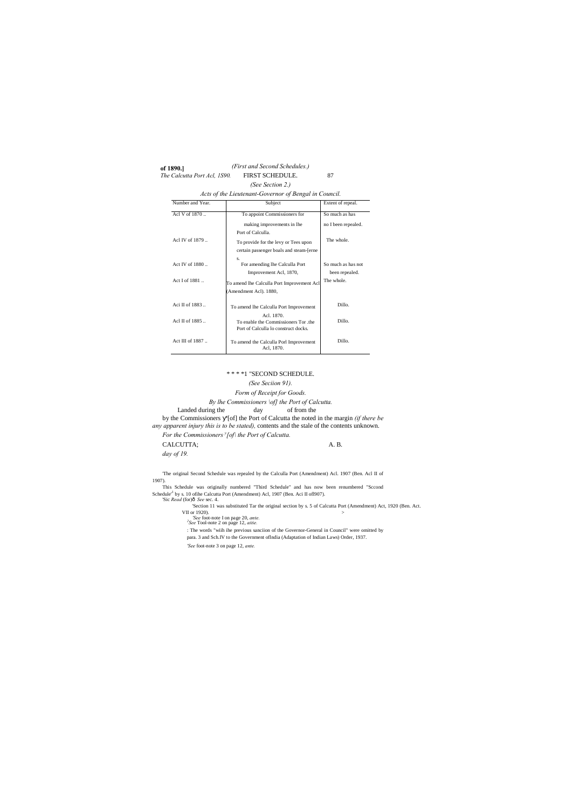**of 1890.]**

*(First and Second Schedules.)* FIRST SCHEDULE.

#### \* \* \* \*1 "SECOND SCHEDULE.

#### *(See Seciion 91).*

*Form of Receipt for Goods.*

*By lhe Commissioners \of] the Port of Calcutta.*

#### Landed during the day of from the

This Schedule was originally numbered "Third Schedule" and has now been renumbered "Sccond Schedule<sup>11</sup> by s. 10 of the Calcutta Port (Amendment) Acl, 1907 (Ben. Aci II of 1907).<br>'Sic *Read* (for) $\delta$  *See* sec. 4.

by the Commissioners '[of] the Port of Calcutta the noted in the margin *(if there be any apparent injury this is to be stated),* contents and the stale of the contents unknown.

*For the Commissioners <sup>y</sup> [of\ the Port of Calcutta.*

CALCUTTA; A. B.

*day of 19.*

'The original Second Schedule was repealed by the Calculla Port (Amendment) Acl. 1907 (Ben. Acl II of 1907).

'Section 11 was substituted Tar the original section by s. 5 of Calcutta Port (Amendment) Act, 1920 (Ben. Act.

| The Calcutta Port Acl, 1S90.                          | FIRST SCHEDULE.                                      | 87                  |  |  |  |
|-------------------------------------------------------|------------------------------------------------------|---------------------|--|--|--|
|                                                       | (See Section 2.)                                     |                     |  |  |  |
| Acts of the Lieutenant-Governor of Bengal in Council. |                                                      |                     |  |  |  |
| Number and Year.                                      | Subject                                              | Extent of repeal.   |  |  |  |
| Acl V of 1870                                         | To appoint Commissioners for                         | So much as has      |  |  |  |
|                                                       | making improvements in lhe                           | no I been repealed. |  |  |  |
|                                                       | Port of Calculla.                                    |                     |  |  |  |
| Acl IV of 1879                                        | To provide for the levy or Tees upon                 | The whole.          |  |  |  |
|                                                       | certain passenger boals and steam-[erne              |                     |  |  |  |
| Act IV of 1880                                        | S.<br>For amending lhe Calculla Port                 | So much as has not  |  |  |  |
|                                                       | Improvement Acl, 1870,                               | been repealed.      |  |  |  |
| Act I of 1881                                         | To amend lhe Calculla Port Improvement Acl           | The whole.          |  |  |  |
|                                                       | (Amendment Acl). 1880,                               |                     |  |  |  |
| Aci II of 1883                                        | To amend lhe Calculla Port Improvement               | Dillo.              |  |  |  |
| Acl II of 1885                                        | Acl. 1870.<br>To enable the Commissioners Tor the    | Dillo.              |  |  |  |
|                                                       | Port of Calculla lo construct docks.                 |                     |  |  |  |
| Act III of $1887$                                     | To amend the Calculla Porl Improvement<br>Acl, 1870. | Dillo.              |  |  |  |

VII or 1920). > *'See* foot-note I on page 20, *ante. <sup>2</sup> See* Tool-note 2 on page 12, *aitie.*

: The words "wiih ihe previous sanciion of the Governor-General in Council" were omitted by

para. 3 and Sch.IV to the Government oflndia (Adaptation of Indian Laws) Order, 1937.

*'See* foot-note 3 on page 12, *ante.*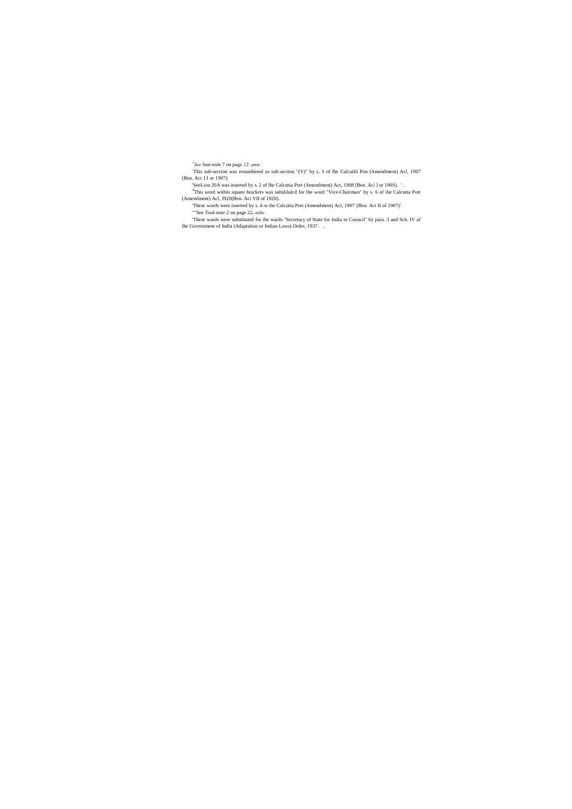*1 See* foot-nole 7 on page *22. ante.*

: This sub-section was renumbered as sub-section "(V)" by s. 3 of lhe Calcuilii Pon (Amendment) Acl. 1907 (Ben. Act 11 or 1907).

'SeeLion 20A was inserted by s. 2 of lhe Calcutta Port (Amendment) Act, 1908 [Ben. Aci ] or 190S). ' .

4 This word within square brackets was subslilulcd for lhe word "Vice-Chairman" by s. 6 of ihe Calcutta Port (Amendment) Acl, J920(Ben. Aci VII of 1920).

'These words were inserted by s. 4 or the Calcutta Port (Amendment) Act, 1907 {Ben. Act II of 1907)'. ""See Tool-note 2 on page 22, *aitie.*

'These wards were substituted for ihe wards "Secretary of State for India in Council" by para. 3 and Sch. IV af lhe Government of India (Adaptation or Indian Laws) Order, 1937. ,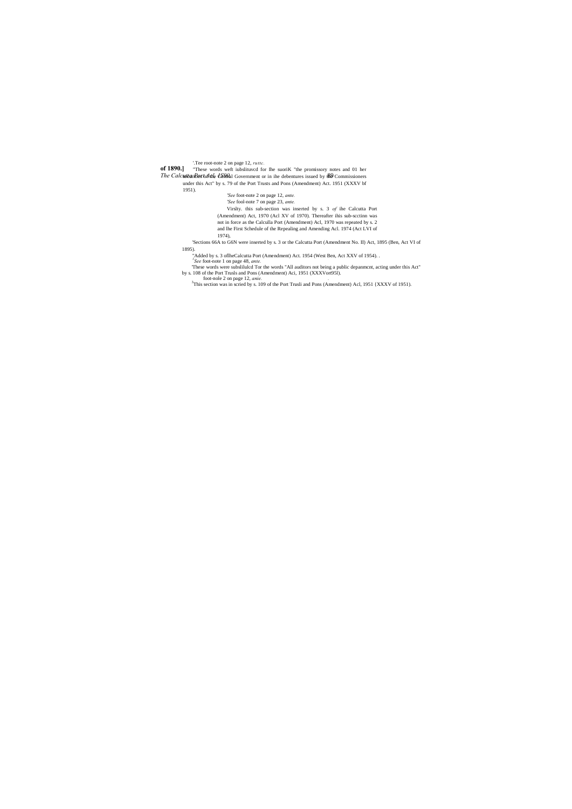'.Tee root-note 2 on page 12, *ruttc.*

**of 1890.** These words weft iubslituved for Ihe suoriK "the promissory notes and 01 her

The CalcuttarRex to Acle Contral Government or in ihe debentures issued by the Commissioners under this Act" by s. 79 of the Port Trusts and Pons (Amendment) Act. 1951 (XXXV bf

1951).

*'See* foot-note 2 on page 12, *ante.*

*'See* fool-note 7 on page 23, *ante.*

Virslty. this sub-section was inserted by s. 3 *of* ihe Calcutta Port (Amendment) Act, 1970 (Acl XV of 1970). Thereafter ihis sub-scctinn was not in force as the Calculla Port (Amendment) Acl, 1970 was repeated by s. 2

and lhe First Schedule of the Repealing and Amending Acl. 1974 (Act LVI of

1974),

'Sections 66A to G6N were inserted by s. 3 or the Calcutta Port (Amendment No. II) Act, 1895 (Ben, Act VI of 1895).

"Added by s. 3 oflheCalcutta Port (Amendment) Act. 1954 (West Ben, Act XXV of 1954). . *1 See* foot-note 1 on page 48, *ante.*

'These words were subslilulcd Tor the words "All auditors not being a public depanmcnt, acting under this Act" by s. 108 of the Port Trusls and Pons (Amendment) Aci, 1951 (XXXVort95l).

foot-nole 2 on page 12, *anie. .* <sup>3</sup> This section was in scried by s. 109 of the Port Trusli and Pons (Amendment) Acl, 1951 {XXXV of 1951).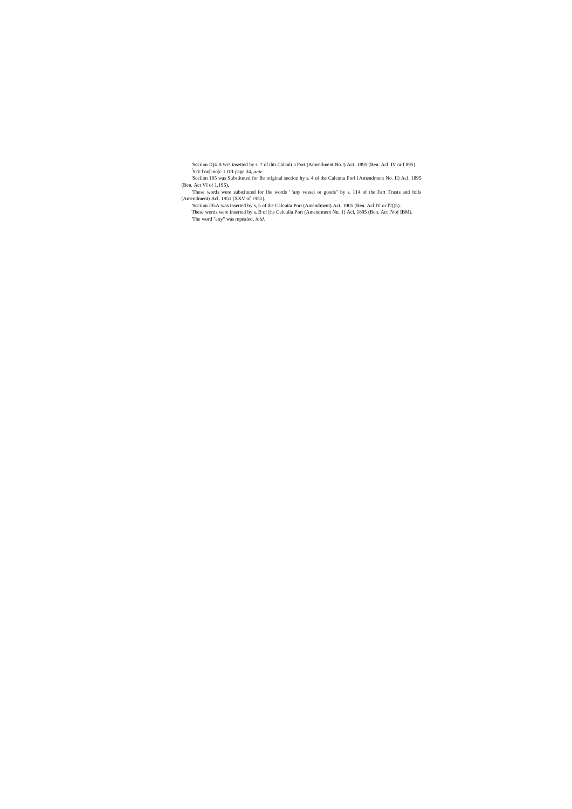'Scciion IQ4 A WJS insetted by s. 7 of ihti Calculi a Port (Amendment No.!) Act. 1895 (Ben. Acl. IV or f 895). ! SiV l'oo[-no[c 1 on page 34, *ante.*

'Scciion 105 was Substituted for Ihr original section hy s. 4 of the Calcutta Pori {Amendment No. II) Acl. 1895 (Ben. Act VI of 1,195),

'These words were substituted for Ihe words ' 'any vessel or goods" by s. 114 of the Fart Trusts and foils (Amendment) Acl. 1951 (XXV of 1951).

'Scciion I05A was inserted by s, 5 of the Calcutta Pori (Amendment) Act, 1905 (Ben. Acl IV or l'J()5). These words were inserted by s, B of [he Calcuila Port (Amendment Nn. 1) Acl, 1895 (Ben. Act IVof IBM). 'The word "any" was repealed, *ibid.*